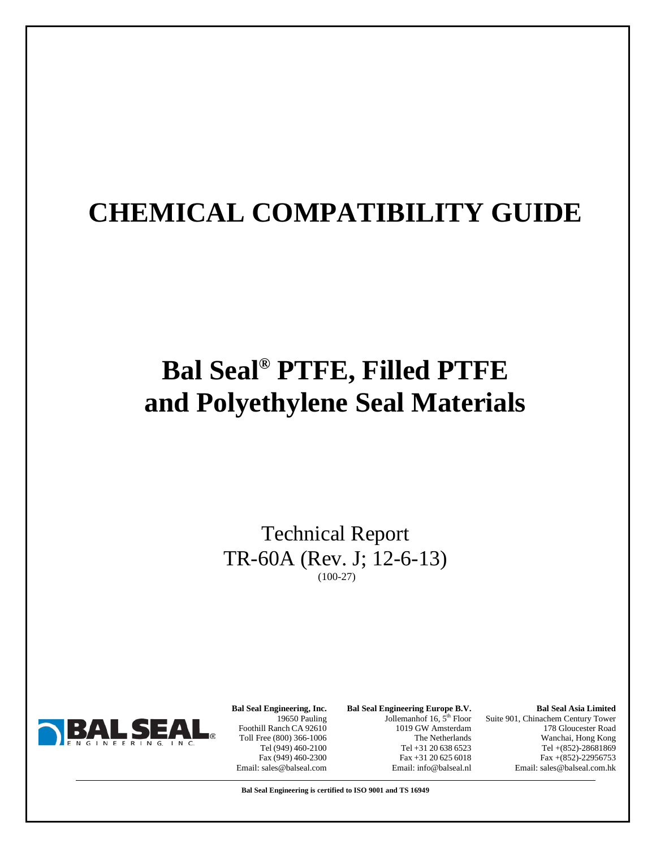# **CHEMICAL COMPATIBILITY GUIDE**

# **Bal Seal® PTFE, Filled PTFE and Polyethylene Seal Materials**

Technical Report TR-60A (Rev. J; 12-6-13) (100-27)



**Bal Seal Engineering, Inc.** 19650 Pauling Foothill Ranch CA 92610 Toll Free (800) 366-1006 Tel (949) 460-2100 Fax (949) 460-2300 Email: sales@balseal.com **Bal Seal Engineering Europe B.V.** Jollemanhof 16,  $5<sup>th</sup>$  Floor 1019 GW Amsterdam The Netherlands Tel +31 20 638 6523 Fax +31 20 625 6018 Email: info@balseal.nl

**Bal Seal Asia Limited** Suite 901, Chinachem Century Tower 178 Gloucester Road Wanchai, Hong Kong Tel +(852)-28681869 Fax +(852)-22956753 Email: sales@balseal.com.hk

**Bal Seal Engineering is certified to ISO 9001 and TS 16949**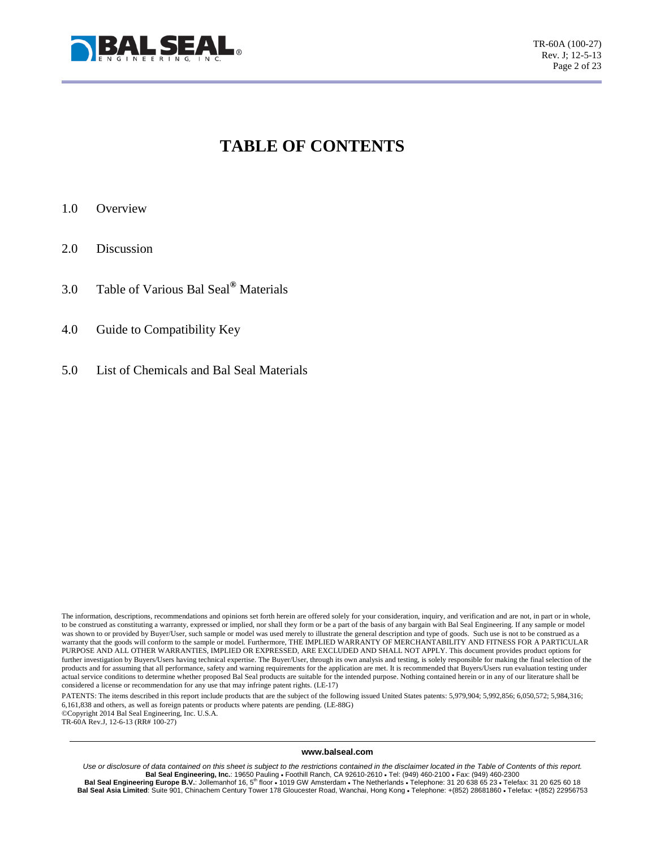

## **TABLE OF CONTENTS**

- 1.0 Overview
- 2.0 Discussion
- 3.0 Table of Various Bal Seal**®** Materials
- 4.0 Guide to Compatibility Key
- 5.0 List of Chemicals and Bal Seal Materials

PATENTS: The items described in this report include products that are the subject of the following issued United States patents: 5,979,904; 5,992,856; 6,050,572; 5,984,316; 6,161,838 and others, as well as foreign patents or products where patents are pending. (LE-88G) ©Copyright 2014 Bal Seal Engineering, Inc. U.S.A. TR-60A Rev.J, 12-6-13 (RR# 100-27)

**www.balseal.com**

*Use or disclosure of data contained on this sheet is subject to the restrictions contained in the disclaimer located in the Table of Contents of this report.* Bal Seal Engineering, Inc.: 19650 Pauling • Foothill Ranch, CA 92610-2610 • Tel: (949) 460-2100 • Fax: (949) 460-2300<br>18 Bal Seal Engineering Europe B.V.: Jollemanhof 16, 5<sup>th</sup> floor • 1019 GW Amsterdam • The Netherlands Bal Seal Asia Limited: Suite 901, Chinachem Century Tower 178 Gloucester Road, Wanchai, Hong Kong • Telephone: +(852) 28681860 • Telefax: +(852) 22956753

The information, descriptions, recommendations and opinions set forth herein are offered solely for your consideration, inquiry, and verification and are not, in part or in whole, to be construed as constituting a warranty, expressed or implied, nor shall they form or be a part of the basis of any bargain with Bal Seal Engineering. If any sample or model was shown to or provided by Buyer/User, such sample or model was used merely to illustrate the general description and type of goods. Such use is not to be construed as a warranty that the goods will conform to the sample or model. Furthermore, THE IMPLIED WARRANTY OF MERCHANTABILITY AND FITNESS FOR A PARTICULAR PURPOSE AND ALL OTHER WARRANTIES, IMPLIED OR EXPRESSED, ARE EXCLUDED AND SHALL NOT APPLY. This document provides product options for further investigation by Buyers/Users having technical expertise. The Buyer/User, through its own analysis and testing, is solely responsible for making the final selection of the products and for assuming that all performance, safety and warning requirements for the application are met. It is recommended that Buyers/Users run evaluation testing under actual service conditions to determine whether proposed Bal Seal products are suitable for the intended purpose. Nothing contained herein or in any of our literature shall be considered a license or recommendation for any use that may infringe patent rights. (LE-17)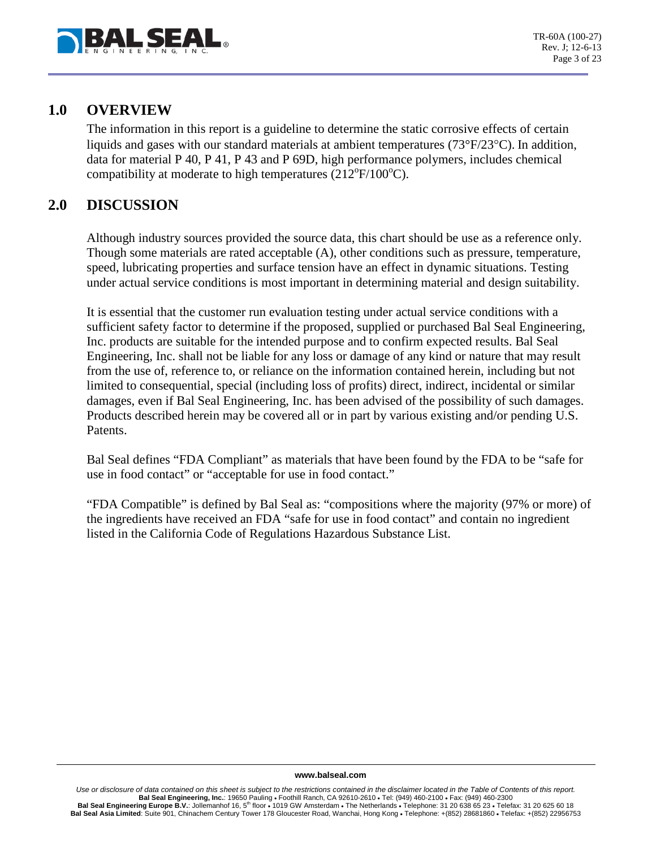

### **1.0 OVERVIEW**

The information in this report is a guideline to determine the static corrosive effects of certain liquids and gases with our standard materials at ambient temperatures (73°F/23°C). In addition, data for material P 40, P 41, P 43 and P 69D, high performance polymers, includes chemical compatibility at moderate to high temperatures ( $212^{\circ}F/100^{\circ}C$ ).

### **2.0 DISCUSSION**

Although industry sources provided the source data, this chart should be use as a reference only. Though some materials are rated acceptable (A), other conditions such as pressure, temperature, speed, lubricating properties and surface tension have an effect in dynamic situations. Testing under actual service conditions is most important in determining material and design suitability.

It is essential that the customer run evaluation testing under actual service conditions with a sufficient safety factor to determine if the proposed, supplied or purchased Bal Seal Engineering, Inc. products are suitable for the intended purpose and to confirm expected results. Bal Seal Engineering, Inc. shall not be liable for any loss or damage of any kind or nature that may result from the use of, reference to, or reliance on the information contained herein, including but not limited to consequential, special (including loss of profits) direct, indirect, incidental or similar damages, even if Bal Seal Engineering, Inc. has been advised of the possibility of such damages. Products described herein may be covered all or in part by various existing and/or pending U.S. Patents.

Bal Seal defines "FDA Compliant" as materials that have been found by the FDA to be "safe for use in food contact" or "acceptable for use in food contact."

"FDA Compatible" is defined by Bal Seal as: "compositions where the majority (97% or more) of the ingredients have received an FDA "safe for use in food contact" and contain no ingredient listed in the California Code of Regulations Hazardous Substance List.

#### **www.balseal.com**

Use or disclosure of data contained on this sheet is subject to the restrictions contained in the disclaimer located in the Table of Contents of this report. **Bal Seal Engineering, Inc.**: 19650 Pauling • Foothill Ranch, CA 92610-2610 • Tel: (949) 460-2100 • Fax: (949) 460-2300 Bal Seal Engineering Europe B.V.: Jollemanhof 16, 5<sup>th</sup> floor • 1019 GW Amsterdam • The Netherlands • Telephone: 31 20 638 65 23 • Telefax: 31 20 625 60 18 Bal Seal Asia Limited: Suite 901, Chinachem Century Tower 178 Gloucester Road, Wanchai, Hong Kong • Telephone: +(852) 28681860 • Telefax: +(852) 22956753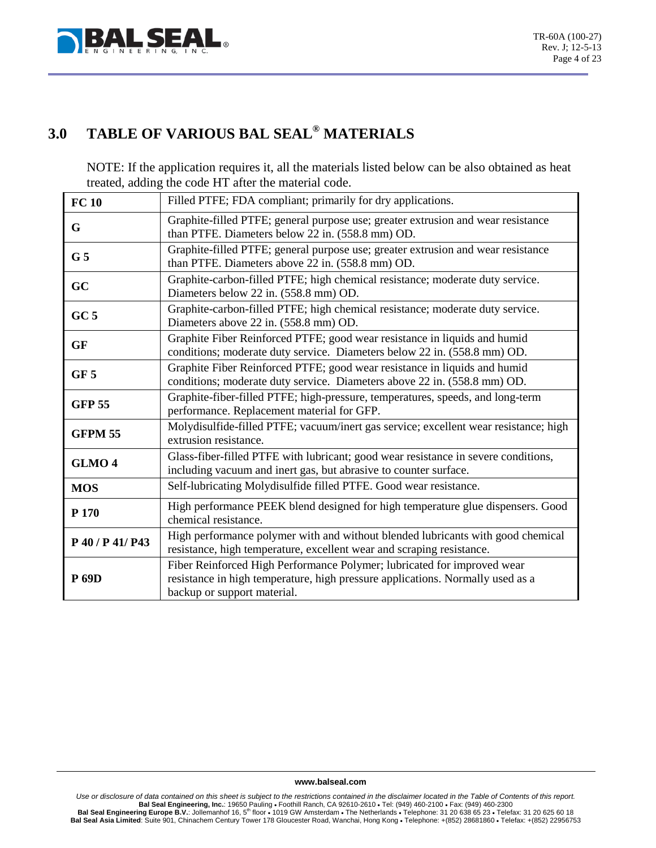

## **3.0 TABLE OF VARIOUS BAL SEAL® MATERIALS**

NOTE: If the application requires it, all the materials listed below can be also obtained as heat treated, adding the code HT after the material code.

| <b>FC10</b>       | Filled PTFE; FDA compliant; primarily for dry applications.                                                                                                                              |
|-------------------|------------------------------------------------------------------------------------------------------------------------------------------------------------------------------------------|
| G                 | Graphite-filled PTFE; general purpose use; greater extrusion and wear resistance<br>than PTFE. Diameters below 22 in. (558.8 mm) OD.                                                     |
| G <sub>5</sub>    | Graphite-filled PTFE; general purpose use; greater extrusion and wear resistance<br>than PTFE. Diameters above 22 in. (558.8 mm) OD.                                                     |
| GC                | Graphite-carbon-filled PTFE; high chemical resistance; moderate duty service.<br>Diameters below 22 in. (558.8 mm) OD.                                                                   |
| GC <sub>5</sub>   | Graphite-carbon-filled PTFE; high chemical resistance; moderate duty service.<br>Diameters above 22 in. (558.8 mm) OD.                                                                   |
| <b>GF</b>         | Graphite Fiber Reinforced PTFE; good wear resistance in liquids and humid<br>conditions; moderate duty service. Diameters below 22 in. (558.8 mm) OD.                                    |
| GF <sub>5</sub>   | Graphite Fiber Reinforced PTFE; good wear resistance in liquids and humid<br>conditions; moderate duty service. Diameters above 22 in. (558.8 mm) OD.                                    |
| <b>GFP 55</b>     | Graphite-fiber-filled PTFE; high-pressure, temperatures, speeds, and long-term<br>performance. Replacement material for GFP.                                                             |
| <b>GFPM 55</b>    | Molydisulfide-filled PTFE; vacuum/inert gas service; excellent wear resistance; high<br>extrusion resistance.                                                                            |
| GLMO <sub>4</sub> | Glass-fiber-filled PTFE with lubricant; good wear resistance in severe conditions,<br>including vacuum and inert gas, but abrasive to counter surface.                                   |
| <b>MOS</b>        | Self-lubricating Molydisulfide filled PTFE. Good wear resistance.                                                                                                                        |
| P 170             | High performance PEEK blend designed for high temperature glue dispensers. Good<br>chemical resistance.                                                                                  |
| P 40 / P 41/ P43  | High performance polymer with and without blended lubricants with good chemical<br>resistance, high temperature, excellent wear and scraping resistance.                                 |
| <b>P</b> 69D      | Fiber Reinforced High Performance Polymer; lubricated for improved wear<br>resistance in high temperature, high pressure applications. Normally used as a<br>backup or support material. |

#### **www.balseal.com**

*Use or disclosure of data contained on this sheet is subject to the restrictions contained in the disclaimer located in the Table of Contents of this report.* Bal Seal Engineering, Inc.: 19650 Pauling ∙ Foothill Ranch, CA 92610-2610 • Tel: (949) 460-2100 • Fax: (949) 460-2300<br>Bal Seal Engineering Europe B.V.: Jollemanhof 16, 5<sup>th</sup> floor • 1019 GW Amsterdam • The Netherlands • T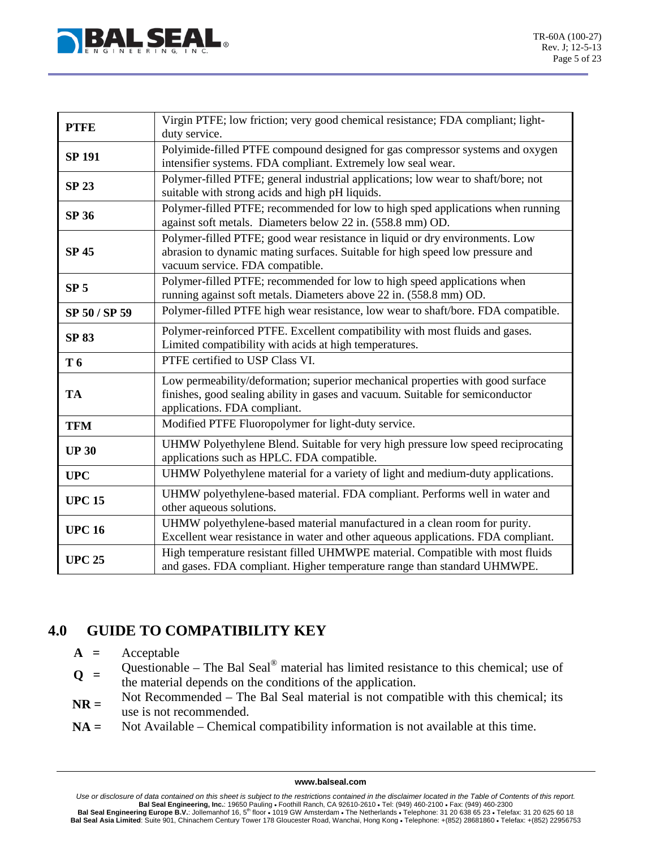

| <b>PTFE</b>     | Virgin PTFE; low friction; very good chemical resistance; FDA compliant; light-                                                               |
|-----------------|-----------------------------------------------------------------------------------------------------------------------------------------------|
|                 | duty service.                                                                                                                                 |
| <b>SP 191</b>   | Polyimide-filled PTFE compound designed for gas compressor systems and oxygen<br>intensifier systems. FDA compliant. Extremely low seal wear. |
|                 |                                                                                                                                               |
| <b>SP 23</b>    | Polymer-filled PTFE; general industrial applications; low wear to shaft/bore; not                                                             |
|                 | suitable with strong acids and high pH liquids.                                                                                               |
| <b>SP 36</b>    | Polymer-filled PTFE; recommended for low to high sped applications when running                                                               |
|                 | against soft metals. Diameters below 22 in. (558.8 mm) OD.                                                                                    |
| <b>SP 45</b>    | Polymer-filled PTFE; good wear resistance in liquid or dry environments. Low                                                                  |
|                 | abrasion to dynamic mating surfaces. Suitable for high speed low pressure and<br>vacuum service. FDA compatible.                              |
|                 | Polymer-filled PTFE; recommended for low to high speed applications when                                                                      |
| SP <sub>5</sub> | running against soft metals. Diameters above 22 in. (558.8 mm) OD.                                                                            |
|                 | Polymer-filled PTFE high wear resistance, low wear to shaft/bore. FDA compatible.                                                             |
| SP 50 / SP 59   |                                                                                                                                               |
| <b>SP 83</b>    | Polymer-reinforced PTFE. Excellent compatibility with most fluids and gases.                                                                  |
|                 | Limited compatibility with acids at high temperatures.                                                                                        |
| T 6             | PTFE certified to USP Class VI.                                                                                                               |
|                 | Low permeability/deformation; superior mechanical properties with good surface                                                                |
| TA              | finishes, good sealing ability in gases and vacuum. Suitable for semiconductor                                                                |
|                 | applications. FDA compliant.                                                                                                                  |
| <b>TFM</b>      | Modified PTFE Fluoropolymer for light-duty service.                                                                                           |
|                 | UHMW Polyethylene Blend. Suitable for very high pressure low speed reciprocating                                                              |
| <b>UP 30</b>    | applications such as HPLC. FDA compatible.                                                                                                    |
| <b>UPC</b>      | UHMW Polyethylene material for a variety of light and medium-duty applications.                                                               |
|                 | UHMW polyethylene-based material. FDA compliant. Performs well in water and                                                                   |
| <b>UPC 15</b>   | other aqueous solutions.                                                                                                                      |
|                 | UHMW polyethylene-based material manufactured in a clean room for purity.                                                                     |
| <b>UPC 16</b>   | Excellent wear resistance in water and other aqueous applications. FDA compliant.                                                             |
|                 | High temperature resistant filled UHMWPE material. Compatible with most fluids                                                                |
| <b>UPC 25</b>   | and gases. FDA compliant. Higher temperature range than standard UHMWPE.                                                                      |

## **4.0 GUIDE TO COMPATIBILITY KEY**

- **A =** Acceptable
- **Q** = Questionable The Bal Seal<sup>®</sup> material has limited resistance to this chemical; use of the material depends on the conditions of the embiories the material depends on the conditions of the application.
- **NR =** Not Recommended The Bal Seal material is not compatible with this chemical; its use is not recommended.
- **NA =** Not Available Chemical compatibility information is not available at this time.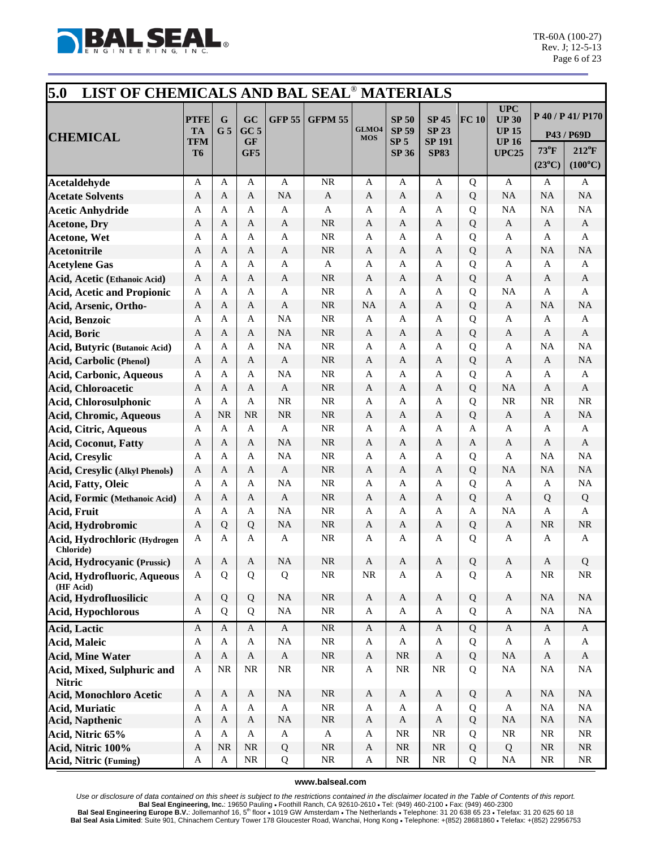

| 5.0<br>LIST OF CHEMICALS AND BAL SEAL <sup>®</sup> MATERIALS |                                              |                     |                                           |               |                           |                     |                                                                 |                                                              |       |                                                                           |                                   |                                                                       |
|--------------------------------------------------------------|----------------------------------------------|---------------------|-------------------------------------------|---------------|---------------------------|---------------------|-----------------------------------------------------------------|--------------------------------------------------------------|-------|---------------------------------------------------------------------------|-----------------------------------|-----------------------------------------------------------------------|
| <b>CHEMICAL</b>                                              | <b>PTFE</b><br><b>TA</b><br>TFM<br><b>T6</b> | G<br>G <sub>5</sub> | GC<br>GC <sub>5</sub><br><b>GF</b><br>GF5 | <b>GFP 55</b> | <b>GFPM 55</b>            | GLMO4<br><b>MOS</b> | <b>SP 50</b><br><b>SP 59</b><br>SP <sub>5</sub><br><b>SP 36</b> | <b>SP 45</b><br><b>SP 23</b><br><b>SP 191</b><br><b>SP83</b> | FC 10 | <b>UPC</b><br><b>UP 30</b><br><b>UP 15</b><br><b>UP16</b><br><b>UPC25</b> | $73^{\circ}$ F<br>$(23^{\circ}C)$ | P 40 / P 41/ P170<br>P43 / P69D<br>$212^{\circ}F$<br>$(100^{\circ}C)$ |
| Acetaldehyde                                                 | A                                            | A                   | A                                         | A             | <b>NR</b>                 | A                   | A                                                               | A                                                            | Q     | A                                                                         | A                                 | A                                                                     |
| <b>Acetate Solvents</b>                                      | $\mathbf{A}$                                 | A                   | A                                         | <b>NA</b>     | $\mathbf{A}$              | A                   | A                                                               | $\mathbf{A}$                                                 | Q     | <b>NA</b>                                                                 | <b>NA</b>                         | NA                                                                    |
| <b>Acetic Anhydride</b>                                      | A                                            | A                   | A                                         | A             | $\mathbf{A}$              | A                   | A                                                               | A                                                            | Q     | <b>NA</b>                                                                 | <b>NA</b>                         | NA                                                                    |
| <b>Acetone, Dry</b>                                          | A                                            | A                   | A                                         | A             | NR                        | A                   | A                                                               | A                                                            | Q     | $\mathbf{A}$                                                              | A                                 | A                                                                     |
| <b>Acetone, Wet</b>                                          | A                                            | A                   | $\mathbf{A}$                              | A             | <b>NR</b>                 | A                   | A                                                               | A                                                            | Q     | $\mathbf{A}$                                                              | A                                 | A                                                                     |
| <b>Acetonitrile</b>                                          | A                                            | A                   | A                                         | $\mathbf{A}$  | <b>NR</b>                 | A                   | A                                                               | A                                                            | Q     | $\mathbf{A}$                                                              | <b>NA</b>                         | NA                                                                    |
| <b>Acetylene Gas</b>                                         | A                                            | A                   | A                                         | A             | $\mathbf{A}$              | A                   | A                                                               | A                                                            | Q     | $\mathbf{A}$                                                              | A                                 | A                                                                     |
| Acid, Acetic (Ethanoic Acid)                                 | A                                            | A                   | A                                         | $\mathbf{A}$  | NR                        | A                   | A                                                               | A                                                            | Q     | $\mathbf{A}$                                                              | A                                 | $\mathbf{A}$                                                          |
| <b>Acid, Acetic and Propionic</b>                            | A                                            | A                   | A                                         | A             | <b>NR</b>                 | A                   | A                                                               | A                                                            | Q     | <b>NA</b>                                                                 | A                                 | A                                                                     |
| Acid, Arsenic, Ortho-                                        | A                                            | A                   | A                                         | $\mathbf{A}$  | NR                        | <b>NA</b>           | A                                                               | A                                                            | Q     | $\mathbf{A}$                                                              | <b>NA</b>                         | NA                                                                    |
| Acid, Benzoic                                                | A                                            | A                   | A                                         | <b>NA</b>     | $\rm NR$                  | A                   | A                                                               | A                                                            | Q     | A                                                                         | A                                 | A                                                                     |
| <b>Acid, Boric</b>                                           | A                                            | A                   | A                                         | <b>NA</b>     | NR                        | A                   | A                                                               | A                                                            | Q     | A                                                                         | A                                 | A                                                                     |
| Acid, Butyric (Butanoic Acid)                                | A                                            | A                   | A                                         | <b>NA</b>     | <b>NR</b>                 | A                   | A                                                               | A                                                            | Q     | A                                                                         | NA                                | NA                                                                    |
| <b>Acid, Carbolic (Phenol)</b>                               | A                                            | A                   | A                                         | A             | <b>NR</b>                 | A                   | A                                                               | A                                                            | Q     | A                                                                         | A                                 | NA                                                                    |
| Acid, Carbonic, Aqueous                                      | A                                            | A                   | A                                         | <b>NA</b>     | <b>NR</b>                 | A                   | A                                                               | A                                                            | Q     | A                                                                         | A                                 | A                                                                     |
| Acid, Chloroacetic                                           | A                                            | A                   | A                                         | A             | <b>NR</b>                 | A                   | A                                                               | A                                                            | Q     | <b>NA</b>                                                                 | A                                 | A                                                                     |
| Acid, Chlorosulphonic                                        | A                                            | A                   | $\mathbf{A}$                              | <b>NR</b>     | <b>NR</b>                 | A                   | A                                                               | A                                                            | Q     | <b>NR</b>                                                                 | <b>NR</b>                         | NR                                                                    |
| Acid, Chromic, Aqueous                                       | A                                            | NR                  | <b>NR</b>                                 | <b>NR</b>     | <b>NR</b>                 | A                   | A                                                               | A                                                            | Q     | A                                                                         | A                                 | NA                                                                    |
| Acid, Citric, Aqueous                                        | A                                            | A                   | A                                         | A             | <b>NR</b>                 | A                   | A                                                               | A                                                            | A     | A                                                                         | A                                 | A                                                                     |
| <b>Acid, Coconut, Fatty</b>                                  | A                                            | A                   | A                                         | <b>NA</b>     | NR                        | A                   | A                                                               | A                                                            | A     | A                                                                         | A                                 | A                                                                     |
| <b>Acid, Cresylic</b>                                        | $\mathbf{A}$                                 | A                   | $\mathbf{A}$                              | <b>NA</b>     | <b>NR</b>                 | A                   | A                                                               | A                                                            | Q     | $\mathbf{A}$                                                              | <b>NA</b>                         | NA                                                                    |
| Acid, Cresylic (Alkyl Phenols)                               | A                                            | A                   | A                                         | A             | <b>NR</b>                 | A                   | $\mathbf{A}$                                                    | A                                                            | Q     | <b>NA</b>                                                                 | <b>NA</b>                         | NA                                                                    |
| Acid, Fatty, Oleic                                           | A                                            | A                   | A                                         | <b>NA</b>     | <b>NR</b>                 | A                   | A                                                               | A                                                            | Q     | A                                                                         | A                                 | $\rm NA$                                                              |
| Acid, Formic (Methanoic Acid)                                | A                                            | A                   | A                                         | A             | <b>NR</b>                 | A                   | A                                                               | A                                                            | Q     | A                                                                         | Q                                 | $\mathbf Q$                                                           |
| <b>Acid, Fruit</b>                                           | $\mathbf{A}$                                 | A                   | $\mathbf{A}$                              | <b>NA</b>     | <b>NR</b>                 | A                   | A                                                               | A                                                            | A     | <b>NA</b>                                                                 | A                                 | A                                                                     |
| Acid, Hydrobromic                                            | A                                            | Q                   | Q                                         | <b>NA</b>     | NR                        | A                   | A                                                               | A                                                            | Q     | A                                                                         | <b>NR</b>                         | $\rm NR$                                                              |
| Acid, Hydrochloric (Hydrogen<br><b>Chloride</b> )            | A                                            | A                   | A                                         | A             | <b>NR</b>                 | A                   | A                                                               | A                                                            | Q     | A                                                                         | A                                 | A                                                                     |
| Acid, Hydrocyanic (Prussic)                                  | A                                            | A                   | A                                         | <b>NA</b>     | $\rm NR$                  | A                   | A                                                               | A                                                            | Q     | A                                                                         | A                                 | Q                                                                     |
| Acid, Hydrofluoric, Aqueous<br>(HF Acid)                     | A                                            | Q                   | Q                                         | Q             | <b>NR</b>                 | $\rm NR$            | $\mathbf{A}$                                                    | A                                                            | Q     | A                                                                         | <b>NR</b>                         | $\rm NR$                                                              |
| Acid, Hydrofluosilicic                                       | $\mathbf A$                                  | Q                   | Q                                         | <b>NA</b>     | <b>NR</b>                 | A                   | $\mathbf A$                                                     | $\boldsymbol{A}$                                             | Q     | $\boldsymbol{\mathsf{A}}$                                                 | NA                                | NA                                                                    |
| <b>Acid, Hypochlorous</b>                                    | A                                            | Q                   | Q                                         | NA            | $\rm NR$                  | $\mathbf A$         | A                                                               | A                                                            | Q     | A                                                                         | <b>NA</b>                         | $\rm NA$                                                              |
| <b>Acid, Lactic</b>                                          | $\mathbf{A}$                                 | $\mathbf{A}$        | $\mathbf{A}$                              | $\mathbf A$   | $\rm NR$                  | $\mathbf{A}$        | $\mathbf{A}$                                                    | $\mathbf{A}$                                                 | Q     | $\mathbf A$                                                               | $\mathbf{A}$                      | $\mathbf{A}$                                                          |
| <b>Acid, Maleic</b>                                          | A                                            | A                   | $\mathbf{A}$                              | <b>NA</b>     | $\rm NR$                  | A                   | A                                                               | A                                                            | Q     | $\mathbf{A}$                                                              | $\mathbf{A}$                      | $\mathbf{A}$                                                          |
| <b>Acid, Mine Water</b>                                      | $\boldsymbol{A}$                             | $\mathbf{A}$        | $\mathbf{A}$                              | $\mathbf A$   | $\rm NR$                  | A                   | $\rm NR$                                                        | A                                                            | Q     | <b>NA</b>                                                                 | $\mathbf{A}$                      | A                                                                     |
| Acid, Mixed, Sulphuric and<br><b>Nitric</b>                  | A                                            | <b>NR</b>           | <b>NR</b>                                 | $\rm NR$      | $\rm NR$                  | A                   | $\rm NR$                                                        | <b>NR</b>                                                    | Q     | $\rm NA$                                                                  | <b>NA</b>                         | $\rm NA$                                                              |
| Acid, Monochloro Acetic                                      | A                                            | A                   | $\mathbf{A}$                              | <b>NA</b>     | NR                        | A                   | $\mathbf A$                                                     | A                                                            | Q     | A                                                                         | NA                                | NA                                                                    |
| <b>Acid, Muriatic</b>                                        | $\mathbf A$                                  | A                   | $\mathbf{A}$                              | $\mathbf{A}$  | $\rm NR$                  | A                   | A                                                               | A                                                            | Q     | $\mathbf{A}$                                                              | <b>NA</b>                         | $\rm NA$                                                              |
| <b>Acid, Napthenic</b>                                       | $\boldsymbol{A}$                             | $\mathbf{A}$        | $\mathbf{A}$                              | NA            | $\rm NR$                  | $\mathbf A$         | $\boldsymbol{A}$                                                | $\mathbf{A}$                                                 | Q     | <b>NA</b>                                                                 | <b>NA</b>                         | NA                                                                    |
| Acid, Nitric 65%                                             | A                                            | A                   | A                                         | A             | $\boldsymbol{\mathsf{A}}$ | A                   | <b>NR</b>                                                       | <b>NR</b>                                                    | Q     | $\rm NR$                                                                  | <b>NR</b>                         | $\rm NR$                                                              |
| Acid, Nitric 100%                                            | $\mathbf{A}$                                 | $\rm NR$            | <b>NR</b>                                 | Q             | $\rm NR$                  | $\mathbf A$         | $\rm NR$                                                        | $\rm NR$                                                     | Q     | Q                                                                         | $\rm NR$                          | $\rm NR$                                                              |
| Acid, Nitric (Fuming)                                        | A                                            | A                   | $\rm NR$                                  | Q             | $\rm NR$                  | A                   | NR                                                              | NR                                                           | Q     | NA                                                                        | <b>NR</b>                         | NR                                                                    |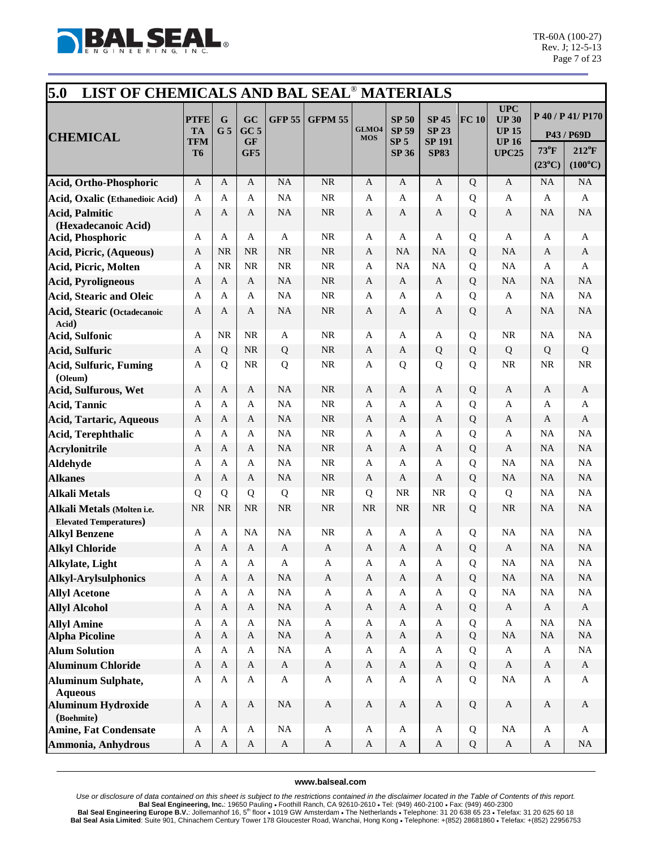

| 5.0<br>LIST OF CHEMICALS AND BAL SEAL <sup>®</sup> MATERIALS     |                                                   |                     |                                           |                |                           |                     |                                                                 |                                                              |        |                                                                            |                         |                                                                       |
|------------------------------------------------------------------|---------------------------------------------------|---------------------|-------------------------------------------|----------------|---------------------------|---------------------|-----------------------------------------------------------------|--------------------------------------------------------------|--------|----------------------------------------------------------------------------|-------------------------|-----------------------------------------------------------------------|
| <b>CHEMICAL</b>                                                  | <b>PTFE</b><br><b>TA</b><br>TFM<br>T <sub>6</sub> | G<br>G <sub>5</sub> | GC<br>GC <sub>5</sub><br><b>GF</b><br>GF5 | <b>GFP 55</b>  | <b>GFPM 55</b>            | GLMO4<br><b>MOS</b> | <b>SP 50</b><br><b>SP 59</b><br>SP <sub>5</sub><br><b>SP 36</b> | <b>SP 45</b><br><b>SP 23</b><br><b>SP 191</b><br><b>SP83</b> | FC 10  | <b>UPC</b><br><b>UP 30</b><br><b>UP 15</b><br><b>UP 16</b><br><b>UPC25</b> | 73°F<br>$(23^{\circ}C)$ | P 40 / P 41/ P170<br>P43 / P69D<br>$212^{\circ}F$<br>$(100^{\circ}C)$ |
| Acid, Ortho-Phosphoric                                           | A                                                 | A                   | A                                         | NA             | NR                        | A                   | A                                                               | A                                                            | Q      | A                                                                          | <b>NA</b>               | NA                                                                    |
| Acid, Oxalic (Ethanedioic Acid)                                  | A                                                 | A                   | A                                         | NA             | NR                        | A                   | A                                                               | A                                                            | Q      | A                                                                          | A                       | $\mathbf{A}$                                                          |
| <b>Acid, Palmitic</b>                                            | A                                                 | A                   | A                                         | <b>NA</b>      | NR                        | A                   | A                                                               | A                                                            | Q      | A                                                                          | <b>NA</b>               | NA                                                                    |
| (Hexadecanoic Acid)                                              |                                                   |                     |                                           |                |                           |                     |                                                                 |                                                              |        |                                                                            |                         |                                                                       |
| Acid, Phosphoric                                                 | A                                                 | A                   | A                                         | $\mathbf{A}$   | <b>NR</b>                 | A                   | A                                                               | A                                                            | Q      | A                                                                          | A                       | A                                                                     |
| Acid, Picric, (Aqueous)                                          | A                                                 | <b>NR</b>           | <b>NR</b>                                 | <b>NR</b>      | <b>NR</b>                 | A                   | NA                                                              | <b>NA</b>                                                    | Q      | <b>NA</b>                                                                  | A                       | $\mathbf{A}$                                                          |
| Acid, Picric, Molten                                             | A                                                 | <b>NR</b>           | NR                                        | <b>NR</b>      | NR                        | A                   | NA                                                              | <b>NA</b>                                                    | Q      | NA                                                                         | A                       | A                                                                     |
| <b>Acid, Pyroligneous</b>                                        | A                                                 | A                   | A                                         | <b>NA</b>      | <b>NR</b>                 | A                   | A                                                               | A                                                            | Q      | <b>NA</b>                                                                  | <b>NA</b>               | $\rm NA$                                                              |
| <b>Acid, Stearic and Oleic</b>                                   | A                                                 | A                   | A                                         | <b>NA</b>      | NR                        | A                   | A                                                               | A                                                            | Q      | A                                                                          | <b>NA</b>               | NA                                                                    |
| <b>Acid, Stearic (Octadecanoic</b><br>Acid)                      | A                                                 | A                   | A                                         | <b>NA</b>      | <b>NR</b>                 | A                   | A                                                               | A                                                            | Q      | $\mathbf{A}$                                                               | <b>NA</b>               | NA                                                                    |
| <b>Acid, Sulfonic</b>                                            | A                                                 | <b>NR</b>           | <b>NR</b>                                 | A              | <b>NR</b>                 | A                   | A                                                               | A                                                            | Q      | <b>NR</b>                                                                  | <b>NA</b>               | NA                                                                    |
| <b>Acid, Sulfuric</b>                                            | A                                                 | Q                   | NR                                        | Q              | <b>NR</b>                 | $\mathbf{A}$        | A                                                               | Q                                                            | Q      | Q                                                                          | Q                       | Q                                                                     |
| <b>Acid, Sulfuric, Fuming</b><br>(Oleum)<br>Acid, Sulfurous, Wet | A<br>A                                            | Q<br>A              | NR<br>A                                   | Q<br><b>NA</b> | <b>NR</b><br><b>NR</b>    | A<br>A              | Q<br>A                                                          | Q<br>A                                                       | Q<br>Q | <b>NR</b><br>$\boldsymbol{A}$                                              | <b>NR</b><br>A          | NR<br>$\mathbf{A}$                                                    |
| <b>Acid, Tannic</b>                                              | A                                                 | A                   | $\mathbf{A}$                              | <b>NA</b>      | <b>NR</b>                 | A                   | A                                                               | A                                                            | Q      | A                                                                          | A                       | A                                                                     |
| <b>Acid, Tartaric, Aqueous</b>                                   | A                                                 | A                   | A                                         | NA             | <b>NR</b>                 | A                   | A                                                               | A                                                            | Q      | $\mathbf{A}$                                                               | A                       | A                                                                     |
| <b>Acid, Terephthalic</b>                                        | A                                                 | A                   | A                                         | NA             | $\rm NR$                  | A                   | A                                                               | A                                                            | Q      | A                                                                          | <b>NA</b>               | NA                                                                    |
| <b>Acrylonitrile</b>                                             | A                                                 | A                   | A                                         | <b>NA</b>      | <b>NR</b>                 | A                   | A                                                               | A                                                            | Q      | A                                                                          | <b>NA</b>               | <b>NA</b>                                                             |
| Aldehyde                                                         | A                                                 | A                   | A                                         | <b>NA</b>      | NR                        | A                   | A                                                               | A                                                            | Q      | <b>NA</b>                                                                  | <b>NA</b>               | NA                                                                    |
| <b>Alkanes</b>                                                   | A                                                 | A                   | A                                         | <b>NA</b>      | $\rm NR$                  | $\mathbf{A}$        | A                                                               | A                                                            | Q      | <b>NA</b>                                                                  | <b>NA</b>               | NA                                                                    |
| <b>Alkali Metals</b>                                             | Q                                                 | Q                   | Q                                         | Q              | NR                        | Q                   | NR                                                              | <b>NR</b>                                                    | Q      | Q                                                                          | <b>NA</b>               | NA                                                                    |
| Alkali Metals (Molten i.e.<br><b>Elevated Temperatures)</b>      | <b>NR</b>                                         | <b>NR</b>           | <b>NR</b>                                 | <b>NR</b>      | <b>NR</b>                 | <b>NR</b>           | <b>NR</b>                                                       | <b>NR</b>                                                    | Q      | <b>NR</b>                                                                  | <b>NA</b>               | NA                                                                    |
| <b>Alkyl Benzene</b>                                             | A                                                 | A                   | <b>NA</b>                                 | NA             | NR                        | A                   | A                                                               | A                                                            | Q      | <b>NA</b>                                                                  | <b>NA</b>               | NA                                                                    |
| <b>Alkyl Chloride</b>                                            | A                                                 | A                   | A                                         | A              | $\mathbf{A}$              | A                   | A                                                               | A                                                            | Q      | $\mathbf{A}$                                                               | <b>NA</b>               | NA                                                                    |
| Alkylate, Light                                                  | $\boldsymbol{A}$                                  | A                   | A                                         | A              | A                         | A                   | A                                                               | A                                                            | Q      | <b>NA</b>                                                                  | $\rm NA$                | $\rm NA$                                                              |
| <b>Alkyl-Arylsulphonics</b>                                      | $\boldsymbol{A}$                                  | A                   | $\mathbf{A}$                              | NA             | $\mathbf{A}$              | $\mathbf{A}$        | $\mathbf{A}$                                                    | $\mathbf{A}$                                                 | Q      | <b>NA</b>                                                                  | NA                      | NA                                                                    |
| <b>Allyl Acetone</b>                                             | A                                                 | A                   | A                                         | $\rm NA$       | $\mathbf{A}$              | A                   | A                                                               | $\mathbf A$                                                  | Q      | NA                                                                         | NA                      | $\rm NA$                                                              |
| <b>Allyl Alcohol</b>                                             | A                                                 | A                   | A                                         | NA             | $\mathbf{A}$              | A                   | $\mathbf{A}$                                                    | $\mathbf{A}$                                                 | Q      | $\mathbf{A}$                                                               | $\mathbf{A}$            | $\mathbf{A}$                                                          |
| <b>Allyl Amine</b><br><b>Alpha Picoline</b>                      | A<br>$\mathbf A$                                  | A<br>$\mathbf{A}$   | A<br>$\mathbf{A}$                         | NA<br>$\rm NA$ | $\bf{A}$<br>$\mathbf{A}$  | A<br>$\mathbf{A}$   | $\mathbf{A}$<br>$\mathbf{A}$                                    | A<br>$\mathbf{A}$                                            | Q<br>Q | $\mathbf{A}$<br><b>NA</b>                                                  | NA<br>NA                | $\rm NA$<br>$\rm NA$                                                  |
| <b>Alum Solution</b>                                             | A                                                 | A                   | A                                         | $\rm NA$       | $\mathbf{A}$              | A                   | A                                                               | A                                                            | Q      | $\mathbf{A}$                                                               | $\mathbf{A}$            | $\rm NA$                                                              |
| <b>Aluminum Chloride</b>                                         | A                                                 | A                   | A                                         | $\mathbf{A}$   | $\mathbf{A}$              | $\mathbf{A}$        | $\mathbf{A}$                                                    | $\mathbf{A}$                                                 | Q      | $\mathbf{A}$                                                               | $\mathbf{A}$            | $\mathbf{A}$                                                          |
| <b>Aluminum Sulphate,</b><br><b>Aqueous</b>                      | A                                                 | A                   | A                                         | $\mathbf A$    | $\mathbf A$               | A                   | $\mathbf{A}$                                                    | A                                                            | Q      | <b>NA</b>                                                                  | A                       | $\mathbf{A}$                                                          |
| <b>Aluminum Hydroxide</b><br>(Boehmite)                          | $\boldsymbol{A}$                                  | $\mathbf{A}$        | $\mathbf{A}$                              | NA             | $\boldsymbol{\mathsf{A}}$ | A                   | $\mathbf{A}$                                                    | A                                                            | Q      | $\mathbf A$                                                                | $\mathbf{A}$            | $\mathbf{A}$                                                          |
| <b>Amine, Fat Condensate</b>                                     | A                                                 | A                   | A                                         | NA             | $\mathbf A$               | A                   | A                                                               | A                                                            | Q      | $_{\rm NA}$                                                                | A                       | $\mathbf{A}$                                                          |
| Ammonia, Anhydrous                                               | A                                                 | $\mathbf{A}$        | $\mathbf{A}$                              | $\mathbf{A}$   | $\mathbf{A}$              | $\mathbf{A}$        | $\mathbf A$                                                     | A                                                            | Q      | $\mathbf{A}$                                                               | A                       | NA                                                                    |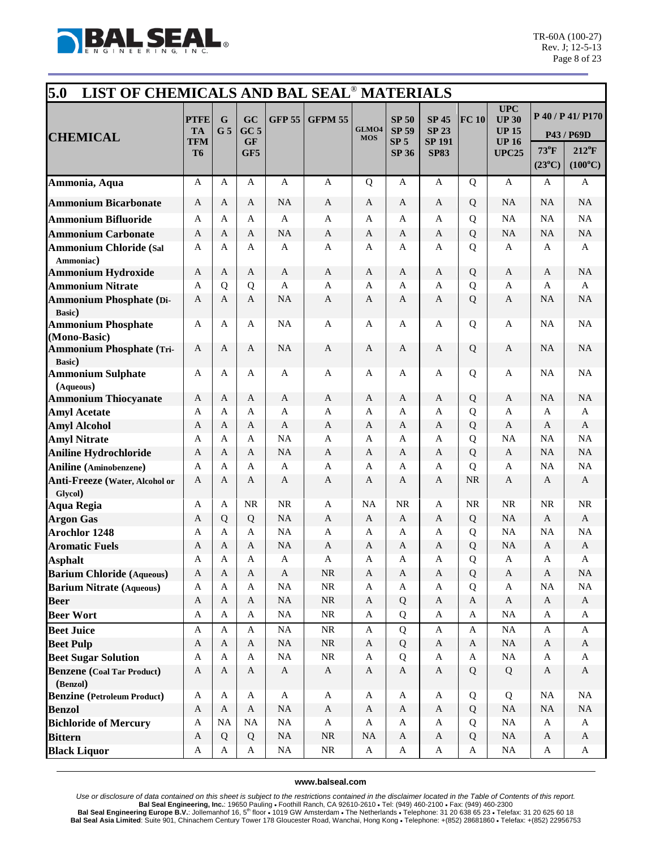

| 5.0<br>LIST OF CHEMICALS AND BAL SEAL <sup>®</sup> MATERIALS |                                                   |                     |                                           |                           |                              |                           |                                                                 |                                                              |                |                                                                            |                         |                                                                       |
|--------------------------------------------------------------|---------------------------------------------------|---------------------|-------------------------------------------|---------------------------|------------------------------|---------------------------|-----------------------------------------------------------------|--------------------------------------------------------------|----------------|----------------------------------------------------------------------------|-------------------------|-----------------------------------------------------------------------|
| <b>CHEMICAL</b>                                              | <b>PTFE</b><br><b>TA</b><br>TFM<br>T <sub>6</sub> | G<br>G <sub>5</sub> | GC<br>GC <sub>5</sub><br><b>GF</b><br>GF5 | <b>GFP 55</b>             | <b>GFPM 55</b>               | GLMO4<br><b>MOS</b>       | <b>SP 50</b><br><b>SP 59</b><br>SP <sub>5</sub><br><b>SP 36</b> | <b>SP 45</b><br><b>SP 23</b><br><b>SP 191</b><br><b>SP83</b> | FC 10          | <b>UPC</b><br><b>UP 30</b><br><b>UP 15</b><br><b>UP 16</b><br><b>UPC25</b> | 73°F<br>$(23^{\circ}C)$ | P 40 / P 41/ P170<br>P43 / P69D<br>$212^{\circ}F$<br>$(100^{\circ}C)$ |
| Ammonia, Aqua                                                | A                                                 | A                   | A                                         | A                         | $\mathbf{A}$                 | Q                         | A                                                               | A                                                            | $\mathbf Q$    | A                                                                          | A                       | A                                                                     |
| <b>Ammonium Bicarbonate</b>                                  | A                                                 | A                   | $\mathbf{A}$                              | <b>NA</b>                 | $\mathbf{A}$                 | $\mathbf{A}$              | $\mathbf{A}$                                                    | $\mathbf{A}$                                                 | Q              | <b>NA</b>                                                                  | NA                      | NA                                                                    |
| <b>Ammonium Bifluoride</b>                                   | A                                                 | A                   | A                                         | A                         | $\mathbf{A}$                 | A                         | A                                                               | A                                                            | Q              | NA                                                                         | NA                      | NA                                                                    |
| <b>Ammonium Carbonate</b>                                    | A                                                 | A                   | A                                         | <b>NA</b>                 | A                            | A                         | A                                                               | A                                                            | Q              | <b>NA</b>                                                                  | <b>NA</b>               | NA                                                                    |
| <b>Ammonium Chloride (Sal</b><br>Ammoniac)                   | $\mathbf{A}$                                      | A                   | $\mathbf{A}$                              | A                         | $\mathbf{A}$                 | A                         | A                                                               | A                                                            | Q              | $\mathbf{A}$                                                               | $\mathbf{A}$            | $\mathbf{A}$                                                          |
| <b>Ammonium Hydroxide</b>                                    | A                                                 | A                   | A                                         | A                         | $\mathbf{A}$                 | A                         | A                                                               | A                                                            | Q              | A                                                                          | A                       | NA                                                                    |
| <b>Ammonium Nitrate</b>                                      | $\mathbf{A}$                                      | Q                   | Q                                         | A                         | $\mathbf{A}$                 | A                         | A                                                               | A                                                            | Q              | $\mathbf{A}$                                                               | A                       | $\mathbf{A}$                                                          |
| <b>Ammonium Phosphate (Di-</b><br>Basic)                     | A                                                 | A                   | $\mathbf{A}$                              | <b>NA</b>                 | $\mathbf{A}$                 | A                         | A                                                               | A                                                            | Q              | $\mathbf{A}$                                                               | <b>NA</b>               | NA                                                                    |
| <b>Ammonium Phosphate</b><br>(Mono-Basic)                    | A                                                 | A                   | A                                         | <b>NA</b>                 | $\mathbf{A}$                 | A                         | A                                                               | A                                                            | Q              | $\mathbf{A}$                                                               | <b>NA</b>               | NA                                                                    |
| <b>Ammonium Phosphate (Tri-</b><br>Basic)                    | $\mathbf{A}$                                      | A                   | A                                         | <b>NA</b>                 | $\mathbf{A}$                 | A                         | A                                                               | A                                                            | Q              | A                                                                          | NA                      | NA                                                                    |
| <b>Ammonium Sulphate</b><br>(Aqueous)                        | A                                                 | A                   | A                                         | A                         | A                            | A                         | A                                                               | A                                                            | Q              | A                                                                          | <b>NA</b>               | NA                                                                    |
| <b>Ammonium Thiocyanate</b>                                  | A                                                 | A                   | $\mathbf{A}$                              | A                         | $\mathbf{A}$                 | A                         | A                                                               | A                                                            | Q              | $\mathbf{A}$                                                               | <b>NA</b>               | NA                                                                    |
| <b>Amyl Acetate</b>                                          | $\mathbf{A}$                                      | A                   | A                                         | A                         | $\mathbf{A}$                 | A                         | A                                                               | A                                                            | Q              | A                                                                          | $\mathbf{A}$            | A                                                                     |
| <b>Amyl Alcohol</b>                                          | A                                                 | A                   | A                                         | A                         | $\mathbf{A}$                 | A                         | A                                                               | A                                                            | Q              | $\mathbf{A}$                                                               | A                       | $\mathbf{A}$                                                          |
| <b>Amyl Nitrate</b>                                          | A                                                 | A                   | A                                         | <b>NA</b>                 | $\mathbf{A}$                 | A                         | A                                                               | A                                                            | Q              | <b>NA</b>                                                                  | <b>NA</b>               | NA                                                                    |
| <b>Aniline Hydrochloride</b>                                 | A<br>A                                            | A<br>A              | $\mathbf{A}$<br>A                         | <b>NA</b><br>A            | $\mathbf{A}$<br>$\mathbf{A}$ | $\mathbf{A}$<br>A         | A<br>A                                                          | A<br>A                                                       | Q<br>Q         | $\mathbf{A}$<br>A                                                          | <b>NA</b><br>NA         | NA<br>NA                                                              |
| <b>Aniline</b> (Aminobenzene)                                | A                                                 | A                   | A                                         | A                         | A                            | A                         | A                                                               | A                                                            | NR             | A                                                                          | A                       | $\mathbf{A}$                                                          |
| Anti-Freeze (Water, Alcohol or<br>Glycol)                    |                                                   |                     |                                           |                           |                              |                           |                                                                 |                                                              |                |                                                                            |                         |                                                                       |
| <b>Aqua Regia</b>                                            | A                                                 | A                   | <b>NR</b>                                 | <b>NR</b>                 | $\mathbf{A}$                 | NA                        | NR                                                              | A                                                            | <b>NR</b>      | <b>NR</b>                                                                  | <b>NR</b>               | $\rm NR$                                                              |
| <b>Argon Gas</b>                                             | A                                                 | Q                   | Q                                         | <b>NA</b>                 | $\mathbf{A}$                 | A                         | $\mathbf{A}$                                                    | A                                                            | Q              | NA                                                                         | $\mathbf{A}$            | $\mathbf{A}$                                                          |
| <b>Arochlor 1248</b>                                         | A                                                 | A                   | A                                         | <b>NA</b>                 | $\mathbf{A}$                 | A                         | A                                                               | A                                                            | Q              | NA                                                                         | NA                      | NA                                                                    |
| <b>Aromatic Fuels</b>                                        | Α                                                 | A                   | $\mathbf{A}$                              | <b>NA</b>                 | $\mathbf{A}$                 | A                         | A                                                               | $\mathbf{A}$                                                 | Q              | <b>NA</b>                                                                  | A                       | $\mathbf{A}$                                                          |
| <b>Asphalt</b>                                               | A                                                 | A                   | A                                         | A                         | $\boldsymbol{A}$             | A                         | A                                                               | A                                                            | $\overline{O}$ | A                                                                          | A                       | A                                                                     |
| <b>Barium Chloride</b> (Aqueous)                             | $\mathbf{A}$                                      | $\mathbf{A}$        | $\mathbf{A}$                              | $\mathbf{A}$              | $\rm NR$                     | $\mathbf{A}$              | A                                                               | $\mathbf{A}$                                                 | Q              | A                                                                          | A                       | $\rm NA$                                                              |
| <b>Barium Nitrate (Aqueous)</b>                              | $\mathbf A$                                       | A                   | $\mathbf{A}$                              | NA                        | $\rm NR$                     | $\mathbf A$               | A                                                               | A                                                            | Q              | $\mathbf{A}$                                                               | <b>NA</b>               | $\rm NA$                                                              |
| <b>Beer</b>                                                  | $\mathbf{A}$                                      | A                   | $\mathbf{A}$                              | NA                        | $\rm NR$                     | $\mathbf{A}$              | Q                                                               | $\mathbf{A}$                                                 | $\mathbf{A}$   | $\mathbf{A}$                                                               | $\mathbf{A}$            | $\mathbf{A}$                                                          |
| <b>Beer Wort</b>                                             | $\mathbf A$                                       | A                   | $\mathbf{A}$                              | $\rm NA$                  | $\rm NR$                     | A                         | Q                                                               | $\mathbf A$                                                  | $\mathbf{A}$   | $\rm NA$                                                                   | A                       | A                                                                     |
| <b>Beet Juice</b>                                            | $\mathbf A$                                       | $\mathbf A$         | $\mathbf{A}$                              | NA                        | $\rm NR$                     | A                         | Q                                                               | $\mathbf{A}$                                                 | $\mathbf A$    | $\rm NA$                                                                   | A                       | $\mathbf{A}$                                                          |
| <b>Beet Pulp</b>                                             | $\mathbf{A}$                                      | $\mathbf{A}$        | $\mathbf{A}$                              | NA                        | $\rm NR$                     | A                         | Q                                                               | $\mathbf{A}$                                                 | $\mathbf{A}$   | <b>NA</b>                                                                  | $\mathbf{A}$            | $\mathbf{A}$                                                          |
| <b>Beet Sugar Solution</b>                                   | A                                                 | A                   | $\mathbf{A}$                              | NA                        | $\rm NR$                     | A                         | Q                                                               | A                                                            | A              | <b>NA</b>                                                                  | A                       | $\mathbf{A}$                                                          |
| <b>Benzene</b> (Coal Tar Product)<br>(Benzol)                | $\mathbf{A}$                                      | $\mathbf{A}$        | $\mathbf{A}$                              | $\boldsymbol{\mathsf{A}}$ | $\mathbf A$                  | $\boldsymbol{\mathsf{A}}$ | $\boldsymbol{A}$                                                | $\mathbf{A}$                                                 | Q              | Q                                                                          | $\mathbf{A}$            | $\mathbf{A}$                                                          |
| <b>Benzine</b> (Petroleum Product)                           | A                                                 | A                   | $\mathbf{A}$                              | A                         | A                            | A                         | A                                                               | A                                                            | Q              | Q                                                                          | NA                      | $\rm NA$                                                              |
| <b>Benzol</b>                                                | $\mathbf{A}$                                      | $\mathbf{A}$        | $\mathbf{A}$                              | NA                        | $\boldsymbol{\mathsf{A}}$    | $\mathbf{A}$              | A                                                               | $\mathbf{A}$                                                 | Q              | NA                                                                         | $\rm NA$                | $\rm NA$                                                              |
| <b>Bichloride of Mercury</b>                                 | A                                                 | NA                  | NA                                        | <b>NA</b>                 | $\mathbf{A}$                 | $\mathbf{A}$              | $\mathbf{A}$                                                    | $\mathbf A$                                                  | Q              | $\rm NA$                                                                   | $\mathbf{A}$            | A                                                                     |
| <b>Bittern</b>                                               | $\mathbf{A}$                                      | Q                   | Q                                         | <b>NA</b>                 | $\rm NR$                     | <b>NA</b>                 | $\mathbf{A}$                                                    | $\mathbf{A}$                                                 | Q              | <b>NA</b>                                                                  | $\mathbf{A}$            | $\mathbf{A}$                                                          |
| <b>Black Liquor</b>                                          | $\mathbf A$                                       | A                   | $\mathbf{A}$                              | NA                        | $\rm NR$                     | $\mathbf{A}$              | $\mathbf A$                                                     | $\mathbf{A}$                                                 | $\mathbf{A}$   | NA                                                                         | A                       | $\mathbf{A}$                                                          |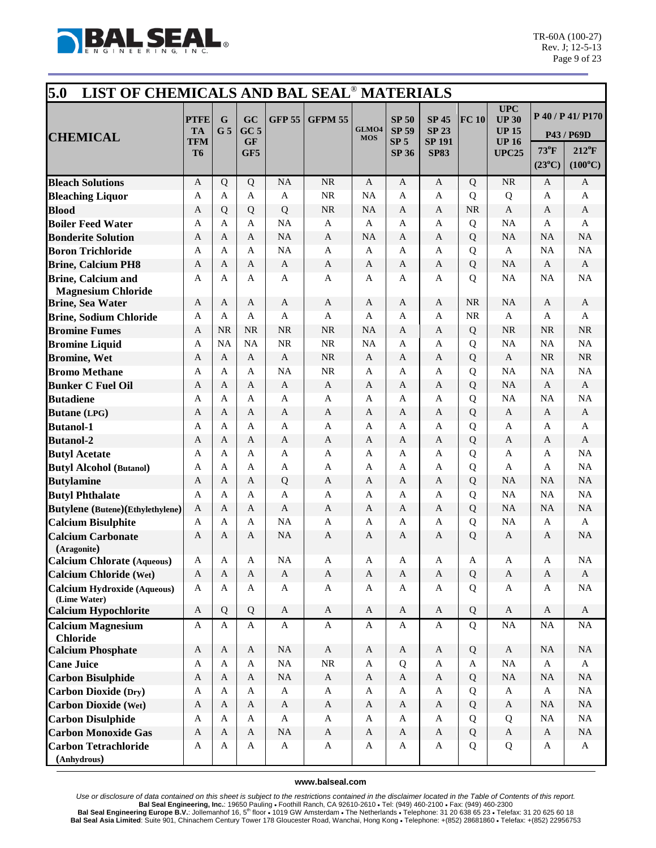

| 5.0<br>LIST OF CHEMICALS AND BAL SEAL <sup>®</sup> MATERIALS |                                       |                     |                                           |                           |                           |                     |                                                                 |                                                              |           |                                                                           |                                   |                                                                       |
|--------------------------------------------------------------|---------------------------------------|---------------------|-------------------------------------------|---------------------------|---------------------------|---------------------|-----------------------------------------------------------------|--------------------------------------------------------------|-----------|---------------------------------------------------------------------------|-----------------------------------|-----------------------------------------------------------------------|
| <b>CHEMICAL</b>                                              | <b>PTFE</b><br><b>TA</b><br>TFM<br>T6 | G<br>G <sub>5</sub> | GC<br>GC <sub>5</sub><br><b>GF</b><br>GF5 | <b>GFP 55</b>             | <b>GFPM 55</b>            | GLMO4<br><b>MOS</b> | <b>SP 50</b><br><b>SP 59</b><br>SP <sub>5</sub><br><b>SP 36</b> | <b>SP 45</b><br><b>SP 23</b><br><b>SP 191</b><br><b>SP83</b> | FC 10     | <b>UPC</b><br><b>UP 30</b><br><b>UP 15</b><br><b>UP16</b><br><b>UPC25</b> | $73^{\circ}$ F<br>$(23^{\circ}C)$ | P 40 / P 41/ P170<br>P43 / P69D<br>$212^{\circ}F$<br>$(100^{\circ}C)$ |
| <b>Bleach Solutions</b>                                      | $\mathbf{A}$                          | Q                   | Q                                         | <b>NA</b>                 | <b>NR</b>                 | $\mathbf{A}$        | A                                                               | $\mathbf{A}$                                                 | Q         | NR                                                                        | A                                 | $\mathbf{A}$                                                          |
| <b>Bleaching Liquor</b>                                      | A                                     | A                   | A                                         | A                         | <b>NR</b>                 | NA                  | A                                                               | A                                                            | Q         | Q                                                                         | A                                 | A                                                                     |
| <b>Blood</b>                                                 | A                                     | Q                   | Q                                         | Q                         | <b>NR</b>                 | <b>NA</b>           | A                                                               | A                                                            | <b>NR</b> | $\mathbf{A}$                                                              | A                                 | A                                                                     |
| <b>Boiler Feed Water</b>                                     | A                                     | A                   | A                                         | <b>NA</b>                 | $\mathbf{A}$              | A                   | A                                                               | A                                                            | Q         | <b>NA</b>                                                                 | A                                 | A                                                                     |
| <b>Bonderite Solution</b>                                    | A                                     | A                   | $\mathbf{A}$                              | <b>NA</b>                 | A                         | NA                  | A                                                               | A                                                            | Q         | <b>NA</b>                                                                 | NA                                | NA                                                                    |
| <b>Boron Trichloride</b>                                     | A                                     | A                   | A                                         | <b>NA</b>                 | $\mathbf{A}$              | A                   | A                                                               | A                                                            | Q         | $\mathbf{A}$                                                              | NA                                | NA                                                                    |
| <b>Brine, Calcium PH8</b>                                    | A                                     | A                   | A                                         | A                         | A                         | A                   | A                                                               | A                                                            | Q         | <b>NA</b>                                                                 | A                                 | A                                                                     |
| <b>Brine, Calcium and</b>                                    | A                                     | A                   | A                                         | A                         | A                         | A                   | A                                                               | A                                                            | Q         | NA                                                                        | <b>NA</b>                         | NA                                                                    |
| <b>Magnesium Chloride</b>                                    |                                       |                     |                                           |                           |                           |                     |                                                                 |                                                              |           |                                                                           |                                   |                                                                       |
| <b>Brine, Sea Water</b>                                      | A                                     | A                   | $\mathbf{A}$                              | A                         | A                         | A                   | A                                                               | A                                                            | <b>NR</b> | <b>NA</b>                                                                 | A                                 | A                                                                     |
| <b>Brine, Sodium Chloride</b>                                | A                                     | A                   | A                                         | A                         | A                         | A                   | A                                                               | A                                                            | <b>NR</b> | A                                                                         | A                                 | A                                                                     |
| <b>Bromine Fumes</b>                                         | A                                     | <b>NR</b>           | <b>NR</b>                                 | <b>NR</b>                 | <b>NR</b>                 | NA                  | A                                                               | A                                                            | Q         | <b>NR</b>                                                                 | <b>NR</b>                         | $\rm NR$                                                              |
| <b>Bromine Liquid</b>                                        | $\mathbf{A}$                          | <b>NA</b>           | <b>NA</b>                                 | <b>NR</b>                 | NR                        | NA                  | A                                                               | A                                                            | Q         | <b>NA</b>                                                                 | NA                                | NA                                                                    |
| <b>Bromine</b> , Wet                                         | A                                     | A                   | $\mathbf{A}$                              | $\mathbf{A}$              | NR                        | A                   | A                                                               | A                                                            | Q         | $\mathbf{A}$                                                              | NR                                | $\rm NR$                                                              |
| <b>Bromo Methane</b>                                         | A                                     | A                   | A                                         | <b>NA</b>                 | <b>NR</b>                 | A                   | A                                                               | A                                                            | Q         | NA                                                                        | NA                                | NA                                                                    |
| <b>Bunker C Fuel Oil</b>                                     | A                                     | A                   | A                                         | A                         | A                         | A                   | A                                                               | A                                                            | Q         | NA                                                                        | A                                 | A                                                                     |
| <b>Butadiene</b>                                             | A                                     | A                   | A                                         | A                         | A                         | A                   | A                                                               | A                                                            | Q         | <b>NA</b>                                                                 | <b>NA</b>                         | NA                                                                    |
| <b>Butane</b> (LPG)                                          | A                                     | A                   | A                                         | A                         | A                         | A                   | A                                                               | A                                                            | Q         | A                                                                         | A                                 | A                                                                     |
| <b>Butanol-1</b>                                             | A                                     | A                   | A                                         | A                         | $\mathbf{A}$              | A                   | A                                                               | A                                                            | Q         | A                                                                         | A                                 | A                                                                     |
| <b>Butanol-2</b>                                             | A                                     | A                   | A                                         | A                         | $\mathbf{A}$              | A                   | A                                                               | A                                                            | Q         | A                                                                         | A                                 | $\mathbf{A}$                                                          |
| <b>Butyl Acetate</b>                                         | $\mathbf{A}$                          | A                   | $\mathbf{A}$                              | A                         | $\mathbf{A}$              | A                   | A                                                               | A                                                            | Q         | $\mathbf{A}$                                                              | A                                 | NA                                                                    |
| <b>Butyl Alcohol (Butanol)</b>                               | A                                     | А                   | A                                         | A                         | A                         | A                   | A                                                               | A                                                            | Q         | A                                                                         | A                                 | NA                                                                    |
| <b>Butylamine</b>                                            | A                                     | A                   | A                                         | Q                         | $\mathbf{A}$              | A                   | A                                                               | A                                                            | Q         | <b>NA</b>                                                                 | <b>NA</b>                         | NA                                                                    |
| <b>Butyl Phthalate</b>                                       | A                                     | A                   | A                                         | A                         | $\mathbf{A}$              | A                   | A                                                               | A                                                            | Q         | <b>NA</b>                                                                 | NA                                | NA                                                                    |
| <b>Butylene</b> (Butene)(Ethylethylene)                      | A                                     | A                   | A                                         | A                         | A                         | A                   | A                                                               | A                                                            | Q         | <b>NA</b>                                                                 | NA                                | NA                                                                    |
| <b>Calcium Bisulphite</b>                                    | A                                     | A                   | A                                         | <b>NA</b>                 | A                         | A                   | A                                                               | A                                                            | Q         | NA                                                                        | A                                 | A                                                                     |
| <b>Calcium Carbonate</b><br>(Aragonite)                      | A                                     | A                   | A                                         | <b>NA</b>                 | A                         | A                   | A                                                               | A                                                            | Q         | A                                                                         | A                                 | <b>NA</b>                                                             |
| <b>Calcium Chlorate (Aqueous)</b>                            | A                                     | A                   | A                                         | <b>NA</b>                 | A                         | A                   | A                                                               | A                                                            | A         | A                                                                         | A                                 | NA                                                                    |
| <b>Calcium Chloride (Wet)</b>                                | $\boldsymbol{A}$                      | $\mathbf{A}$        | $\mathbf{A}$                              | $\mathbf{A}$              | $\mathbf{A}$              | $\mathbf A$         | $\mathbf{A}$                                                    | $\mathbf{A}$                                                 | Q         | $\mathbf{A}$                                                              | A                                 | $\mathbf{A}$                                                          |
| <b>Calcium Hydroxide (Aqueous)</b><br>(Lime Water)           | $\mathbf{A}$                          | A                   | $\mathbf{A}$                              | $\mathbf A$               | $\mathbf{A}$              | A                   | $\mathbf{A}$                                                    | A                                                            | Q         | A                                                                         | A                                 | $\rm NA$                                                              |
| <b>Calcium Hypochlorite</b>                                  | $\mathbf{A}$                          | Q                   | Q                                         | $\mathbf{A}$              | $\mathbf{A}$              | A                   | $\boldsymbol{A}$                                                | $\mathbf{A}$                                                 | Q         | $\mathbf{A}$                                                              | A                                 | $\mathbf{A}$                                                          |
| <b>Calcium Magnesium</b><br><b>Chloride</b>                  | $\mathbf A$                           | $\mathbf A$         | $\mathbf{A}$                              | $\mathbf{A}$              | $\mathbf{A}$              | A                   | $\mathbf{A}$                                                    | $\mathbf A$                                                  | Q         | NA                                                                        | $\rm NA$                          | $\rm NA$                                                              |
| <b>Calcium Phosphate</b>                                     | $\boldsymbol{A}$                      | $\mathbf{A}$        | $\mathbf{A}$                              | <b>NA</b>                 | $\mathbf{A}$              | A                   | $\boldsymbol{A}$                                                | $\mathbf{A}$                                                 | Q         | $\mathbf{A}$                                                              | NA                                | NA                                                                    |
| <b>Cane Juice</b>                                            | A                                     | A                   | A                                         | <b>NA</b>                 | $\rm NR$                  | A                   | Q                                                               | A                                                            | A         | <b>NA</b>                                                                 | A                                 | $\mathbf{A}$                                                          |
| <b>Carbon Bisulphide</b>                                     | $\mathbf{A}$                          | $\mathbf{A}$        | A                                         | <b>NA</b>                 | $\boldsymbol{\mathsf{A}}$ | A                   | $\mathbf{A}$                                                    | $\mathbf{A}$                                                 | Q         | <b>NA</b>                                                                 | NA                                | $\rm NA$                                                              |
| <b>Carbon Dioxide (Dry)</b>                                  | A                                     | A                   | $\mathbf{A}$                              | $\mathbf A$               | $\mathbf{A}$              | A                   | A                                                               | $\mathbf{A}$                                                 | Q         | $\mathbf{A}$                                                              | $\mathbf{A}$                      | $\rm NA$                                                              |
| <b>Carbon Dioxide (Wet)</b>                                  | $\mathbf{A}$                          | $\mathbf{A}$        | $\mathbf{A}$                              | $\mathbf{A}$              | $\mathbf A$               | $\mathbf A$         | $\boldsymbol{A}$                                                | $\mathbf{A}$                                                 | Q         | $\mathbf{A}$                                                              | NA                                | $\rm NA$                                                              |
| <b>Carbon Disulphide</b>                                     | A                                     | A                   | $\mathbf{A}$                              | A                         | A                         | A                   | A                                                               | A                                                            | Q         | Q                                                                         | <b>NA</b>                         | $\rm NA$                                                              |
| <b>Carbon Monoxide Gas</b>                                   | $\boldsymbol{A}$                      | $\mathbf{A}$        | $\mathbf{A}$                              | <b>NA</b>                 | $\boldsymbol{\mathsf{A}}$ | $\mathbf A$         | $\boldsymbol{A}$                                                | $\mathbf{A}$                                                 | Q         | $\boldsymbol{\mathsf{A}}$                                                 | $\mathbf{A}$                      | $\rm NA$                                                              |
| <b>Carbon Tetrachloride</b><br>(Anhydrous)                   | A                                     | A                   | $\mathbf{A}$                              | $\boldsymbol{\mathsf{A}}$ | $\mathbf{A}$              | A                   | A                                                               | A                                                            | Q         | Q                                                                         | $\mathbf{A}$                      | $\mathbf{A}$                                                          |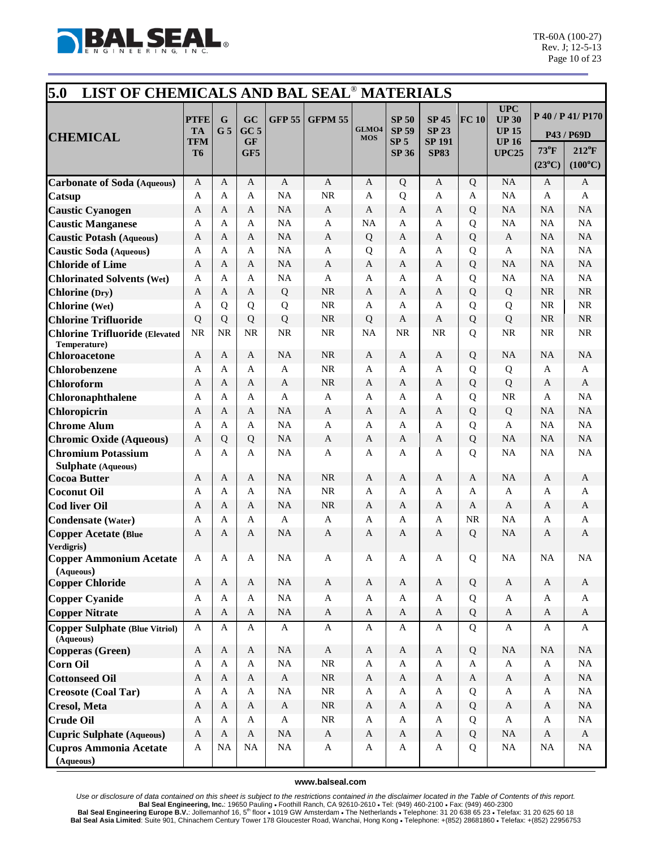

| 5.0<br>LIST OF CHEMICALS AND BAL SEAL <sup>®</sup> MATERIALS         |                                       |                     |                                           |               |                |                     |                                                          |                                                              |           |                                                                           |                                   |                                                                       |
|----------------------------------------------------------------------|---------------------------------------|---------------------|-------------------------------------------|---------------|----------------|---------------------|----------------------------------------------------------|--------------------------------------------------------------|-----------|---------------------------------------------------------------------------|-----------------------------------|-----------------------------------------------------------------------|
| <b>CHEMICAL</b>                                                      | <b>PTFE</b><br><b>TA</b><br>TFM<br>T6 | G<br>G <sub>5</sub> | GC<br>GC <sub>5</sub><br><b>GF</b><br>GF5 | <b>GFP 55</b> | <b>GFPM 55</b> | GLMO4<br><b>MOS</b> | <b>SP 50</b><br><b>SP 59</b><br>SP <sub>5</sub><br>SP 36 | <b>SP 45</b><br><b>SP 23</b><br><b>SP 191</b><br><b>SP83</b> | FC 10     | <b>UPC</b><br><b>UP 30</b><br><b>UP 15</b><br><b>UP16</b><br><b>UPC25</b> | $73^{\circ}$ F<br>$(23^{\circ}C)$ | P 40 / P 41/ P170<br>P43 / P69D<br>$212^{\circ}F$<br>$(100^{\circ}C)$ |
| <b>Carbonate of Soda</b> (Aqueous)                                   | $\mathbf{A}$                          | A                   | $\mathbf{A}$                              | $\mathbf{A}$  | $\mathbf{A}$   | A                   | Q                                                        | $\mathbf{A}$                                                 | Q         | NA                                                                        | A                                 | A                                                                     |
| Catsup                                                               | A                                     | A                   | A                                         | <b>NA</b>     | <b>NR</b>      | A                   | Q                                                        | A                                                            | A         | <b>NA</b>                                                                 | A                                 | A                                                                     |
| <b>Caustic Cyanogen</b>                                              | A                                     | A                   | A                                         | <b>NA</b>     | A              | A                   | A                                                        | A                                                            | Q         | <b>NA</b>                                                                 | <b>NA</b>                         | NA                                                                    |
| <b>Caustic Manganese</b>                                             | A                                     | A                   | A                                         | <b>NA</b>     | A              | <b>NA</b>           | A                                                        | A                                                            | Q         | <b>NA</b>                                                                 | <b>NA</b>                         | NA                                                                    |
| <b>Caustic Potash (Aqueous)</b>                                      | A                                     | А                   | A                                         | <b>NA</b>     | A              | Q                   | A                                                        | A                                                            | Q         | A                                                                         | NA                                | NA                                                                    |
| <b>Caustic Soda</b> (Aqueous)                                        | A                                     | A                   | A                                         | <b>NA</b>     | A              | Q                   | A                                                        | A                                                            | Q         | A                                                                         | NA                                | NA                                                                    |
| <b>Chloride of Lime</b>                                              | A                                     | A                   | A                                         | <b>NA</b>     | A              | A                   | A                                                        | A                                                            | Q         | <b>NA</b>                                                                 | NA                                | NA                                                                    |
| <b>Chlorinated Solvents (Wet)</b>                                    | A                                     | A                   | A                                         | <b>NA</b>     | A              | A                   | A                                                        | A                                                            | Q         | <b>NA</b>                                                                 | <b>NA</b>                         | NA                                                                    |
| <b>Chlorine</b> (Dry)                                                | A                                     | A                   | A                                         | Q             | <b>NR</b>      | A                   | A                                                        | A                                                            | Q         | Q                                                                         | NR                                | NR                                                                    |
| <b>Chlorine</b> (Wet)                                                | A                                     | Q                   | Q                                         | Q             | <b>NR</b>      | A                   | A                                                        | A                                                            | Q         | Q                                                                         | <b>NR</b>                         | <b>NR</b>                                                             |
| <b>Chlorine Trifluoride</b>                                          | Q                                     | Q                   | Q                                         | Q             | <b>NR</b>      | Q                   | A                                                        | A                                                            | Q         | Q                                                                         | <b>NR</b>                         | NR                                                                    |
| <b>Chlorine Trifluoride (Elevated</b><br>Temperature)                | <b>NR</b>                             | <b>NR</b>           | <b>NR</b>                                 | <b>NR</b>     | <b>NR</b>      | NA                  | <b>NR</b>                                                | NR                                                           | Q         | <b>NR</b>                                                                 | <b>NR</b>                         | NR                                                                    |
| <b>Chloroacetone</b>                                                 | $\mathbf{A}$                          | A                   | $\mathbf{A}$                              | <b>NA</b>     | <b>NR</b>      | A                   | A                                                        | A                                                            | Q         | <b>NA</b>                                                                 | <b>NA</b>                         | NA                                                                    |
| Chlorobenzene                                                        | A                                     | A                   | A                                         | A             | <b>NR</b>      | A                   | A                                                        | A                                                            | Q         | Q                                                                         | A                                 | A                                                                     |
| <b>Chloroform</b>                                                    | A                                     | A                   | A                                         | A             | <b>NR</b>      | A                   | A                                                        | A                                                            | Q         | Q                                                                         | A                                 | A                                                                     |
| <b>Chloronaphthalene</b>                                             | A                                     | A                   | A                                         | A             | A              | A                   | A                                                        | A                                                            | Q         | <b>NR</b>                                                                 | A                                 | NA                                                                    |
| Chloropicrin                                                         | A                                     | A                   | A                                         | NA            | A              | A                   | A                                                        | A                                                            | Q         | Q                                                                         | NA                                | NA                                                                    |
| <b>Chrome Alum</b>                                                   | A                                     | A                   | A                                         | <b>NA</b>     | $\mathbf{A}$   | A                   | A                                                        | A                                                            | Q         | $\mathbf{A}$                                                              | <b>NA</b>                         | NA                                                                    |
| <b>Chromic Oxide (Aqueous)</b>                                       | A                                     | Q                   | Q                                         | <b>NA</b>     | A              | A                   | A                                                        | A                                                            | Q         | <b>NA</b>                                                                 | <b>NA</b>                         | NA                                                                    |
| <b>Chromium Potassium</b><br>Sulphate (Aqueous)                      | $\mathbf{A}$                          | A                   | A                                         | <b>NA</b>     | A              | A                   | A                                                        | A                                                            | Q         | <b>NA</b>                                                                 | <b>NA</b>                         | NA                                                                    |
| <b>Cocoa Butter</b>                                                  | A                                     | A                   | A                                         | <b>NA</b>     | <b>NR</b>      | A                   | A                                                        | A                                                            | A         | <b>NA</b>                                                                 | A                                 | A                                                                     |
| <b>Coconut Oil</b>                                                   | A                                     | A                   | A                                         | <b>NA</b>     | <b>NR</b>      | A                   | A                                                        | A                                                            | A         | A                                                                         | A                                 | A                                                                     |
| <b>Cod liver Oil</b>                                                 | A                                     | A                   | A                                         | <b>NA</b>     | <b>NR</b>      | A                   | A                                                        | A                                                            | A         | A                                                                         | A                                 | A                                                                     |
| <b>Condensate (Water)</b>                                            | A                                     | A                   | A                                         | A             | $\mathbf{A}$   | A                   | A                                                        | A                                                            | <b>NR</b> | <b>NA</b>                                                                 | A                                 | A                                                                     |
| <b>Copper Acetate (Blue</b><br>Verdigris)                            | A                                     | А                   | A                                         | <b>NA</b>     | A              | A                   | A                                                        | A                                                            | Q         | <b>NA</b>                                                                 | A                                 | A                                                                     |
| <b>Copper Ammonium Acetate</b><br>(Aqueous)                          | A                                     | A                   | $\mathbf{A}$                              | <b>NA</b>     | A              | A                   | A                                                        | A                                                            | Q         | <b>NA</b>                                                                 | <b>NA</b>                         | <b>NA</b>                                                             |
| <b>Copper Chloride</b>                                               | $\mathbf{A}$                          | A                   | $\mathbf{A}$                              | <b>NA</b>     | $\mathbf{A}$   | $\mathbf{A}$        | $\mathbf A$                                              | $\mathbf{A}$                                                 | Q         | $\mathbf{A}$                                                              | $\mathbf{A}$                      | $\mathbf{A}$                                                          |
| <b>Copper Cyanide</b>                                                | A                                     | A                   | $\mathbf{A}$                              | <b>NA</b>     | $\mathbf{A}$   | A                   | A                                                        | A                                                            | Q         | $\mathbf{A}$                                                              | A                                 | A                                                                     |
| <b>Copper Nitrate</b>                                                | $\mathbf{A}$                          | A                   | A                                         | <b>NA</b>     | $\mathbf{A}$   | A                   | $\mathbf{A}$                                             | $\mathbf{A}$                                                 | Q         | $\mathbf{A}$                                                              | A                                 | $\mathbf{A}$                                                          |
| <b>Copper Sulphate (Blue Vitriol)</b><br>$(\bar{\mathbf{A}}$ queous) | $\mathbf A$                           | A                   | $\mathbf{A}$                              | $\mathbf{A}$  | $\mathbf{A}$   | A                   | A                                                        | A                                                            | Q         | $\mathbf{A}$                                                              | A                                 | A                                                                     |
| Copperas (Green)                                                     | $\mathbf{A}$                          | $\mathbf{A}$        | $\mathbf{A}$                              | <b>NA</b>     | $\mathbf{A}$   | $\mathbf A$         | A                                                        | $\mathbf{A}$                                                 | Q         | <b>NA</b>                                                                 | <b>NA</b>                         | NA                                                                    |
| <b>Corn Oil</b>                                                      | A                                     | A                   | A                                         | <b>NA</b>     | $\rm NR$       | A                   | A                                                        | $\mathbf{A}$                                                 | A         | $\mathbf{A}$                                                              | $\mathbf{A}$                      | NA                                                                    |
| <b>Cottonseed Oil</b>                                                | $\mathbf{A}$                          | A                   | $\mathbf{A}$                              | $\mathbf{A}$  | $\rm NR$       | $\mathbf A$         | $\mathbf{A}$                                             | $\mathbf{A}$                                                 | A         | $\mathbf{A}$                                                              | $\mathbf{A}$                      | $\rm NA$                                                              |
| <b>Creosote (Coal Tar)</b>                                           | A                                     | A                   | $\mathbf{A}$                              | <b>NA</b>     | $\rm NR$       | A                   | A                                                        | A                                                            | Q         | $\mathbf{A}$                                                              | A                                 | $\rm NA$                                                              |
| <b>Cresol</b> , Meta                                                 | $\mathbf{A}$                          | $\mathbf{A}$        | $\mathbf{A}$                              | A             | $\rm NR$       | A                   | $\mathbf{A}$                                             | $\mathbf{A}$                                                 | Q         | $\mathbf{A}$                                                              | $\mathbf{A}$                      | NA                                                                    |
| <b>Crude Oil</b>                                                     | A                                     | A                   | $\mathbf{A}$                              | $\mathbf A$   | $\rm NR$       | A                   | A                                                        | A                                                            | Q         | $\mathbf{A}$                                                              | A                                 | $\rm NA$                                                              |
| <b>Cupric Sulphate (Aqueous)</b>                                     | $\mathbf{A}$                          | A                   | A                                         | NA            | $\mathbf{A}$   | A                   | $\mathbf{A}$                                             | A                                                            | Q         | NA                                                                        | A                                 | $\mathbf{A}$                                                          |
| <b>Cupros Ammonia Acetate</b><br>(Aqueous)                           | A                                     | <b>NA</b>           | NA                                        | $_{\rm NA}$   | $\mathbf{A}$   | A                   | A                                                        | $\mathbf{A}$                                                 | Q         | NA                                                                        | NA                                | NA                                                                    |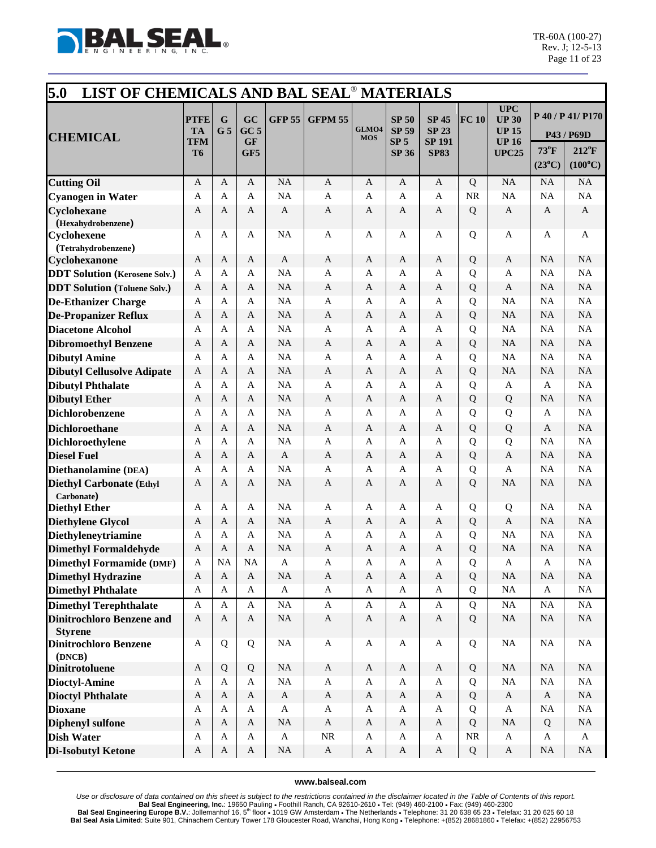

| 5.0<br>LIST OF CHEMICALS AND BAL SEAL <sup>®</sup> MATERIALS |                                                   |                     |                                           |               |                           |                     |                                                                 |                                                              |           |                                                                           |                                   |                                                                       |
|--------------------------------------------------------------|---------------------------------------------------|---------------------|-------------------------------------------|---------------|---------------------------|---------------------|-----------------------------------------------------------------|--------------------------------------------------------------|-----------|---------------------------------------------------------------------------|-----------------------------------|-----------------------------------------------------------------------|
| <b>CHEMICAL</b>                                              | <b>PTFE</b><br><b>TA</b><br>TFM<br>T <sub>6</sub> | G<br>G <sub>5</sub> | GC<br>GC <sub>5</sub><br><b>GF</b><br>GF5 | <b>GFP 55</b> | <b>GFPM 55</b>            | GLMO4<br><b>MOS</b> | <b>SP 50</b><br><b>SP 59</b><br>SP <sub>5</sub><br><b>SP 36</b> | <b>SP 45</b><br><b>SP 23</b><br><b>SP 191</b><br><b>SP83</b> | FC 10     | <b>UPC</b><br><b>UP 30</b><br><b>UP 15</b><br><b>UP16</b><br><b>UPC25</b> | $73^{\circ}$ F<br>$(23^{\circ}C)$ | P 40 / P 41/ P170<br>P43 / P69D<br>$212^{\circ}F$<br>$(100^{\circ}C)$ |
| <b>Cutting Oil</b>                                           | $\mathbf{A}$                                      | A                   | $\mathbf{A}$                              | <b>NA</b>     | $\mathbf{A}$              | $\mathbf{A}$        | A                                                               | $\mathbf{A}$                                                 | Q         | NA                                                                        | NA                                | NA                                                                    |
| <b>Cyanogen</b> in Water                                     | $\mathbf{A}$                                      | $\mathbf{A}$        | $\mathbf{A}$                              | <b>NA</b>     | $\mathbf{A}$              | A                   | A                                                               | A                                                            | <b>NR</b> | NA                                                                        | NA                                | NA                                                                    |
| Cyclohexane                                                  | A                                                 | A                   | A                                         | A             | $\mathbf{A}$              | A                   | A                                                               | A                                                            | Q         | A                                                                         | A                                 | A                                                                     |
| (Hexahydrobenzene)                                           |                                                   |                     |                                           |               |                           |                     |                                                                 |                                                              |           |                                                                           |                                   |                                                                       |
| <b>Cyclohexene</b>                                           | $\mathbf{A}$                                      | A                   | $\mathbf{A}$                              | <b>NA</b>     | $\mathbf{A}$              | A                   | A                                                               | A                                                            | Q         | $\mathbf{A}$                                                              | $\mathbf{A}$                      | A                                                                     |
| (Tetrahydrobenzene)                                          |                                                   |                     |                                           |               |                           |                     |                                                                 |                                                              |           |                                                                           |                                   |                                                                       |
| Cyclohexanone                                                | A                                                 | A                   | A                                         | A             | A                         | A                   | A                                                               | A                                                            | Q         | A                                                                         | <b>NA</b>                         | NA                                                                    |
| <b>DDT Solution (Kerosene Solv.)</b>                         | $\mathbf{A}$                                      | A                   | $\mathbf{A}$                              | <b>NA</b>     | $\mathbf{A}$              | A                   | A                                                               | A                                                            | Q         | $\mathbf{A}$                                                              | NA                                | NA                                                                    |
| <b>DDT Solution (Toluene Solv.)</b>                          | A                                                 | A                   | A                                         | <b>NA</b>     | $\mathbf{A}$              | A                   | A                                                               | A                                                            | Q         | $\mathbf{A}$                                                              | <b>NA</b>                         | NA                                                                    |
| <b>De-Ethanizer Charge</b>                                   | A                                                 | A                   | A                                         | <b>NA</b>     | $\mathbf{A}$              | A                   | A                                                               | A                                                            | Q         | <b>NA</b>                                                                 | NA                                | NA                                                                    |
| <b>De-Propanizer Reflux</b>                                  | A                                                 | A                   | A                                         | <b>NA</b>     | $\mathbf{A}$              | A                   | A                                                               | A                                                            | Q         | <b>NA</b>                                                                 | NA                                | NA                                                                    |
| <b>Diacetone Alcohol</b>                                     | A                                                 | A                   | A                                         | <b>NA</b>     | $\mathbf{A}$              | A                   | A                                                               | A                                                            | Q         | NA                                                                        | <b>NA</b>                         | NA                                                                    |
| <b>Dibromoethyl Benzene</b>                                  | $\mathbf{A}$                                      | A                   | $\mathbf{A}$                              | <b>NA</b>     | $\mathbf{A}$              | $\mathbf{A}$        | A                                                               | A                                                            | Q         | <b>NA</b>                                                                 | NA                                | NA                                                                    |
| <b>Dibutyl Amine</b>                                         | $\mathbf{A}$                                      | A                   | A                                         | <b>NA</b>     | $\mathbf{A}$              | A                   | A                                                               | A                                                            | Q         | NA                                                                        | NA                                | NA                                                                    |
| <b>Dibutyl Cellusolve Adipate</b>                            | A                                                 | A                   | $\mathbf{A}$                              | <b>NA</b>     | $\mathbf{A}$              | A                   | A                                                               | A                                                            | Q         | <b>NA</b>                                                                 | <b>NA</b>                         | $\rm NA$                                                              |
| <b>Dibutyl Phthalate</b>                                     | A                                                 | A                   | $\mathsf{A}$                              | <b>NA</b>     | A                         | A                   | A                                                               | A                                                            | Q         | A                                                                         | $\mathbf{A}$                      | NA                                                                    |
| <b>Dibutyl Ether</b>                                         | A                                                 | A                   | A                                         | <b>NA</b>     | A                         | A                   | A                                                               | A                                                            | Q         | Q                                                                         | <b>NA</b>                         | NA                                                                    |
| <b>Dichlorobenzene</b>                                       | A                                                 | A                   | A                                         | <b>NA</b>     | A                         | A                   | A                                                               | A                                                            | Q         | Q                                                                         | A                                 | NA                                                                    |
| <b>Dichloroethane</b>                                        | A                                                 | A                   | A                                         | <b>NA</b>     | $\mathbf{A}$              | $\mathbf{A}$        | A                                                               | A                                                            | Q         | Q                                                                         | A                                 | NA                                                                    |
| <b>Dichloroethylene</b>                                      | A                                                 | A                   | A                                         | <b>NA</b>     | $\mathbf{A}$              | A                   | A                                                               | A                                                            | Q         | Q                                                                         | <b>NA</b>                         | NA                                                                    |
| <b>Diesel Fuel</b>                                           | A                                                 | A                   | $\mathbf{A}$                              | A             | $\mathbf{A}$              | A                   | A                                                               | A                                                            | Q         | $\mathbf{A}$                                                              | NA                                | $\rm NA$                                                              |
| Diethanolamine (DEA)                                         | $\mathbf{A}$                                      | A                   | $\mathbf{A}$                              | <b>NA</b>     | $\mathbf{A}$              | A                   | A                                                               | $\mathbf{A}$                                                 | Q         | $\mathbf{A}$                                                              | NA                                | NA                                                                    |
| <b>Diethyl Carbonate (Ethyl</b><br>Carbonate)                | A                                                 | A                   | A                                         | <b>NA</b>     | A                         | A                   | A                                                               | $\mathbf{A}$                                                 | Q         | <b>NA</b>                                                                 | <b>NA</b>                         | <b>NA</b>                                                             |
| <b>Diethyl Ether</b>                                         | A                                                 | A                   | A                                         | <b>NA</b>     | $\mathbf{A}$              | A                   | A                                                               | A                                                            | Q         | Q                                                                         | <b>NA</b>                         | NA                                                                    |
| <b>Diethylene Glycol</b>                                     | A                                                 | A                   | A                                         | <b>NA</b>     | $\mathbf{A}$              | A                   | A                                                               | A                                                            | Q         | $\mathbf{A}$                                                              | NA                                | NA                                                                    |
| Diethyleneytriamine                                          | A                                                 | A                   | A                                         | <b>NA</b>     | $\mathbf{A}$              | A                   | A                                                               | A                                                            | Q         | NA                                                                        | <b>NA</b>                         | $\rm NA$                                                              |
| <b>Dimethyl Formaldehyde</b>                                 | $\mathbf{A}$                                      | A                   | A                                         | <b>NA</b>     | $\mathbf{A}$              | A                   | $\mathbf{A}$                                                    | $\mathbf{A}$                                                 | Q         | <b>NA</b>                                                                 | <b>NA</b>                         | $\rm NA$                                                              |
| <b>Dimethyl Formamide (DMF)</b>                              | $\mathbf{A}$                                      | <b>NA</b>           | NA                                        | A             | $\mathbf{A}$              | A                   | A                                                               | A                                                            | Q         | A                                                                         | $\mathbf{A}$                      | $\rm NA$                                                              |
| <b>Dimethyl Hydrazine</b>                                    | $\mathbf{A}$                                      | $\mathbf{A}$        | $\mathbf{A}$                              | NA            | $\mathbf A$               | $\mathbf A$         | $\mathbf{A}$                                                    | $\mathbf{A}$                                                 | Q         | <b>NA</b>                                                                 | NA                                | $\rm NA$                                                              |
| <b>Dimethyl Phthalate</b>                                    | $\mathbf{A}$                                      | A                   | $\mathbf{A}$                              | $\mathbf{A}$  | A                         | A                   | $\mathbf{A}$                                                    | $\mathbf{A}$                                                 | Q         | NA                                                                        | A                                 | NA                                                                    |
| <b>Dimethyl Terephthalate</b>                                | $\mathbf{A}$                                      | A                   | $\mathbf{A}$                              | <b>NA</b>     | $\mathbf{A}$              | A                   | A                                                               | $\mathbf{A}$                                                 | Q         | $\rm NA$                                                                  | $\rm NA$                          | $\rm NA$                                                              |
| <b>Dinitrochloro Benzene and</b><br><b>Styrene</b>           | $\mathbf{A}$                                      | $\mathbf{A}$        | $\mathbf{A}$                              | $\rm NA$      | $\mathbf{A}$              | A                   | $\mathbf{A}$                                                    | A                                                            | Q         | $\rm NA$                                                                  | <b>NA</b>                         | NA                                                                    |
| <b>Dinitrochloro Benzene</b><br>(DNCB)                       | A                                                 | Q                   | Q                                         | NA            | $\boldsymbol{\mathsf{A}}$ | A                   | A                                                               | A                                                            | Q         | NA                                                                        | NA                                | <b>NA</b>                                                             |
| <b>Dinitrotoluene</b>                                        | $\boldsymbol{A}$                                  | Q                   | Q                                         | <b>NA</b>     | $\boldsymbol{\mathsf{A}}$ | A                   | $\mathbf A$                                                     | A                                                            | Q         | <b>NA</b>                                                                 | NA                                | NA                                                                    |
| <b>Dioctyl-Amine</b>                                         | A                                                 | A                   | A                                         | <b>NA</b>     | $\mathbf{A}$              | A                   | $\mathbf{A}$                                                    | A                                                            | Q         | $\rm NA$                                                                  | <b>NA</b>                         | $\rm NA$                                                              |
| <b>Dioctyl Phthalate</b>                                     | $\mathbf{A}$                                      | $\mathbf{A}$        | $\mathbf{A}$                              | $\mathbf A$   | $\boldsymbol{\mathsf{A}}$ | $\mathbf{A}$        | $\mathbf A$                                                     | A                                                            | Q         | $\mathbf{A}$                                                              | $\mathbf{A}$                      | $\rm NA$                                                              |
| <b>Dioxane</b>                                               | A                                                 | A                   | $\mathbf{A}$                              | $\mathbf{A}$  | $\boldsymbol{\mathsf{A}}$ | A                   | A                                                               | A                                                            | Q         | $\mathbf{A}$                                                              | <b>NA</b>                         | $\rm NA$                                                              |
| <b>Diphenyl sulfone</b>                                      | $\mathbf{A}$                                      | $\mathbf{A}$        | $\mathbf{A}$                              | NA            | $\mathbf A$               | $\mathbf{A}$        | $\mathbf A$                                                     | $\mathbf{A}$                                                 | Q         | $\rm NA$                                                                  | Q                                 | $\rm NA$                                                              |
| <b>Dish Water</b>                                            | $\mathbf A$                                       | A                   | $\mathbf{A}$                              | $\mathbf{A}$  | $\rm NR$                  | A                   | A                                                               | $\mathbf A$                                                  | NR        | $\mathbf{A}$                                                              | A                                 | A                                                                     |
| <b>Di-Isobutyl Ketone</b>                                    | A                                                 | A                   | $\mathbf{A}$                              | $\rm NA$      | $\mathbf{A}$              | $\mathbf{A}$        | $\mathbf{A}$                                                    | A                                                            | Q         | $\mathbf{A}$                                                              | NA                                | NA                                                                    |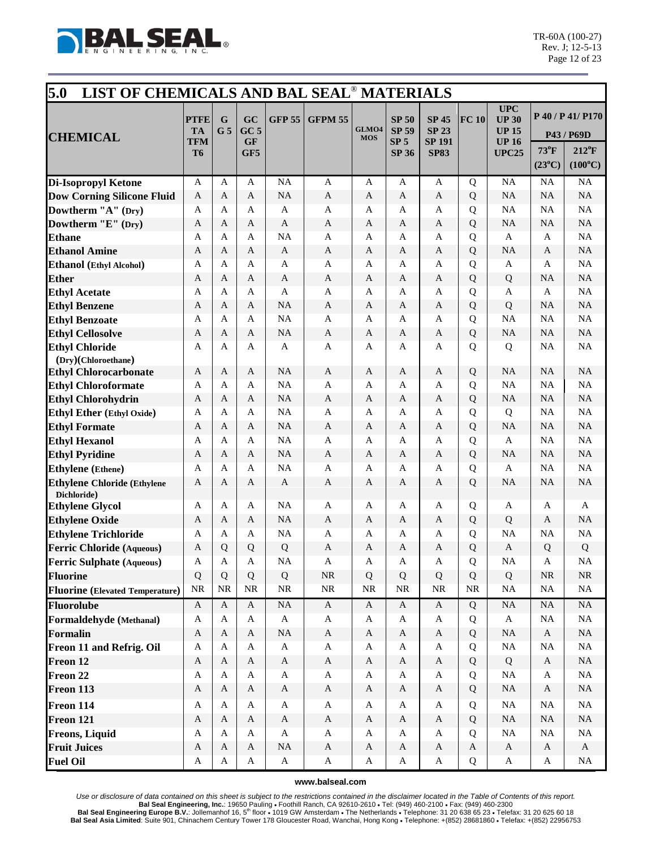

| 5.0<br>LIST OF CHEMICALS AND BAL SEAL <sup>®</sup> MATERIALS |                                                   |                     |                                           |               |                           |                     |                                                                 |                                                              |              |                                                                            |                                   |                                                                       |
|--------------------------------------------------------------|---------------------------------------------------|---------------------|-------------------------------------------|---------------|---------------------------|---------------------|-----------------------------------------------------------------|--------------------------------------------------------------|--------------|----------------------------------------------------------------------------|-----------------------------------|-----------------------------------------------------------------------|
| <b>CHEMICAL</b>                                              | <b>PTFE</b><br><b>TA</b><br>TFM<br>T <sub>6</sub> | G<br>G <sub>5</sub> | GC<br>GC <sub>5</sub><br><b>GF</b><br>GF5 | <b>GFP 55</b> | <b>GFPM 55</b>            | GLMO4<br><b>MOS</b> | <b>SP 50</b><br><b>SP 59</b><br>SP <sub>5</sub><br><b>SP 36</b> | <b>SP 45</b><br><b>SP 23</b><br><b>SP 191</b><br><b>SP83</b> | FC 10        | <b>UPC</b><br><b>UP 30</b><br><b>UP 15</b><br><b>UP 16</b><br><b>UPC25</b> | $73^{\circ}$ F<br>$(23^{\circ}C)$ | P 40 / P 41/ P170<br>P43 / P69D<br>$212^{\circ}F$<br>$(100^{\circ}C)$ |
| <b>Di-Isopropyl Ketone</b>                                   | A                                                 | A                   | A                                         | <b>NA</b>     | $\mathbf{A}$              | A                   | A                                                               | A                                                            | Q            | NA                                                                         | NA                                | NA                                                                    |
| <b>Dow Corning Silicone Fluid</b>                            | $\mathbf{A}$                                      | A                   | $\mathbf{A}$                              | <b>NA</b>     | $\mathbf{A}$              | $\mathbf{A}$        | A                                                               | A                                                            | Q            | <b>NA</b>                                                                  | <b>NA</b>                         | NA                                                                    |
| Dowtherm "A" (Dry)                                           | A                                                 | A                   | A                                         | A             | A                         | A                   | A                                                               | A                                                            | Q            | NA                                                                         | NA                                | NA                                                                    |
| Dowtherm "E" (Dry)                                           | A                                                 | A                   | $\mathbf{A}$                              | $\mathbf{A}$  | $\mathbf{A}$              | A                   | A                                                               | A                                                            | Q            | <b>NA</b>                                                                  | <b>NA</b>                         | NA                                                                    |
| <b>Ethane</b>                                                | A                                                 | A                   | A                                         | <b>NA</b>     | $\mathbf{A}$              | A                   | A                                                               | A                                                            | Q            | A                                                                          | $\mathbf{A}$                      | NA                                                                    |
| <b>Ethanol Amine</b>                                         | $\mathbf{A}$                                      | A                   | A                                         | $\mathbf{A}$  | $\mathbf{A}$              | A                   | A                                                               | $\mathbf{A}$                                                 | Q            | <b>NA</b>                                                                  | A                                 | $\rm NA$                                                              |
| Ethanol (Ethyl Alcohol)                                      | $\mathbf{A}$                                      | A                   | A                                         | A             | $\mathbf{A}$              | A                   | A                                                               | A                                                            | Q            | $\mathbf{A}$                                                               | A                                 | NA                                                                    |
| <b>Ether</b>                                                 | A                                                 | A                   | A                                         | A             | $\mathbf{A}$              | A                   | A                                                               | A                                                            | Q            | Q                                                                          | <b>NA</b>                         | $\rm NA$                                                              |
| <b>Ethyl Acetate</b>                                         | $\mathbf{A}$                                      | A                   | A                                         | A             | $\mathbf{A}$              | A                   | A                                                               | A                                                            | Q            | A                                                                          | $\mathbf{A}$                      | NA                                                                    |
| <b>Ethyl Benzene</b>                                         | $\mathbf{A}$                                      | A                   | $\mathbf{A}$                              | <b>NA</b>     | $\mathbf{A}$              | $\mathbf{A}$        | A                                                               | A                                                            | Q            | Q                                                                          | <b>NA</b>                         | NA                                                                    |
| <b>Ethyl Benzoate</b>                                        | $\mathbf{A}$                                      | A                   | A                                         | <b>NA</b>     | A                         | A                   | A                                                               | A                                                            | Q            | <b>NA</b>                                                                  | NA                                | NA                                                                    |
| <b>Ethyl Cellosolve</b>                                      | A                                                 | A                   | $\mathbf{A}$                              | <b>NA</b>     | A                         | A                   | A                                                               | A                                                            | Q            | <b>NA</b>                                                                  | NA                                | NA                                                                    |
| <b>Ethyl Chloride</b><br>(Dry)(Chloroethane)                 | A                                                 | A                   | A                                         | A             | $\mathbf{A}$              | A                   | A                                                               | A                                                            | $\mathbf Q$  | Q                                                                          | NA                                | NA                                                                    |
| <b>Ethyl Chlorocarbonate</b>                                 | $\mathbf{A}$                                      | A                   | $\mathbf{A}$                              | <b>NA</b>     | $\mathbf{A}$              | $\mathbf{A}$        | A                                                               | $\mathbf{A}$                                                 | Q            | <b>NA</b>                                                                  | NA                                | NA                                                                    |
| <b>Ethyl Chloroformate</b>                                   | A                                                 | A                   | A                                         | <b>NA</b>     | $\overline{A}$            | A                   | A                                                               | A                                                            | Q            | NA                                                                         | NA                                | NA                                                                    |
| <b>Ethyl Chlorohydrin</b>                                    | A                                                 | A                   | A                                         | <b>NA</b>     | $\mathbf{A}$              | A                   | A                                                               | $\mathbf{A}$                                                 | Q            | <b>NA</b>                                                                  | <b>NA</b>                         | NA                                                                    |
| Ethyl Ether (Ethyl Oxide)                                    | A                                                 | A                   | A                                         | <b>NA</b>     | A                         | A                   | A                                                               | A                                                            | Q            | Q                                                                          | NA                                | NA                                                                    |
| <b>Ethyl Formate</b>                                         | A                                                 | A                   | A                                         | <b>NA</b>     | A                         | A                   | A                                                               | A                                                            | Q            | <b>NA</b>                                                                  | <b>NA</b>                         | NA                                                                    |
| <b>Ethyl Hexanol</b>                                         | $\mathbf{A}$                                      | A                   | $\mathbf{A}$                              | <b>NA</b>     | $\mathbf{A}$              | A                   | A                                                               | A                                                            | Q            | $\mathbf{A}$                                                               | NA                                | NA                                                                    |
| <b>Ethyl Pyridine</b>                                        | A                                                 | A                   | $\mathbf{A}$                              | <b>NA</b>     | $\mathbf{A}$              | A                   | A                                                               | A                                                            | Q            | <b>NA</b>                                                                  | <b>NA</b>                         | NA                                                                    |
| <b>Ethylene</b> (Ethene)                                     | $\mathbf{A}$                                      | A                   | A                                         | <b>NA</b>     | $\mathbf{A}$              | A                   | A                                                               | A                                                            | Q            | $\mathbf{A}$                                                               | NA                                | NA                                                                    |
| <b>Ethylene Chloride (Ethylene</b><br>Dichloride)            | $\mathbf{A}$                                      | A                   | A                                         | A             | $\mathbf{A}$              | A                   | A                                                               | $\mathbf{A}$                                                 | Q            | <b>NA</b>                                                                  | <b>NA</b>                         | $\rm NA$                                                              |
| <b>Ethylene Glycol</b>                                       | A                                                 | A                   | A                                         | <b>NA</b>     | A                         | A                   | A                                                               | A                                                            | Q            | A                                                                          | A                                 | A                                                                     |
| <b>Ethylene Oxide</b>                                        | A                                                 | А                   | A                                         | <b>NA</b>     | A                         | A                   | A                                                               | A                                                            | Q            | Q                                                                          | A                                 | NA                                                                    |
| <b>Ethylene Trichloride</b>                                  | A                                                 | A                   | A                                         | <b>NA</b>     | $\mathbf{A}$              | A                   | A                                                               | A                                                            | Q            | <b>NA</b>                                                                  | <b>NA</b>                         | NA                                                                    |
| <b>Ferric Chloride (Aqueous)</b>                             | $\mathbf{A}$                                      | Q                   | Q                                         | Q             | $\mathbf{A}$              | A                   | A                                                               | $\mathbf{A}$                                                 | Q            | A                                                                          | Q                                 | Q                                                                     |
| <b>Ferric Sulphate (Aqueous)</b>                             | A                                                 | A                   | A                                         | <b>NA</b>     | A                         | A                   | A                                                               | A                                                            | Q            | <b>NA</b>                                                                  | A                                 | <b>NA</b>                                                             |
| <b>Fluorine</b>                                              | Q                                                 | Q                   | Q                                         | Q             | $\rm NR$                  | Q                   | Q                                                               | Q                                                            | Q            | Q                                                                          | $\rm NR$                          | $\rm NR$                                                              |
| <b>Fluorine</b> (Elevated Temperature)                       | $\rm NR$                                          | NR                  | $\rm NR$                                  | $\rm NR$      | $\rm NR$                  | $\rm NR$            | $\rm NR$                                                        | <b>NR</b>                                                    | <b>NR</b>    | $\rm NA$                                                                   | <b>NA</b>                         | $\rm NA$                                                              |
| <b>Fluorolube</b>                                            | $\mathbf{A}$                                      | $\mathbf{A}$        | $\mathbf{A}$                              | NA            | $\boldsymbol{\mathsf{A}}$ | $\mathbf{A}$        | $\boldsymbol{A}$                                                | $\mathbf{A}$                                                 | Q            | NA                                                                         | NA                                | $\rm NA$                                                              |
| Formaldehyde (Methanal)                                      | A                                                 | A                   | A                                         | $\mathbf A$   | A                         | A                   | A                                                               | A                                                            | Q            | $\boldsymbol{\mathsf{A}}$                                                  | <b>NA</b>                         | $\rm NA$                                                              |
| Formalin                                                     | $\mathbf{A}$                                      | $\mathbf{A}$        | $\mathbf{A}$                              | <b>NA</b>     | $\boldsymbol{\mathsf{A}}$ | $\mathbf{A}$        | $\mathbf A$                                                     | $\mathbf{A}$                                                 | Q            | NA                                                                         | $\mathbf{A}$                      | $\rm NA$                                                              |
| Freon 11 and Refrig. Oil                                     | $\mathbf A$                                       | A                   | $\mathbf{A}$                              | $\mathbf A$   | $\boldsymbol{\mathsf{A}}$ | A                   | A                                                               | $\mathbf{A}$                                                 | Q            | $\rm NA$                                                                   | <b>NA</b>                         | $\rm NA$                                                              |
| Freon 12                                                     | $\mathbf{A}$                                      | $\mathbf{A}$        | $\mathbf{A}$                              | A             | $\mathbf{A}$              | A                   | A                                                               | $\mathbf{A}$                                                 | Q            | Q                                                                          | $\mathbf{A}$                      | $\rm NA$                                                              |
| Freon 22                                                     | A                                                 | A                   | $\mathbf{A}$                              | $\mathbf{A}$  | $\mathbf{A}$              | $\mathbf A$         | $\mathbf A$                                                     | A                                                            | Q            | <b>NA</b>                                                                  | $\mathbf{A}$                      | $\rm NA$                                                              |
| Freon 113                                                    | $\mathbf{A}$                                      | A                   | $\mathbf{A}$                              | $\mathbf{A}$  | $\mathbf{A}$              | A                   | $\mathbf{A}$                                                    | $\mathbf{A}$                                                 | Q            | NA                                                                         | $\mathbf{A}$                      | $\rm NA$                                                              |
| Freon 114                                                    | A                                                 | A                   | $\mathbf{A}$                              | A             | A                         | A                   | A                                                               | A                                                            | Q            | NA                                                                         | <b>NA</b>                         | $\rm NA$                                                              |
| Freon 121                                                    | $\boldsymbol{A}$                                  | $\mathbf{A}$        | $\mathbf{A}$                              | A             | $\boldsymbol{\mathsf{A}}$ | A                   | $\mathbf A$                                                     | $\mathbf{A}$                                                 | Q            | NA                                                                         | NA                                | $\rm NA$                                                              |
| <b>Freons, Liquid</b>                                        | A                                                 | A                   | $\mathbf{A}$                              | $\mathbf{A}$  | $\mathbf{A}$              | A                   | A                                                               | A                                                            | Q            | NA                                                                         | <b>NA</b>                         | $\rm NA$                                                              |
| <b>Fruit Juices</b>                                          | $\mathbf{A}$                                      | $\mathbf{A}$        | $\mathbf{A}$                              | <b>NA</b>     | $\boldsymbol{\mathsf{A}}$ | A                   | $\mathbf A$                                                     | A                                                            | $\mathbf{A}$ | $\mathbf{A}$                                                               | $\mathbf{A}$                      | $\mathbf A$                                                           |
| <b>Fuel Oil</b>                                              | A                                                 | A                   | $\mathbf{A}$                              | $\mathbf A$   | $\boldsymbol{\mathsf{A}}$ | $\mathbf A$         | A                                                               | $\mathbf A$                                                  | Q            | $\boldsymbol{\mathsf{A}}$                                                  | A                                 | $\rm NA$                                                              |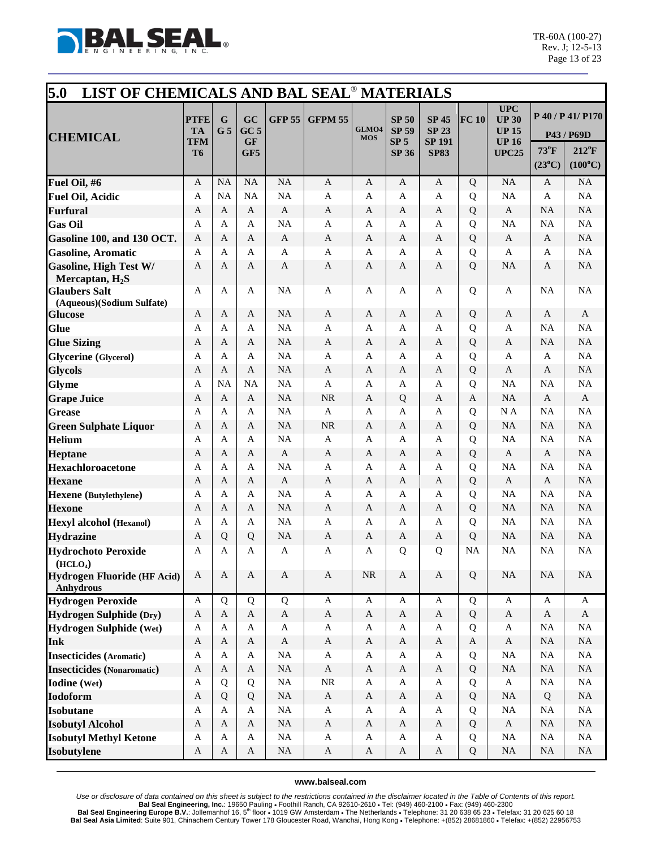

| 5.0<br>LIST OF CHEMICALS AND BAL SEAL <sup>®</sup> MATERIALS |                                 |                               |                                    |                |                       |                     |                                                 |                                               |              |                                                            |                   |                                 |
|--------------------------------------------------------------|---------------------------------|-------------------------------|------------------------------------|----------------|-----------------------|---------------------|-------------------------------------------------|-----------------------------------------------|--------------|------------------------------------------------------------|-------------------|---------------------------------|
| <b>CHEMICAL</b>                                              | <b>PTFE</b><br><b>TA</b><br>TFM | $\mathbf G$<br>G <sub>5</sub> | GC<br>GC <sub>5</sub><br><b>GF</b> | <b>GFP 55</b>  | <b>GFPM 55</b>        | GLMO4<br><b>MOS</b> | <b>SP 50</b><br><b>SP 59</b><br>SP <sub>5</sub> | <b>SP 45</b><br><b>SP 23</b><br><b>SP 191</b> | FC 10        | <b>UPC</b><br><b>UP 30</b><br><b>UP 15</b><br><b>UP 16</b> |                   | P 40 / P 41/ P170<br>P43 / P69D |
|                                                              | T <sub>6</sub>                  |                               | GF5                                |                |                       |                     | <b>SP 36</b>                                    | <b>SP83</b>                                   |              | <b>UPC25</b>                                               | $73^{\circ}$ F    | $212^{\circ}F$                  |
|                                                              |                                 |                               |                                    |                |                       |                     |                                                 |                                               |              |                                                            | $(23^{\circ}C)$   | $(100^{\circ}C)$                |
| Fuel Oil, #6                                                 | $\mathbf{A}$                    | <b>NA</b>                     | <b>NA</b>                          | <b>NA</b>      | $\mathbf{A}$          | A                   | A                                               | $\mathbf{A}$                                  | Q            | NA                                                         | A                 | <b>NA</b>                       |
| <b>Fuel Oil, Acidic</b>                                      | $\mathbf{A}$                    | <b>NA</b>                     | <b>NA</b>                          | <b>NA</b>      | A                     | A                   | A                                               | A                                             | Q            | <b>NA</b>                                                  | A                 | <b>NA</b>                       |
| <b>Furfural</b>                                              | A                               | A                             | A                                  | A              | $\boldsymbol{A}$      | A                   | A                                               | A                                             | Q            | $\mathbf{A}$                                               | <b>NA</b>         | <b>NA</b>                       |
| <b>Gas Oil</b>                                               | A                               | A                             | A                                  | <b>NA</b>      | A                     | A                   | A                                               | A                                             | Q            | NA                                                         | <b>NA</b>         | <b>NA</b>                       |
| Gasoline 100, and 130 OCT.                                   | $\mathbf{A}$                    | A                             | A                                  | $\mathbf{A}$   | $\mathbf{A}$          | A                   | A                                               | A                                             | Q            | $\mathbf{A}$                                               | A                 | <b>NA</b>                       |
| <b>Gasoline, Aromatic</b>                                    | A                               | A                             | A                                  | A              | A                     | A                   | A                                               | A                                             | Q            | A                                                          | A                 | <b>NA</b>                       |
| <b>Gasoline, High Test W/</b>                                | A                               | A                             | A                                  | A              | A                     | A                   | A                                               | A                                             | Q            | NA                                                         | A                 | <b>NA</b>                       |
| Mercaptan, $H_2S$<br><b>Glaubers Salt</b>                    | A                               | A                             | A                                  | <b>NA</b>      | A                     | A                   | A                                               | A                                             | Q            | A                                                          | <b>NA</b>         | <b>NA</b>                       |
| (Aqueous)(Sodium Sulfate)                                    |                                 |                               |                                    |                |                       |                     |                                                 |                                               |              |                                                            |                   |                                 |
| <b>Glucose</b>                                               | A                               | A                             | A                                  | <b>NA</b>      | A                     | A                   | A                                               | A                                             | Q            | A                                                          | A                 | A                               |
| <b>Glue</b>                                                  | A                               | A                             | A                                  | <b>NA</b>      | A                     | A                   | A                                               | A                                             | Q            | $\mathbf{A}$                                               | <b>NA</b>         | <b>NA</b>                       |
| <b>Glue Sizing</b>                                           | A                               | A                             | A                                  | <b>NA</b>      | $\mathbf{A}$          | A                   | A                                               | A                                             | Q            | A                                                          | <b>NA</b>         | <b>NA</b>                       |
| <b>Glycerine</b> (Glycerol)                                  | A                               | A                             | A                                  | <b>NA</b>      | $\mathbf{A}$          | A                   | A                                               | A                                             | Q            | A                                                          | A                 | <b>NA</b>                       |
| <b>Glycols</b>                                               | A                               | A                             | $\mathbf{A}$                       | <b>NA</b>      | $\mathbf{A}$          | A                   | A                                               | A                                             | Q            | $\mathbf{A}$                                               | A                 | <b>NA</b>                       |
| <b>Glyme</b>                                                 | A                               | NA                            | <b>NA</b>                          | <b>NA</b>      | A                     | A                   | A                                               | A                                             | Q            | NA                                                         | <b>NA</b>         | <b>NA</b>                       |
| <b>Grape Juice</b>                                           | A                               | A                             | A                                  | <b>NA</b>      | <b>NR</b>             | A                   | Q                                               | A                                             | A            | NA                                                         | A                 | A                               |
| <b>Grease</b>                                                | A                               | A                             | A                                  | <b>NA</b>      | $\mathbf{A}$          | A                   | A                                               | A                                             | $\mathbf Q$  | N A                                                        | <b>NA</b>         | <b>NA</b>                       |
| <b>Green Sulphate Liquor</b>                                 | A                               | A                             | A                                  | <b>NA</b>      | <b>NR</b>             | A                   | A                                               | A                                             | Q            | <b>NA</b>                                                  | <b>NA</b>         | NA                              |
| <b>Helium</b>                                                | A                               | A                             | A                                  | <b>NA</b>      | $\mathbf{A}$          | A                   | A                                               | A                                             | Q            | NA                                                         | <b>NA</b>         | <b>NA</b>                       |
| <b>Heptane</b>                                               | A                               | A                             | A                                  | $\mathbf{A}$   | $\mathbf{A}$          | $\mathbf{A}$        | A                                               | A                                             | Q            | $\mathbf{A}$                                               | A                 | <b>NA</b>                       |
| Hexachloroacetone                                            | A                               | A                             | A                                  | <b>NA</b>      | A                     | A                   | A                                               | A                                             | Q            | NA                                                         | <b>NA</b>         | <b>NA</b><br><b>NA</b>          |
| <b>Hexane</b>                                                | A<br>$\mathbf{A}$               | A<br>A                        | A<br>A                             | A<br><b>NA</b> | $\boldsymbol{A}$<br>A | A<br>A              | A<br>A                                          | A<br>A                                        | Q<br>Q       | A<br><b>NA</b>                                             | A<br>NA           | <b>NA</b>                       |
| Hexene (Butylethylene)<br><b>Hexone</b>                      | A                               | A                             | A                                  | <b>NA</b>      | A                     | A                   | A                                               | A                                             | Q            | <b>NA</b>                                                  | NA                | <b>NA</b>                       |
| <b>Hexyl alcohol (Hexanol)</b>                               | A                               | A                             | A                                  | <b>NA</b>      | A                     | A                   | A                                               | A                                             | Q            | NA                                                         | NA                | <b>NA</b>                       |
| <b>Hydrazine</b>                                             | $\mathbf{A}$                    | Q                             | Q                                  | <b>NA</b>      | $\mathbf{A}$          | A                   | A                                               | $\mathbf{A}$                                  | Q            | <b>NA</b>                                                  | <b>NA</b>         | <b>NA</b>                       |
| <b>Hydrochoto Peroxide</b>                                   | A                               | A                             | A                                  | A              | A                     | A                   | Q                                               | Q                                             | <b>NA</b>    | NA                                                         | <b>NA</b>         | <b>NA</b>                       |
| (HCLO <sub>4</sub> )                                         |                                 |                               |                                    |                |                       |                     |                                                 |                                               |              |                                                            |                   |                                 |
| Hydrogen Fluoride (HF Acid)<br><b>Anhydrous</b>              | $\mathbf{A}$                    | $\mathbf{A}$                  | $\mathbf{A}$                       | $\mathbf{A}$   | $\mathbf{A}$          | $\rm NR$            | $\mathbf{A}$                                    | $\mathbf{A}$                                  | Q            | $\rm NA$                                                   | NA                | $\rm NA$                        |
| <b>Hydrogen Peroxide</b>                                     | A                               | Q                             | Q                                  | Q              | $\mathbf{A}$          | $\mathbf{A}$        | $\mathbf A$                                     | $\mathbf{A}$                                  | Q            | $\mathbf{A}$                                               | A                 | $\mathbf{A}$                    |
| <b>Hydrogen Sulphide (Dry)</b>                               | $\mathbf{A}$                    | $\mathbf{A}$                  | $\mathbf{A}$                       | $\mathbf{A}$   | $\mathbf A$           | $\mathbf{A}$        | $\mathbf{A}$                                    | $\mathbf{A}$                                  | Q            | $\boldsymbol{\mathsf{A}}$                                  | $\mathbf{A}$      | $\mathbf{A}$                    |
| <b>Hydrogen Sulphide (Wet)</b>                               | A                               | A                             | $\mathbf{A}$                       | A              | $\mathbf{A}$          | $\mathbf{A}$        | A                                               | $\mathbf{A}$                                  | Q            | A                                                          | <b>NA</b>         | $\rm NA$                        |
| Ink                                                          | $\mathbf{A}$                    | $\mathbf{A}$                  | $\mathbf{A}$                       | $\mathbf{A}$   | $\mathbf{A}$          | $\mathbf{A}$        | A                                               | $\mathbf{A}$                                  | $\mathbf{A}$ | $\mathbf{A}$                                               | NA                | <b>NA</b>                       |
| <b>Insecticides</b> (Aromatic)                               | $\mathbf{A}$                    | $\mathbf{A}$                  | $\mathbf{A}$                       | <b>NA</b>      | $\mathbf{A}$          | $\mathbf{A}$        | A                                               | A                                             | Q            | $\rm NA$                                                   | $\rm NA$          | <b>NA</b>                       |
| <b>Insecticides</b> (Nonaromatic)                            | $\mathbf{A}$                    | $\mathbf{A}$                  | $\mathbf{A}$                       | <b>NA</b>      | $\mathbf{A}$          | $\mathbf{A}$        | A                                               | $\mathbf{A}$                                  | Q            | $\rm NA$                                                   | $\rm NA$          | <b>NA</b>                       |
| <b>Iodine</b> (Wet)                                          | A                               | Q                             | Q                                  | NA             | $\rm NR$              | A                   | A                                               | $\mathbf{A}$                                  | Q            | $\mathbf{A}$                                               | $\rm NA$          | $\rm NA$                        |
| <b>Iodoform</b>                                              | $\mathbf{A}$                    | $\mathbf Q$                   | Q                                  | <b>NA</b>      | $\mathbf A$           | $\mathbf{A}$        | A                                               | $\mathbf{A}$                                  | Q            | $\rm NA$                                                   | Q                 | $\rm NA$                        |
| <b>Isobutane</b>                                             | A                               | $\mathbf{A}$                  | $\mathbf{A}$                       | NA             | $\mathbf{A}$          | $\mathbf{A}$        | $\mathbf A$                                     | $\mathbf{A}$                                  | Q            | $_{\rm NA}$                                                | $\rm NA$          | $\rm NA$                        |
| <b>Isobutyl Alcohol</b>                                      | $\mathbf{A}$                    | $\mathbf{A}$                  | $\mathbf{A}$                       | NA<br>NA       | $\mathbf A$           | $\mathbf{A}$        | $\mathbf{A}$                                    | $\mathbf{A}$                                  | Q            | $\mathbf{A}$                                               | NA<br>$_{\rm NA}$ | <b>NA</b><br>NA                 |
| <b>Isobutyl Methyl Ketone</b>                                | A                               | $\mathbf{A}$                  | $\mathbf{A}$                       |                | $\mathbf{A}$          | A                   | A                                               | $\mathbf{A}$                                  | Q            | NA                                                         |                   |                                 |
| Isobutylene                                                  | A                               | $\mathbf{A}$                  | $\mathbf{A}$                       | $\rm NA$       | $\mathbf{A}$          | A                   | A                                               | $\mathbf{A}$                                  | Q            | $\rm NA$                                                   | NA                | $\rm NA$                        |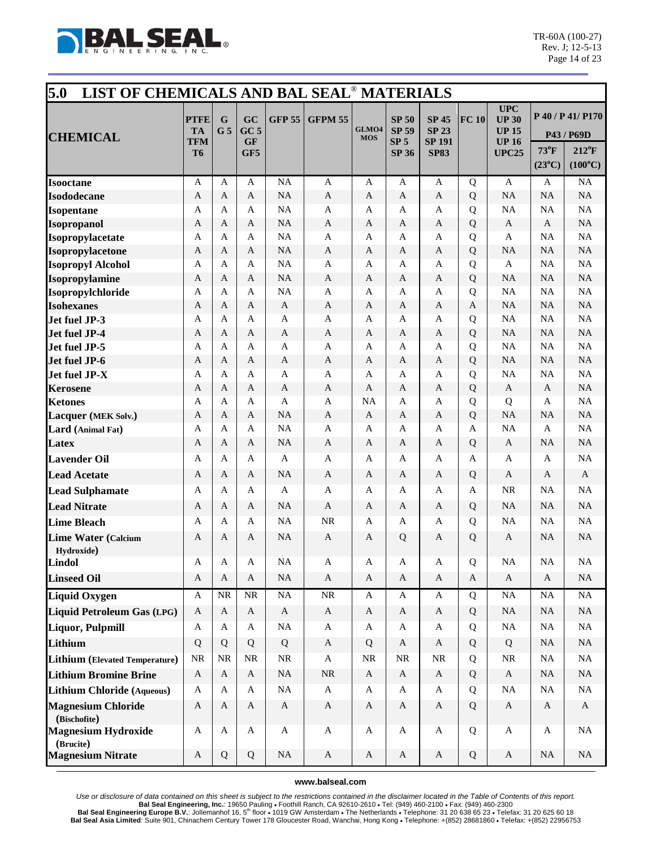

| 5.0<br>LIST OF CHEMICALS AND BAL SEAL <sup>®</sup> MATERIALS |                                                   |                     |                                           |               |                              |                     |                                                                 |                                                              |              |                                                                            |                                   |                                                                       |
|--------------------------------------------------------------|---------------------------------------------------|---------------------|-------------------------------------------|---------------|------------------------------|---------------------|-----------------------------------------------------------------|--------------------------------------------------------------|--------------|----------------------------------------------------------------------------|-----------------------------------|-----------------------------------------------------------------------|
| <b>CHEMICAL</b>                                              | <b>PTFE</b><br><b>TA</b><br>TFM<br>T <sub>6</sub> | G<br>G <sub>5</sub> | GC<br>GC <sub>5</sub><br><b>GF</b><br>GF5 | <b>GFP 55</b> | <b>GFPM 55</b>               | GLMO4<br><b>MOS</b> | <b>SP 50</b><br><b>SP 59</b><br>SP <sub>5</sub><br><b>SP 36</b> | <b>SP 45</b><br><b>SP 23</b><br><b>SP 191</b><br><b>SP83</b> | FC 10        | <b>UPC</b><br><b>UP 30</b><br><b>UP 15</b><br><b>UP 16</b><br><b>UPC25</b> | $73^{\circ}$ F<br>$(23^{\circ}C)$ | P 40 / P 41/ P170<br>P43 / P69D<br>$212^{\circ}F$<br>$(100^{\circ}C)$ |
| <b>Isooctane</b>                                             | A                                                 | A                   | A                                         | <b>NA</b>     | $\mathbf{A}$                 | A                   | A                                                               | $\mathbf{A}$                                                 | Q            | $\mathbf{A}$                                                               | A                                 | NA                                                                    |
| <b>Isododecane</b>                                           | $\mathbf{A}$                                      | A                   | $\mathbf{A}$                              | <b>NA</b>     | $\mathbf{A}$                 | $\mathbf{A}$        | $\mathbf{A}$                                                    | $\mathbf{A}$                                                 | Q            | <b>NA</b>                                                                  | NA                                | NA                                                                    |
| <b>Isopentane</b>                                            | A                                                 | A                   | A                                         | <b>NA</b>     | A                            | A                   | A                                                               | A                                                            | Q            | NA                                                                         | NA                                | NA                                                                    |
| <b>Isopropanol</b>                                           | A                                                 | A                   | A                                         | <b>NA</b>     | $\mathbf{A}$                 | A                   | A                                                               | A                                                            | Q            | A                                                                          | A                                 | NA                                                                    |
| Isopropylacetate                                             | $\mathbf{A}$                                      | A                   | A                                         | <b>NA</b>     | A                            | A                   | A                                                               | A                                                            | Q            | A                                                                          | <b>NA</b>                         | NA                                                                    |
| Isopropylacetone                                             | A                                                 | A                   | A                                         | <b>NA</b>     | $\mathbf{A}$                 | A                   | A                                                               | A                                                            | Q            | <b>NA</b>                                                                  | <b>NA</b>                         | NA                                                                    |
| <b>Isopropyl Alcohol</b>                                     | A                                                 | A                   | A                                         | <b>NA</b>     | $\mathbf{A}$                 | A                   | A                                                               | A                                                            | Q            | $\mathbf{A}$                                                               | NA                                | NA                                                                    |
| Isopropylamine                                               | A                                                 | A                   | A                                         | <b>NA</b>     | $\mathbf{A}$                 | A                   | A                                                               | A                                                            | Q            | <b>NA</b>                                                                  | NA                                | NA                                                                    |
| Isopropylchloride                                            | $\mathbf{A}$                                      | A                   | A                                         | <b>NA</b>     | A                            | A                   | A                                                               | A                                                            | Q            | <b>NA</b>                                                                  | NA                                | NA                                                                    |
| <b>Isohexanes</b>                                            | A                                                 | A                   | A                                         | A             | $\mathbf{A}$                 | A                   | $\mathbf{A}$                                                    | A                                                            | $\mathbf{A}$ | <b>NA</b>                                                                  | NA                                | NA                                                                    |
| Jet fuel JP-3                                                | A                                                 | A                   | A                                         | $\mathbf{A}$  | A                            | A                   | A                                                               | $\mathbf{A}$                                                 | Q            | NA                                                                         | NA                                | NA                                                                    |
| Jet fuel JP-4                                                | A                                                 | A                   | A                                         | $\mathbf{A}$  | A                            | A                   | A                                                               | A                                                            | Q            | <b>NA</b>                                                                  | NA                                | NA                                                                    |
| Jet fuel JP-5                                                | $\mathbf{A}$                                      | A                   | A                                         | $\mathbf{A}$  | $\mathbf{A}$                 | A                   | A                                                               | $\mathbf{A}$                                                 | Q            | <b>NA</b>                                                                  | NA                                | NA                                                                    |
| Jet fuel JP-6                                                | A<br>A                                            | A<br>A              | A<br>A                                    | A<br>A        | $\mathbf{A}$<br>$\mathbf{A}$ | A<br>A              | A<br>A                                                          | A<br>A                                                       | Q            | <b>NA</b><br>NA                                                            | <b>NA</b><br><b>NA</b>            | NA<br>NA                                                              |
| Jet fuel JP-X                                                | A                                                 | A                   | A                                         | A             | $\mathbf{A}$                 | $\mathbf{A}$        | A                                                               | A                                                            | Q<br>Q       | $\mathbf{A}$                                                               | A                                 | NA                                                                    |
| <b>Kerosene</b><br><b>Ketones</b>                            | $\mathbf{A}$                                      | A                   | A                                         | A             | A                            | <b>NA</b>           | A                                                               | A                                                            | Q            | Q                                                                          | A                                 | NA                                                                    |
| Lacquer (MEK Solv.)                                          | A                                                 | A                   | A                                         | <b>NA</b>     | $\mathbf{A}$                 | A                   | $\mathbf{A}$                                                    | A                                                            | Q            | <b>NA</b>                                                                  | <b>NA</b>                         | NA                                                                    |
| Lard (Animal Fat)                                            | A                                                 | A                   | $\mathbf{A}$                              | <b>NA</b>     | A                            | A                   | A                                                               | A                                                            | A            | <b>NA</b>                                                                  | A                                 | NA                                                                    |
| Latex                                                        | $\mathbf{A}$                                      | A                   | A                                         | <b>NA</b>     | $\mathbf{A}$                 | A                   | A                                                               | A                                                            | Q            | $\mathbf{A}$                                                               | <b>NA</b>                         | NA                                                                    |
| <b>Lavender Oil</b>                                          | A                                                 | A                   | A                                         | $\mathbf{A}$  | $\mathbf{A}$                 | A                   | A                                                               | A                                                            | A            | A                                                                          | A                                 | NA                                                                    |
| <b>Lead Acetate</b>                                          | A                                                 | A                   | A                                         | <b>NA</b>     | A                            | A                   | A                                                               | A                                                            | Q            | A                                                                          | A                                 | A                                                                     |
|                                                              |                                                   |                     |                                           |               |                              |                     |                                                                 |                                                              |              |                                                                            |                                   |                                                                       |
| <b>Lead Sulphamate</b>                                       | A                                                 | A                   | A                                         | A             | A                            | A                   | A                                                               | A                                                            | A            | <b>NR</b>                                                                  | <b>NA</b>                         | NA                                                                    |
| <b>Lead Nitrate</b>                                          | A                                                 | A                   | A                                         | <b>NA</b>     | $\mathbf{A}$                 | A                   | A                                                               | A                                                            | Q            | <b>NA</b>                                                                  | <b>NA</b>                         | NA                                                                    |
| <b>Lime Bleach</b>                                           | A                                                 | A                   | A                                         | <b>NA</b>     | NR                           | A                   | A                                                               | A                                                            | Q            | NA                                                                         | NA                                | NA                                                                    |
| <b>Lime Water (Calcium</b>                                   | A                                                 | A                   | A                                         | <b>NA</b>     | $\mathbf{A}$                 | A                   | Q                                                               | A                                                            | Q            | $\mathbf{A}$                                                               | <b>NA</b>                         | <b>NA</b>                                                             |
| Hydroxide)                                                   |                                                   |                     |                                           |               |                              |                     |                                                                 |                                                              |              | <b>NA</b>                                                                  | $\rm NA$                          |                                                                       |
| Lindol                                                       | Α                                                 | A                   | A                                         | <b>NA</b>     | A                            | A                   | A                                                               | A                                                            | Q            |                                                                            |                                   | <b>NA</b>                                                             |
| <b>Linseed Oil</b>                                           | $\mathbf{A}$                                      | $\mathbf{A}$        | $\mathbf{A}$                              | <b>NA</b>     | $\boldsymbol{\mathsf{A}}$    | $\mathbf{A}$        | $\mathbf{A}$                                                    | $\mathbf{A}$                                                 | $\mathbf{A}$ | $\mathbf{A}$                                                               | $\mathbf{A}$                      | NA                                                                    |
| <b>Liquid Oxygen</b>                                         | A                                                 | <b>NR</b>           | <b>NR</b>                                 | <b>NA</b>     | $\rm NR$                     | A                   | A                                                               | $\mathbf{A}$                                                 | Q            | $\overline{NA}$                                                            | NA                                | NA                                                                    |
| Liquid Petroleum Gas (LPG)                                   | A                                                 | $\mathbf{A}$        | $\mathbf{A}$                              | $\mathbf{A}$  | $\mathbf{A}$                 | $\mathbf{A}$        | $\mathbf{A}$                                                    | $\mathbf{A}$                                                 | Q            | <b>NA</b>                                                                  | <b>NA</b>                         | NA                                                                    |
| Liquor, Pulpmill                                             | $\mathbf A$                                       | A                   | $\mathbf{A}$                              | NA            | $\mathbf{A}$                 | A                   | $\mathbf{A}$                                                    | $\mathbf{A}$                                                 | Q            | NA                                                                         | <b>NA</b>                         | NA                                                                    |
| Lithium                                                      | Q                                                 | Q                   | Q                                         | Q             | $\mathbf{A}$                 | Q                   | $\mathbf{A}$                                                    | $\mathbf{A}$                                                 | Q            | Q                                                                          | <b>NA</b>                         | NA                                                                    |
| <b>Lithium</b> (Elevated Temperature)                        | NR                                                | <b>NR</b>           | <b>NR</b>                                 | NR            | $\mathbf{A}$                 | $\rm NR$            | <b>NR</b>                                                       | <b>NR</b>                                                    | Q            | $\rm NR$                                                                   | <b>NA</b>                         | NA                                                                    |
| <b>Lithium Bromine Brine</b>                                 | $\mathbf A$                                       | $\mathbf{A}$        | $\mathbf{A}$                              | <b>NA</b>     | <b>NR</b>                    | A                   | $\mathbf{A}$                                                    | A                                                            | Q            | $\mathbf{A}$                                                               | <b>NA</b>                         | NA                                                                    |
| Lithium Chloride (Aqueous)                                   | A                                                 | A                   | $\mathbf{A}$                              | <b>NA</b>     | $\mathbf{A}$                 | $\mathbf A$         | A                                                               | A                                                            | Q            | $\rm NA$                                                                   | <b>NA</b>                         | $\rm NA$                                                              |
| <b>Magnesium Chloride</b>                                    | $\mathbf{A}$                                      | $\mathbf{A}$        | $\mathbf{A}$                              | $\mathbf{A}$  | $\mathbf{A}$                 | $\mathbf{A}$        | $\mathbf{A}$                                                    | $\mathbf{A}$                                                 | Q            | $\mathbf{A}$                                                               | $\mathbf{A}$                      | $\mathbf{A}$                                                          |
| (Bischofite)                                                 |                                                   |                     |                                           |               |                              |                     |                                                                 |                                                              |              |                                                                            |                                   |                                                                       |
| <b>Magnesium Hydroxide</b><br>(Brucite)                      | A                                                 | $\mathbf{A}$        | $\mathbf{A}$                              | $\mathbf{A}$  | $\mathbf{A}$                 | A                   | $\mathbf{A}$                                                    | $\mathbf{A}$                                                 | Q            | $\mathbf{A}$                                                               | A                                 | NA                                                                    |
| <b>Magnesium Nitrate</b>                                     | $\mathbf A$                                       | Q                   | Q                                         | <b>NA</b>     | $\mathbf{A}$                 | A                   | $\mathbf{A}$                                                    | $\mathbf{A}$                                                 | Q            | $\mathbf{A}$                                                               | NA                                | NA                                                                    |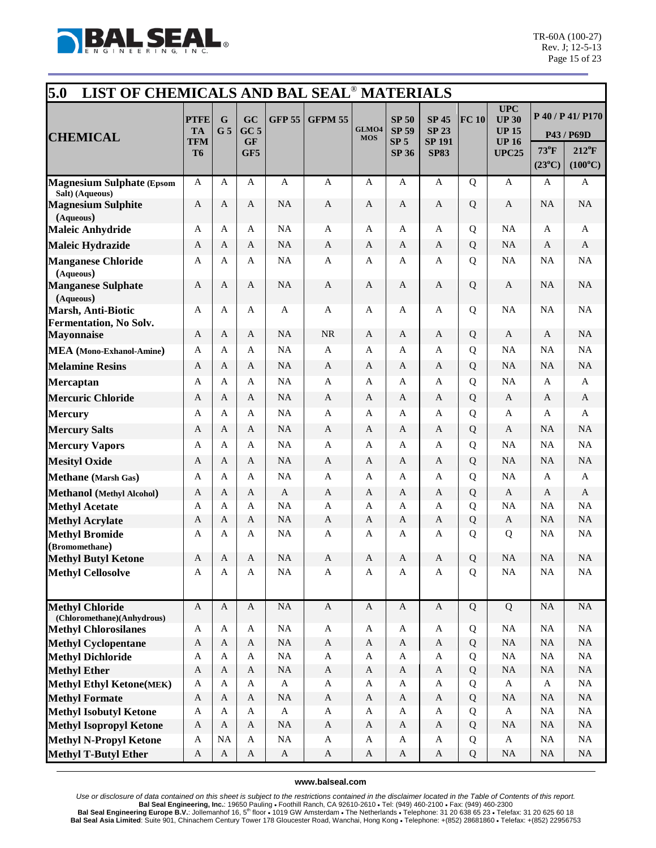

| 5.0<br>LIST OF CHEMICALS AND BAL SEAL <sup>®</sup> MATERIALS |                                       |                     |                                           |                        |                             |                     |                                                                 |                                                              |             |                                                                            |                                   |                                                                       |
|--------------------------------------------------------------|---------------------------------------|---------------------|-------------------------------------------|------------------------|-----------------------------|---------------------|-----------------------------------------------------------------|--------------------------------------------------------------|-------------|----------------------------------------------------------------------------|-----------------------------------|-----------------------------------------------------------------------|
| <b>CHEMICAL</b>                                              | <b>PTFE</b><br><b>TA</b><br>TFM<br>T6 | G<br>G <sub>5</sub> | GC<br>GC <sub>5</sub><br><b>GF</b><br>GF5 | <b>GFP 55</b>          | <b>GFPM 55</b>              | GLMO4<br><b>MOS</b> | <b>SP 50</b><br><b>SP 59</b><br>SP <sub>5</sub><br><b>SP 36</b> | <b>SP 45</b><br><b>SP 23</b><br><b>SP 191</b><br><b>SP83</b> | FC 10       | <b>UPC</b><br><b>UP 30</b><br><b>UP 15</b><br><b>UP 16</b><br><b>UPC25</b> | $73^{\circ}$ F<br>$(23^{\circ}C)$ | P 40 / P 41/ P170<br>P43 / P69D<br>$212^{\circ}F$<br>$(100^{\circ}C)$ |
| <b>Magnesium Sulphate (Epsom</b>                             | A                                     | A                   | A                                         | $\mathbf{A}$           | $\overline{A}$              | A                   | A                                                               | A                                                            | $\mathbf Q$ | $\mathbf{A}$                                                               | A                                 | A                                                                     |
| Salt) (Aqueous)<br><b>Magnesium Sulphite</b><br>(Aqueous)    | $\mathbf{A}$                          | A                   | $\mathbf{A}$                              | <b>NA</b>              | $\mathbf{A}$                | A                   | $\mathbf{A}$                                                    | A                                                            | Q           | $\mathbf{A}$                                                               | NA                                | NA                                                                    |
| <b>Maleic Anhydride</b>                                      | A                                     | A                   | A                                         | <b>NA</b>              | A                           | A                   | A                                                               | A                                                            | Q           | NA                                                                         | A                                 | A                                                                     |
| <b>Maleic Hydrazide</b>                                      | A                                     | A                   | A                                         | <b>NA</b>              | A                           | A                   | A                                                               | A                                                            | Q           | <b>NA</b>                                                                  | A                                 | A                                                                     |
| <b>Manganese Chloride</b><br>(Aqueous)                       | $\mathbf{A}$                          | A                   | $\mathbf{A}$                              | <b>NA</b>              | $\mathbf{A}$                | A                   | A                                                               | A                                                            | Q           | NA                                                                         | <b>NA</b>                         | NA                                                                    |
| <b>Manganese Sulphate</b><br>(Aqueous)                       | $\mathbf{A}$                          | A                   | $\mathbf{A}$                              | <b>NA</b>              | $\mathbf{A}$                | A                   | A                                                               | $\mathbf{A}$                                                 | Q           | $\mathbf{A}$                                                               | <b>NA</b>                         | NA                                                                    |
| <b>Marsh, Anti-Biotic</b><br><b>Fermentation, No Solv.</b>   | A                                     | A                   | A                                         | A                      | A                           | A                   | A                                                               | A                                                            | Q           | NA                                                                         | <b>NA</b>                         | $\rm NA$                                                              |
| <b>Mayonnaise</b>                                            | $\mathbf{A}$                          | A                   | $\mathbf{A}$                              | <b>NA</b>              | <b>NR</b>                   | A                   | A                                                               | $\mathbf{A}$                                                 | Q           | A                                                                          | A                                 | NA                                                                    |
| <b>MEA</b> (Mono-Exhanol-Amine)                              | A                                     | A                   | A                                         | <b>NA</b>              | $\mathbf{A}$                | A                   | A                                                               | A                                                            | Q           | <b>NA</b>                                                                  | NA                                | NA                                                                    |
| <b>Melamine Resins</b>                                       | A                                     | A                   | $\mathbf{A}$                              | <b>NA</b>              | $\mathbf{A}$                | A                   | A                                                               | A                                                            | Q           | <b>NA</b>                                                                  | <b>NA</b>                         | $\rm NA$                                                              |
| <b>Mercaptan</b>                                             | $\mathbf{A}$                          | A                   | A                                         | <b>NA</b>              | $\mathbf{A}$                | A                   | A                                                               | A                                                            | Q           | <b>NA</b>                                                                  | $\mathbf{A}$                      | A                                                                     |
| <b>Mercuric Chloride</b>                                     | $\mathbf{A}$                          | A                   | A                                         | <b>NA</b>              | $\mathbf{A}$                | A                   | A                                                               | A                                                            | Q           | A                                                                          | A                                 | $\mathbf{A}$                                                          |
| <b>Mercury</b>                                               | A                                     | A                   | A                                         | <b>NA</b>              | A                           | A                   | A                                                               | A                                                            | Q           | A                                                                          | A                                 | A                                                                     |
| <b>Mercury Salts</b>                                         | A                                     | A                   | A                                         | <b>NA</b>              | A                           | A                   | A                                                               | A                                                            | Q           | A                                                                          | <b>NA</b>                         | NA                                                                    |
| <b>Mercury Vapors</b>                                        | A                                     | A                   | A                                         | <b>NA</b>              | A                           | A                   | A                                                               | A                                                            | Q           | <b>NA</b>                                                                  | <b>NA</b>                         | NA                                                                    |
| <b>Mesityl Oxide</b>                                         | A                                     | A                   | A                                         | <b>NA</b>              | A                           | A                   | A                                                               | A                                                            | Q           | <b>NA</b>                                                                  | <b>NA</b>                         | NA                                                                    |
| <b>Methane</b> (Marsh Gas)                                   | A                                     | A                   | A                                         | <b>NA</b>              | A                           | A                   | A                                                               | A                                                            | Q           | <b>NA</b>                                                                  | A                                 | A                                                                     |
| <b>Methanol</b> (Methyl Alcohol)                             | A                                     | A                   | $\mathbf{A}$                              | $\mathbf{A}$           | $\mathbf{A}$                | A                   | A                                                               | A                                                            | Q           | $\mathbf{A}$                                                               | A                                 | $\mathbf{A}$                                                          |
| <b>Methyl Acetate</b>                                        | A                                     | A                   | A                                         | <b>NA</b>              | A                           | A                   | A                                                               | A                                                            | Q           | <b>NA</b>                                                                  | <b>NA</b>                         | NA                                                                    |
| <b>Methyl Acrylate</b>                                       | A                                     | A                   | A                                         | <b>NA</b>              | $\mathbf{A}$                | A                   | A                                                               | A                                                            | Q           | $\mathbf{A}$                                                               | <b>NA</b>                         | NA                                                                    |
| <b>Methyl Bromide</b>                                        | A                                     | A                   | A                                         | <b>NA</b>              | $\mathbf{A}$                | A                   | A                                                               | A                                                            | Q           | Q                                                                          | <b>NA</b>                         | NA                                                                    |
| (Bromomethane)<br><b>Methyl Butyl Ketone</b>                 | $\mathbf{A}$                          | Α                   | $\mathbf{A}$                              | <b>NA</b>              | A                           | A                   | A                                                               | A                                                            | Q           | <b>NA</b>                                                                  | <b>NA</b>                         | NA                                                                    |
| <b>Methyl Cellosolve</b>                                     | A                                     | A                   | A                                         | <b>NA</b>              | A                           | A                   | A                                                               | A                                                            | Q           | NA                                                                         | $\rm NA$                          | $\rm NA$                                                              |
| <b>Methyl Chloride</b><br>(Chloromethane)(Anhydrous)         | $\mathbf{A}$                          | $\mathbf{A}$        | $\mathbf{A}$                              | $\rm NA$               | $\mathbf{A}$                | $\mathbf A$         | $\mathbf{A}$                                                    | $\mathbf{A}$                                                 | Q           | Q                                                                          | NA                                | $\rm NA$                                                              |
| <b>Methyl Chlorosilanes</b>                                  | A                                     | A                   | $\mathbf{A}$                              | <b>NA</b>              | $\mathbf{A}$                | $\mathbf A$         | A                                                               | $\mathbf{A}$                                                 | Q           | <b>NA</b>                                                                  | <b>NA</b>                         | $\rm NA$                                                              |
| <b>Methyl Cyclopentane</b>                                   | $\mathbf{A}$                          | A                   | $\mathbf{A}$                              | NA                     | $\mathbf{A}$                | A                   | $\boldsymbol{A}$                                                | $\mathbf{A}$                                                 | Q           | <b>NA</b>                                                                  | NA                                | $\rm NA$                                                              |
| <b>Methyl Dichloride</b>                                     | A<br>$\mathbf{A}$                     | A                   | A<br>A                                    | <b>NA</b><br><b>NA</b> | $\mathbf{A}$<br>$\mathbf A$ | A<br>A              | A<br>A                                                          | A<br>$\mathbf{A}$                                            | Q<br>Q      | NA<br><b>NA</b>                                                            | <b>NA</b><br>NA                   | $\rm NA$<br>$\rm NA$                                                  |
| <b>Methyl Ether</b><br><b>Methyl Ethyl Ketone(MEK)</b>       | A                                     | A<br>A              | $\mathbf{A}$                              | $\mathbf A$            | $\mathbf{A}$                | A                   | A                                                               | $\mathbf{A}$                                                 | Q           | $\mathbf{A}$                                                               | $\mathbf{A}$                      | NA                                                                    |
| <b>Methyl Formate</b>                                        | $\mathbf{A}$                          | $\mathbf{A}$        | $\mathbf{A}$                              | <b>NA</b>              | $\mathbf A$                 | A                   | $\mathbf{A}$                                                    | $\mathbf{A}$                                                 | Q           | <b>NA</b>                                                                  | NA                                | $\rm NA$                                                              |
| <b>Methyl Isobutyl Ketone</b>                                | A                                     | A                   | $\mathbf{A}$                              | $\mathbf A$            | A                           | A                   | A                                                               | $\mathbf A$                                                  | Q           | A                                                                          | <b>NA</b>                         | $\rm NA$                                                              |
| <b>Methyl Isopropyl Ketone</b>                               | $\mathbf{A}$                          | $\mathbf{A}$        | A                                         | <b>NA</b>              | $\mathbf{A}$                | A                   | A                                                               | A                                                            | Q           | NA                                                                         | NA                                | $\rm NA$                                                              |
| <b>Methyl N-Propyl Ketone</b>                                | A                                     | NA                  | A                                         | <b>NA</b>              | A                           | A                   | A                                                               | A                                                            | Q           | A                                                                          | <b>NA</b>                         | $\rm NA$                                                              |
| <b>Methyl T-Butyl Ether</b>                                  | A                                     | $\mathbf{A}$        | $\mathbf{A}$                              | $\mathbf{A}$           | $\mathbf{A}$                | A                   | $\mathbf{A}$                                                    | A                                                            | Q           | $\rm NA$                                                                   | NA                                | $\rm NA$                                                              |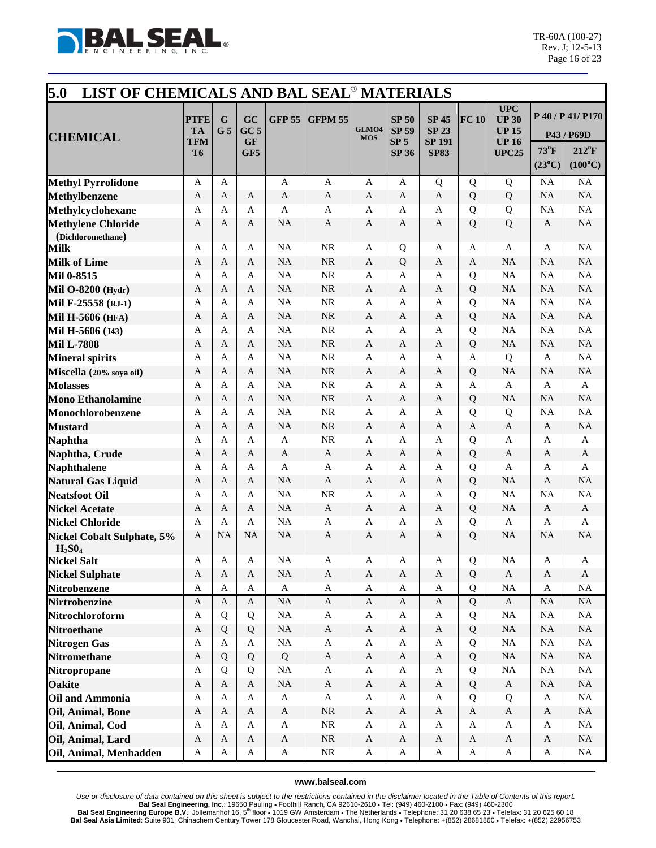

| 5.0<br>LIST OF CHEMICALS AND BAL SEAL <sup>®</sup> MATERIALS |                          |                     |                       |                           |                |                     |                                 |                                               |              |                                                            |                 |                                 |
|--------------------------------------------------------------|--------------------------|---------------------|-----------------------|---------------------------|----------------|---------------------|---------------------------------|-----------------------------------------------|--------------|------------------------------------------------------------|-----------------|---------------------------------|
| <b>CHEMICAL</b>                                              | <b>PTFE</b><br><b>TA</b> | G<br>G <sub>5</sub> | GC<br>GC <sub>5</sub> | <b>GFP 55</b>             | <b>GFPM 55</b> | GLMO4<br><b>MOS</b> | <b>SP 50</b><br><b>SP 59</b>    | <b>SP 45</b><br><b>SP 23</b><br><b>SP 191</b> | FC 10        | <b>UPC</b><br><b>UP 30</b><br><b>UP 15</b><br><b>UP 16</b> |                 | P 40 / P 41/ P170<br>P43 / P69D |
|                                                              | TFM<br>T6                |                     | <b>GF</b><br>GF5      |                           |                |                     | SP <sub>5</sub><br><b>SP 36</b> | <b>SP83</b>                                   |              | <b>UPC25</b>                                               | 73°F            | $212^{\circ}F$                  |
|                                                              |                          |                     |                       |                           |                |                     |                                 |                                               |              |                                                            | $(23^{\circ}C)$ | $(100^{\circ}C)$                |
| <b>Methyl Pyrrolidone</b>                                    | A                        | A                   |                       | $\mathbf{A}$              | $\mathbf{A}$   | A                   | A                               | Q                                             | Q            | Q                                                          | NA              | <b>NA</b>                       |
| <b>Methylbenzene</b>                                         | $\mathbf{A}$             | A                   | $\mathbf{A}$          | $\mathbf{A}$              | $\mathbf{A}$   | $\mathbf{A}$        | $\mathbf{A}$                    | $\mathbf{A}$                                  | Q            | Q                                                          | <b>NA</b>       | NA                              |
| Methylcyclohexane                                            | A                        | A                   | A                     | $\mathbf{A}$              | A              | A                   | A                               | A                                             | Q            | Q                                                          | NA              | NA                              |
| <b>Methylene Chloride</b>                                    | A                        | A                   | A                     | <b>NA</b>                 | A              | A                   | A                               | A                                             | Q            | Q                                                          | A               | NA                              |
| (Dichloromethane)                                            |                          |                     |                       |                           |                |                     |                                 |                                               |              |                                                            |                 |                                 |
| Milk                                                         | A                        | A                   | A                     | <b>NA</b>                 | NR             | A                   | Q                               | A                                             | A            | A                                                          | A               | NA                              |
| <b>Milk of Lime</b>                                          | $\mathbf{A}$             | A                   | $\mathbf{A}$          | <b>NA</b>                 | $\rm NR$       | $\mathbf{A}$        | Q                               | $\mathbf{A}$                                  | A            | <b>NA</b>                                                  | <b>NA</b>       | <b>NA</b>                       |
| Mil 0-8515                                                   | $\mathbf{A}$             | A                   | A                     | <b>NA</b>                 | NR             | A                   | A                               | $\mathbf{A}$                                  | Q            | <b>NA</b>                                                  | NA              | NA                              |
| Mil O-8200 (Hydr)                                            | Α                        | A                   | A                     | <b>NA</b>                 | NR             | A                   | A                               | $\mathbf{A}$                                  | Q            | <b>NA</b>                                                  | <b>NA</b>       | NA                              |
| Mil F-25558 (RJ-1)                                           | A                        | A                   | A                     | <b>NA</b>                 | <b>NR</b>      | A                   | A                               | A                                             | Q            | <b>NA</b>                                                  | <b>NA</b>       | NA                              |
| Mil H-5606 (HFA)                                             | A                        | A                   | A                     | <b>NA</b>                 | <b>NR</b>      | A                   | A                               | A                                             | Q            | <b>NA</b>                                                  | NA              | NA                              |
| Mil H-5606 (J43)                                             | $\mathbf{A}$             | A                   | A                     | <b>NA</b>                 | <b>NR</b>      | A                   | A                               | A                                             | Q            | NA                                                         | NA              | NA                              |
| <b>Mil L-7808</b>                                            | A                        | A                   | A                     | <b>NA</b>                 | <b>NR</b>      | A                   | $\mathbf{A}$                    | A                                             | Q            | <b>NA</b>                                                  | <b>NA</b>       | NA                              |
| <b>Mineral spirits</b>                                       | $\mathbf{A}$             | A                   | A                     | <b>NA</b>                 | <b>NR</b>      | A                   | A                               | A                                             | A            | Q                                                          | A               | NA                              |
| Miscella (20% soya oil)                                      | A                        | A                   | $\mathbf{A}$          | <b>NA</b>                 | $\rm NR$       | A                   | A                               | A                                             | Q            | <b>NA</b>                                                  | NA              | NA                              |
| <b>Molasses</b>                                              | A                        | A                   | A                     | <b>NA</b>                 | <b>NR</b>      | A                   | A                               | A                                             | A            | $\mathbf{A}$                                               | A               | $\mathbf{A}$                    |
| <b>Mono Ethanolamine</b>                                     | A                        | A                   | A                     | <b>NA</b>                 | <b>NR</b>      | A                   | A                               | A                                             | Q            | <b>NA</b>                                                  | <b>NA</b>       | NA                              |
| Monochlorobenzene                                            | A                        | A                   | A                     | <b>NA</b>                 | NR             | A                   | A                               | A                                             | Q            | Q                                                          | <b>NA</b>       | NA                              |
| <b>Mustard</b>                                               | A                        | A                   | A                     | <b>NA</b>                 | <b>NR</b>      | A                   | A                               | A                                             | A            | $\mathbf{A}$                                               | A               | NA                              |
| <b>Naphtha</b>                                               | $\mathbf{A}$             | A                   | A                     | $\mathbf{A}$              | NR             | A                   | A                               | A                                             | Q            | A                                                          | A               | $\mathbf{A}$                    |
| Naphtha, Crude                                               | A                        | A                   | A                     | A                         | $\mathbf{A}$   | A                   | A                               | A                                             | Q            | $\mathbf{A}$                                               | A               | $\mathbf{A}$                    |
| <b>Naphthalene</b>                                           | A                        | A                   | $\mathbf{A}$          | $\mathbf{A}$              | $\mathbf{A}$   | A                   | A                               | A                                             | Q            | $\mathbf{A}$                                               | A               | A                               |
| <b>Natural Gas Liquid</b>                                    | A                        | A                   | $\mathbf{A}$          | <b>NA</b>                 | $\mathbf{A}$   | A                   | A                               | A                                             | Q            | <b>NA</b>                                                  | A               | NA                              |
| <b>Neatsfoot Oil</b>                                         | $\mathbf{A}$             | A                   | A                     | <b>NA</b>                 | <b>NR</b>      | A                   | A                               | A                                             | Q            | <b>NA</b>                                                  | <b>NA</b>       | NA                              |
| <b>Nickel Acetate</b>                                        | A                        | A                   | A                     | <b>NA</b>                 | $\mathbf{A}$   | A                   | $\mathbf{A}$                    | A                                             | Q            | <b>NA</b>                                                  | A               | $\mathbf{A}$                    |
| <b>Nickel Chloride</b>                                       | A                        | A                   | A                     | NA                        | $\mathbf{A}$   | A                   | A                               | A                                             | Q            | $\mathbf{A}$                                               | A               | A                               |
| <b>Nickel Cobalt Sulphate, 5%</b>                            | A                        | <b>NA</b>           | <b>NA</b>             | <b>NA</b>                 | $\mathbf{A}$   | A                   | A                               | A                                             | Q            | <b>NA</b>                                                  | <b>NA</b>       | NA                              |
| $H_2SO_4$<br><b>Nickel Salt</b>                              | Α                        | Α                   | Α                     | <b>NA</b>                 | Α              | Α                   | Α                               | Α                                             | Q            | <b>NA</b>                                                  | A               | A                               |
| <b>Nickel Sulphate</b>                                       | $\mathbf{A}$             | $\mathbf{A}$        | $\mathbf{A}$          | NA                        | $\mathbf{A}$   | $\mathbf{A}$        | $\mathbf{A}$                    | $\mathbf{A}$                                  | Q            | $\mathbf{A}$                                               | $\mathbf{A}$    | $\mathbf{A}$                    |
| <b>Nitrobenzene</b>                                          | $\mathbf{A}$             | $\mathbf{A}$        | $\mathbf{A}$          | $\mathbf A$               | $\mathbf A$    | $\mathbf A$         | $\mathbf A$                     | $\mathbf{A}$                                  | Q            | $\rm NA$                                                   | $\bf{A}$        | NA                              |
| <b>Nirtrobenzine</b>                                         | $\mathbf{A}$             | $\mathbf{A}$        | $\mathbf{A}$          | <b>NA</b>                 | $\mathbf A$    | $\mathbf{A}$        | $\mathbf{A}$                    | $\mathbf{A}$                                  | Q            | $\mathbf{A}$                                               | $\rm NA$        | $\rm NA$                        |
| Nitrochloroform                                              | A                        | Q                   | Q                     | $\rm NA$                  | $\mathbf{A}$   | $\mathbf{A}$        | A                               | $\mathbf{A}$                                  | Q            | NA                                                         | NA              | NA                              |
| <b>Nitroethane</b>                                           | $\mathbf{A}$             | Q                   | Q                     | <b>NA</b>                 | $\mathbf A$    | $\mathbf{A}$        | $\mathbf{A}$                    | $\mathbf{A}$                                  | Q            | $\rm NA$                                                   | $\rm NA$        | $\rm NA$                        |
| <b>Nitrogen Gas</b>                                          | A                        | A                   | A                     | <b>NA</b>                 | $\mathbf{A}$   | $\mathbf{A}$        | $\mathbf A$                     | A                                             | Q            | $_{\rm NA}$                                                | NA              | $\rm NA$                        |
| <b>Nitromethane</b>                                          | $\mathbf{A}$             | Q                   | Q                     | Q                         | $\mathbf A$    | $\mathbf{A}$        | $\mathbf{A}$                    | $\mathbf{A}$                                  | Q            | $\rm NA$                                                   | $\rm NA$        | $\rm NA$                        |
| Nitropropane                                                 | $\mathbf A$              | Q                   | Q                     | NA                        | $\mathbf{A}$   | $\mathbf{A}$        | $\mathbf A$                     | $\mathbf{A}$                                  | Q            | NA                                                         | NA              | NA                              |
| <b>Oakite</b>                                                | $\mathbf{A}$             | $\mathbf{A}$        | $\mathbf{A}$          | <b>NA</b>                 | $\mathbf A$    | $\mathbf{A}$        | $\mathbf{A}$                    | $\mathbf{A}$                                  | Q            | $\mathbf{A}$                                               | $\rm NA$        | $\rm NA$                        |
| <b>Oil and Ammonia</b>                                       | $\mathbf{A}$             | A                   | $\mathbf{A}$          | $\mathbf{A}$              | $\mathbf A$    | A                   | $\mathbf A$                     | $\mathbf{A}$                                  | Q            | Q                                                          | $\bf{A}$        | NA                              |
| Oil, Animal, Bone                                            | $\mathbf{A}$             | $\mathbf{A}$        | $\mathbf{A}$          | $\mathbf A$               | ${\rm NR}$     | $\mathbf{A}$        | $\mathbf{A}$                    | $\mathbf{A}$                                  | $\mathbf{A}$ | $\mathbf A$                                                | $\mathbf{A}$    | $\rm NA$                        |
| Oil, Animal, Cod                                             | $\mathbf{A}$             | $\mathbf{A}$        | $\mathbf{A}$          | $\mathbf A$               | $\rm NR$       | A                   | $\mathbf{A}$                    | $\mathbf{A}$                                  | A            | $\mathbf{A}$                                               | $\mathbf{A}$    | NA                              |
| Oil, Animal, Lard                                            | $\mathbf{A}$             | $\mathbf{A}$        | $\mathbf{A}$          | $\boldsymbol{\mathsf{A}}$ | $\rm NR$       | $\mathbf{A}$        | $\mathbf{A}$                    | $\mathbf{A}$                                  | $\mathbf{A}$ | $\mathbf{A}$                                               | $\mathbf{A}$    | $\rm NA$                        |
| Oil, Animal, Menhadden                                       | $\mathbf{A}$             | A                   | $\mathbf{A}$          | $\mathbf{A}$              | $\rm NR$       | $\mathbf{A}$        | A                               | $\mathbf A$                                   | A            | $\mathbf A$                                                | $\mathbf{A}$    | NA                              |
|                                                              |                          |                     |                       |                           |                |                     |                                 |                                               |              |                                                            |                 |                                 |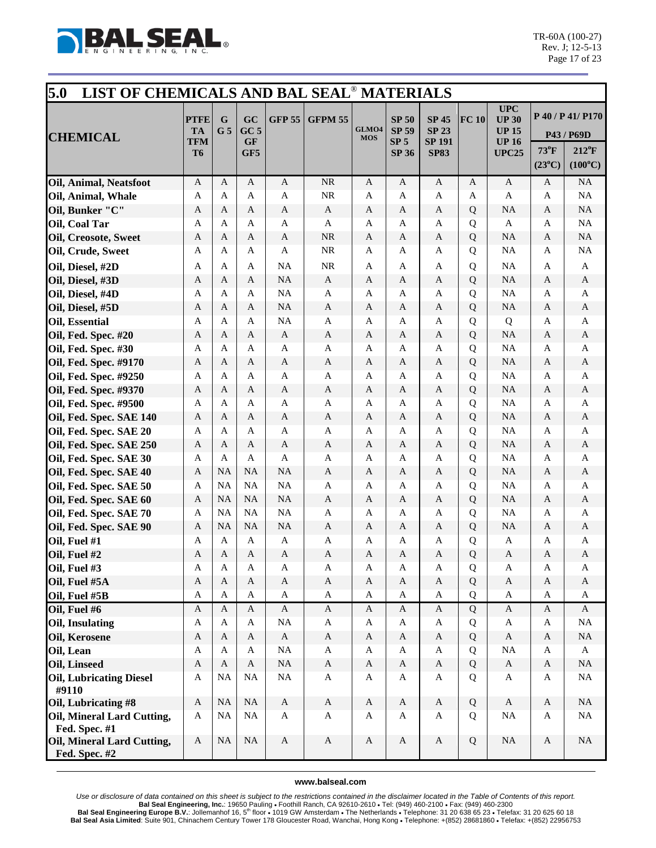

| 5.0<br>LIST OF CHEMICALS AND BAL SEAL <sup>®</sup> MATERIALS |                                 |                               |                                    |               |                |                     |                                                 |                                               |                |                                                            |                 |                                 |
|--------------------------------------------------------------|---------------------------------|-------------------------------|------------------------------------|---------------|----------------|---------------------|-------------------------------------------------|-----------------------------------------------|----------------|------------------------------------------------------------|-----------------|---------------------------------|
| <b>CHEMICAL</b>                                              | <b>PTFE</b><br><b>TA</b><br>TFM | $\mathbf G$<br>G <sub>5</sub> | GC<br>GC <sub>5</sub><br><b>GF</b> | <b>GFP 55</b> | <b>GFPM 55</b> | GLMO4<br><b>MOS</b> | <b>SP 50</b><br><b>SP 59</b><br>SP <sub>5</sub> | <b>SP 45</b><br><b>SP 23</b><br><b>SP 191</b> | FC 10          | <b>UPC</b><br><b>UP 30</b><br><b>UP 15</b><br><b>UP 16</b> |                 | P 40 / P 41/ P170<br>P43 / P69D |
|                                                              | T <sub>6</sub>                  |                               | GF5                                |               |                |                     | <b>SP 36</b>                                    | <b>SP83</b>                                   |                | <b>UPC25</b>                                               | 73°F            | $212^{\circ}F$                  |
|                                                              |                                 |                               |                                    |               |                |                     |                                                 |                                               |                |                                                            | $(23^{\circ}C)$ | $(100^{\circ}C)$                |
| Oil, Animal, Neatsfoot                                       | $\mathbf{A}$                    | A                             | A                                  | $\mathbf{A}$  | $\rm NR$       | A                   | A                                               | $\mathbf{A}$                                  | A              | $\mathbf{A}$                                               | A               | NA                              |
| Oil, Animal, Whale                                           | A                               | A                             | A                                  | $\mathbf{A}$  | $\rm NR$       | A                   | A                                               | A                                             | A              | $\mathbf{A}$                                               | A               | NA                              |
| Oil, Bunker "C"                                              | A                               | A                             | A                                  | $\mathbf{A}$  | $\mathbf{A}$   | A                   | $\mathbf{A}$                                    | A                                             | Q              | <b>NA</b>                                                  | A               | NA                              |
| Oil, Coal Tar                                                | A                               | A                             | A                                  | $\mathbf{A}$  | A              | A                   | A                                               | A                                             | Q              | $\mathbf{A}$                                               | A               | NA                              |
| <b>Oil, Creosote, Sweet</b>                                  | A                               | A                             | A                                  | $\mathbf{A}$  | $\rm NR$       | A                   | $\mathbf{A}$                                    | A                                             | Q              | <b>NA</b>                                                  | A               | NA                              |
| Oil, Crude, Sweet                                            | A                               | A                             | A                                  | $\mathbf{A}$  | NR             | A                   | A                                               | A                                             | Q              | NA                                                         | A               | NA                              |
| Oil, Diesel, #2D                                             | A                               | A                             | A                                  | NA            | <b>NR</b>      | A                   | A                                               | A                                             | Q              | NA                                                         | A               | A                               |
| Oil, Diesel, #3D                                             | A                               | A                             | $\mathbf{A}$                       | <b>NA</b>     | $\mathbf{A}$   | A                   | A                                               | A                                             | Q              | NA                                                         | A               | A                               |
| Oil, Diesel, #4D                                             | A                               | A                             | A                                  | NA            | $\mathbf{A}$   | A                   | A                                               | A                                             | Q              | NA                                                         | A               | A                               |
| Oil, Diesel, #5D                                             | A                               | A                             | A                                  | <b>NA</b>     | A              | A                   | $\mathbf{A}$                                    | A                                             | Q              | NA                                                         | A               | A                               |
| Oil, Essential                                               | $\mathbf{A}$                    | A                             | A                                  | <b>NA</b>     | $\mathbf{A}$   | A                   | A                                               | A                                             | Q              | Q                                                          | A               | $\mathbf{A}$                    |
| Oil, Fed. Spec. #20                                          | A                               | A                             | A                                  | A             | A              | A                   | A                                               | A                                             | Q              | <b>NA</b>                                                  | A               | A                               |
| Oil, Fed. Spec. #30                                          | A                               | A                             | A                                  | A             | $\mathbf{A}$   | A                   | A                                               | A                                             | Q              | NA                                                         | A               | A                               |
| Oil, Fed. Spec. #9170                                        | A                               | A                             | A                                  | A             | A              | A                   | A                                               | A                                             | Q              | NA                                                         | A               | $\mathbf{A}$                    |
| Oil, Fed. Spec. #9250                                        | A                               | A                             | A                                  | A             | A              | A                   | A                                               | A                                             | Q              | NA                                                         | A               | A                               |
| Oil, Fed. Spec. #9370                                        | A                               | A                             | A                                  | $\mathbf{A}$  | $\mathbf{A}$   | A                   | $\mathbf{A}$                                    | A                                             | Q              | <b>NA</b>                                                  | A               | A                               |
| Oil, Fed. Spec. #9500                                        | A                               | A                             | A                                  | $\mathbf{A}$  | A              | A                   | A                                               | A                                             | Q              | NA                                                         | A               | A                               |
| Oil, Fed. Spec. SAE 140                                      | A                               | A                             | A                                  | $\mathbf{A}$  | $\mathbf{A}$   | A                   | $\mathbf{A}$                                    | A                                             | Q              | <b>NA</b>                                                  | A               | A                               |
| Oil, Fed. Spec. SAE 20                                       | A                               | A                             | A                                  | $\mathbf{A}$  | $\mathbf{A}$   | A                   | A                                               | A                                             | Q              | NA                                                         | A               | A                               |
| Oil, Fed. Spec. SAE 250                                      | A                               | A                             | A                                  | A             | $\mathbf{A}$   | A                   | $\mathbf{A}$                                    | A                                             | Q              | NA                                                         | A               | A                               |
| Oil, Fed. Spec. SAE 30                                       | A                               | A                             | A                                  | A             | $\mathbf{A}$   | A                   | A                                               | A                                             | Q              | NA                                                         | A               | A                               |
| Oil, Fed. Spec. SAE 40                                       | $\mathbf{A}$                    | <b>NA</b>                     | <b>NA</b>                          | <b>NA</b>     | $\mathbf{A}$   | A                   | A                                               | A                                             | Q              | <b>NA</b>                                                  | A               | $\mathbf{A}$                    |
| Oil, Fed. Spec. SAE 50                                       | $\overline{A}$                  | <b>NA</b>                     | <b>NA</b>                          | <b>NA</b>     | $\mathbf{A}$   | A                   | A                                               | A                                             | Q              | NA                                                         | A               | $\mathbf{A}$                    |
| Oil, Fed. Spec. SAE 60                                       | A                               | <b>NA</b>                     | NA                                 | <b>NA</b>     | $\mathbf{A}$   | A                   | $\mathbf{A}$                                    | $\mathbf{A}$                                  | Q              | NA                                                         | A               | $\mathbf{A}$                    |
| Oil, Fed. Spec. SAE 70                                       | A                               | <b>NA</b>                     | <b>NA</b>                          | <b>NA</b>     | $\mathbf{A}$   | A                   | A                                               | A                                             | Q              | NA                                                         | A               | A                               |
| Oil, Fed. Spec. SAE 90                                       | A                               | <b>NA</b>                     | <b>NA</b>                          | <b>NA</b>     | A              | A                   | A                                               | A                                             | Q              | <b>NA</b>                                                  | A               | $\mathbf{A}$                    |
| Oil, Fuel #1                                                 | A                               | A                             | A                                  | $\mathbf{A}$  | $\mathbf{A}$   | A                   | A                                               | A                                             | Q              | $\mathbf{A}$                                               | A               | A                               |
| Oil, Fuel #2                                                 | A                               | A                             | A                                  | A             | A              | A                   | A                                               | A                                             | Q              | $\mathbf{A}$                                               | A               | A                               |
| Oil, Fuel #3                                                 | A                               | A                             | $\mathbf{A}$                       | A             | A              | A                   | A                                               | A                                             | Q              | A                                                          | A               | A                               |
| Oil, Fuel #5A                                                | $\mathbf{A}$                    | $\mathbf{A}$                  | $\mathbf{A}$                       | $\mathbf{A}$  | $\mathbf A$    | $\mathbf A$         | $\mathbf{A}$                                    | $\mathbf{A}$                                  | Q              | $\mathbf A$                                                | $\mathbf{A}$    | $\mathbf{A}$                    |
| Oil, Fuel #5B                                                | $\mathbf{A}$                    | A                             | $\mathbf{A}$                       | $\mathbf A$   | $\mathbf A$    | $\mathbf{A}$        | $\mathbf{A}$                                    | A                                             | $\overline{Q}$ | $\mathbf{A}$                                               | A               | A                               |
| Oil, Fuel #6                                                 | $\mathbf{A}$                    | $\mathbf{A}$                  | $\mathbf{A}$                       | $\mathbf{A}$  | $\mathbf{A}$   | $\mathbf{A}$        | $\mathbf A$                                     | $\mathbf{A}$                                  | $\overline{Q}$ | $\mathbf{A}$                                               | $\mathbf{A}$    | $\mathbf{A}$                    |
| Oil, Insulating                                              | $\mathbf{A}$                    | A                             | $\mathbf{A}$                       | NA            | $\mathbf A$    | $\mathbf{A}$        | A                                               | A                                             | Q              | $\mathbf{A}$                                               | A               | $\rm NA$                        |
| Oil, Kerosene                                                | $\mathbf{A}$                    | A                             | A                                  | $\mathbf{A}$  | $\mathbf{A}$   | $\mathbf{A}$        | A                                               | $\mathbf{A}$                                  | Q              | $\mathbf{A}$                                               | $\mathbf{A}$    | $\rm NA$                        |
| Oil, Lean                                                    | $\mathbf{A}$                    | A                             | A                                  | $\rm NA$      | A              | A                   | A                                               | $\mathbf{A}$                                  | Q              | NA                                                         | A               | $\mathbf{A}$                    |
| <b>Oil, Linseed</b>                                          | $\mathbf{A}$                    | $\mathbf{A}$                  | $\mathbf{A}$                       | $\rm NA$      | $\mathbf A$    | $\mathbf{A}$        | $\mathbf{A}$                                    | $\mathbf{A}$                                  | Q              | $\mathbf{A}$                                               | $\mathbf{A}$    | $\rm NA$                        |
| <b>Oil, Lubricating Diesel</b><br>#9110                      | $\mathbf A$                     | NA                            | $\rm NA$                           | $_{\rm NA}$   | $\mathbf{A}$   | $\mathbf{A}$        | A                                               | $\mathbf{A}$                                  | Q              | $\mathbf{A}$                                               | $\mathbf{A}$    | NA                              |
| Oil, Lubricating #8                                          | $\boldsymbol{A}$                | NA                            | $\rm NA$                           | $\mathbf{A}$  | $\mathbf{A}$   | $\mathbf{A}$        | $\mathbf{A}$                                    | $\mathbf{A}$                                  | Q              | $\mathbf{A}$                                               | $\mathbf{A}$    | $\rm NA$                        |
| Oil, Mineral Lard Cutting,                                   | $\mathbf A$                     | <b>NA</b>                     | $\rm NA$                           | $\mathbf{A}$  | $\mathbf{A}$   | $\mathbf{A}$        | $\mathbf{A}$                                    | $\mathbf{A}$                                  | Q              | NA                                                         | A               | NA                              |
| Fed. Spec. #1                                                |                                 |                               |                                    |               |                |                     |                                                 |                                               |                |                                                            |                 |                                 |
| Oil, Mineral Lard Cutting,<br>Fed. Spec. #2                  | $\mathbf{A}$                    | $\rm NA$                      | NA                                 | $\mathbf{A}$  | $\mathbf{A}$   | $\mathbf{A}$        | $\mathbf{A}$                                    | $\mathbf{A}$                                  | Q              | NA                                                         | A               | $\rm NA$                        |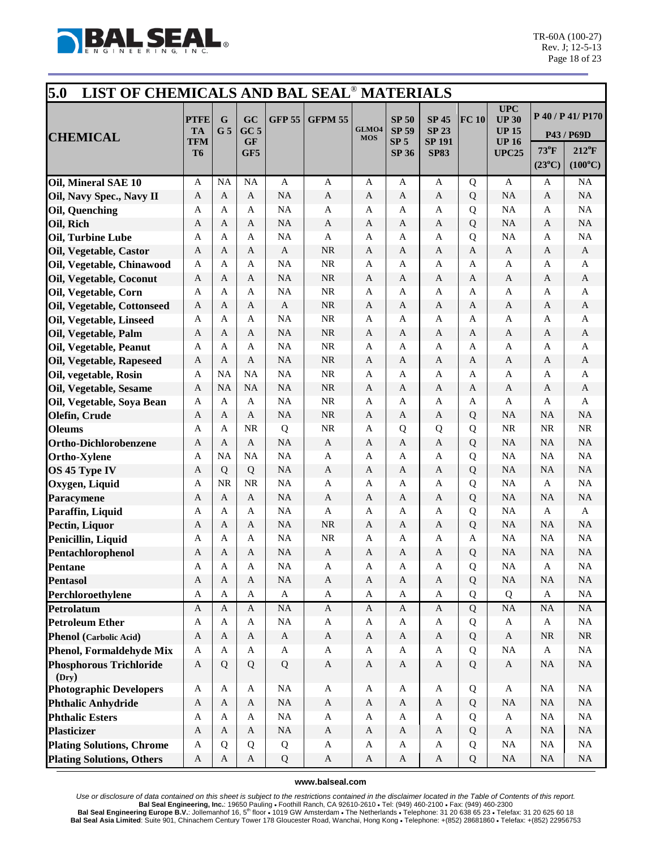

| 5.0<br>LIST OF CHEMICALS AND BAL SEAL <sup>®</sup> MATERIALS |                                              |                     |                                  |                        |                           |                           |                                                                 |                                                              |        |                                                                     |                         |                                                                       |
|--------------------------------------------------------------|----------------------------------------------|---------------------|----------------------------------|------------------------|---------------------------|---------------------------|-----------------------------------------------------------------|--------------------------------------------------------------|--------|---------------------------------------------------------------------|-------------------------|-----------------------------------------------------------------------|
| <b>CHEMICAL</b>                                              | <b>PTFE</b><br><b>TA</b><br>TFM<br><b>T6</b> | G<br>G <sub>5</sub> | GC<br>$GC$ 5<br><b>GF</b><br>GF5 | <b>GFP 55</b>          | <b>GFPM 55</b>            | GLMO4<br><b>MOS</b>       | <b>SP 50</b><br><b>SP 59</b><br>SP <sub>5</sub><br><b>SP 36</b> | <b>SP 45</b><br><b>SP 23</b><br><b>SP 191</b><br><b>SP83</b> | FC 10  | UPC<br><b>UP 30</b><br><b>UP 15</b><br><b>UP 16</b><br><b>UPC25</b> | 73°F<br>$(23^{\circ}C)$ | P 40 / P 41/ P170<br>P43 / P69D<br>$212^{\circ}F$<br>$(100^{\circ}C)$ |
| Oil, Mineral SAE 10                                          | A                                            | <b>NA</b>           | <b>NA</b>                        | A                      | A                         | A                         | A                                                               | A                                                            | Q      | A                                                                   | A                       | NA                                                                    |
| Oil, Navy Spec., Navy II                                     | A                                            | A                   | A                                | <b>NA</b>              | $\mathbf{A}$              | A                         | A                                                               | A                                                            | Q      | <b>NA</b>                                                           | A                       | NA                                                                    |
| Oil, Quenching                                               | A                                            | A                   | A                                | <b>NA</b>              | A                         | A                         | A                                                               | A                                                            | Q      | NA                                                                  | A                       | NA                                                                    |
| Oil, Rich                                                    | A                                            | A                   | A                                | <b>NA</b>              | A                         | A                         | A                                                               | A                                                            | Q      | <b>NA</b>                                                           | A                       | NA                                                                    |
| Oil, Turbine Lube                                            | $\mathbf{A}$                                 | A                   | A                                | <b>NA</b>              | $\mathbf{A}$              | A                         | A                                                               | $\mathbf{A}$                                                 | Q      | <b>NA</b>                                                           | A                       | NA                                                                    |
| Oil, Vegetable, Castor                                       | A                                            | A                   | A                                | A                      | <b>NR</b>                 | A                         | A                                                               | A                                                            | A      | $\mathbf{A}$                                                        | A                       | A                                                                     |
| Oil, Vegetable, Chinawood                                    | A                                            | A                   | A                                | <b>NA</b>              | <b>NR</b>                 | A                         | A                                                               | A                                                            | A      | A                                                                   | A                       | A                                                                     |
| Oil, Vegetable, Coconut                                      | A                                            | A                   | A                                | <b>NA</b>              | <b>NR</b>                 | A                         | A                                                               | A                                                            | A      | $\mathbf{A}$                                                        | A                       | $\mathbf{A}$                                                          |
| Oil, Vegetable, Corn                                         | $\mathbf{A}$                                 | A                   | A                                | <b>NA</b>              | <b>NR</b>                 | A                         | A                                                               | A                                                            | A      | A                                                                   | A                       | A                                                                     |
| Oil, Vegetable, Cottonseed                                   | A                                            | A                   | A                                | $\mathbf{A}$           | <b>NR</b>                 | A                         | $\mathbf{A}$                                                    | A                                                            | A      | $\mathbf{A}$                                                        | A                       | A                                                                     |
| Oil, Vegetable, Linseed                                      | A                                            | A                   | A                                | NA                     | <b>NR</b>                 | A                         | A                                                               | A                                                            | A      | A                                                                   | A                       | A                                                                     |
| Oil, Vegetable, Palm                                         | A                                            | A                   | A                                | <b>NA</b>              | <b>NR</b>                 | A                         | A                                                               | A                                                            | A      | $\mathbf{A}$                                                        | A                       | A                                                                     |
| Oil, Vegetable, Peanut                                       | $\mathbf{A}$                                 | A                   | A                                | <b>NA</b>              | <b>NR</b>                 | A                         | A                                                               | $\mathbf{A}$                                                 | A      | A                                                                   | A                       | A                                                                     |
| Oil, Vegetable, Rapeseed                                     | A                                            | A                   | A                                | <b>NA</b>              | <b>NR</b>                 | A                         | A                                                               | A                                                            | A      | $\mathbf{A}$                                                        | A                       | A                                                                     |
| Oil, vegetable, Rosin                                        | A                                            | <b>NA</b>           | <b>NA</b>                        | <b>NA</b>              | NR                        | A                         | A                                                               | A                                                            | A      | A                                                                   | A                       | A                                                                     |
| Oil, Vegetable, Sesame                                       | $\mathbf{A}$                                 | <b>NA</b>           | <b>NA</b>                        | <b>NA</b>              | <b>NR</b>                 | A                         | A                                                               | A                                                            | A      | $\mathbf{A}$                                                        | A                       | A                                                                     |
| Oil, Vegetable, Soya Bean                                    | A                                            | A                   | $\mathbf{A}$                     | <b>NA</b>              | <b>NR</b>                 | A                         | A                                                               | A                                                            | A      | A                                                                   | A                       | A                                                                     |
| Olefin, Crude                                                | A                                            | A                   | $\mathbf{A}$                     | <b>NA</b>              | NR                        | A                         | A                                                               | A                                                            | Q      | <b>NA</b>                                                           | <b>NA</b>               | NA                                                                    |
| <b>Oleums</b>                                                | A                                            | A                   | <b>NR</b>                        | Q                      | <b>NR</b>                 | A                         | Q                                                               | Q                                                            | Q      | <b>NR</b>                                                           | <b>NR</b>               | <b>NR</b>                                                             |
| <b>Ortho-Dichlorobenzene</b>                                 | A                                            | A                   | A                                | <b>NA</b>              | $\mathbf{A}$              | A                         | $\mathbf{A}$                                                    | $\mathbf{A}$                                                 | Q      | <b>NA</b>                                                           | <b>NA</b>               | NA                                                                    |
| <b>Ortho-Xylene</b>                                          | A                                            | <b>NA</b>           | <b>NA</b>                        | <b>NA</b>              | $\mathbf{A}$              | A                         | A                                                               | A                                                            | Q      | <b>NA</b>                                                           | <b>NA</b>               | NA                                                                    |
| OS 45 Type IV                                                | A                                            | Q<br><b>NR</b>      | Q<br><b>NR</b>                   | <b>NA</b><br><b>NA</b> | $\mathbf{A}$<br>A         | A                         | A                                                               | A                                                            | Q      | <b>NA</b><br>NA                                                     | <b>NA</b>               | NA<br>NA                                                              |
| Oxygen, Liquid                                               | A<br>A                                       | A                   | $\mathbf{A}$                     | <b>NA</b>              | $\mathbf{A}$              | A<br>A                    | A<br>A                                                          | A<br>A                                                       | Q      | <b>NA</b>                                                           | A<br><b>NA</b>          | NA                                                                    |
| Paracymene<br>Paraffin, Liquid                               | A                                            | A                   | A                                | <b>NA</b>              | A                         | A                         | A                                                               | A                                                            | Q<br>Q | NA                                                                  | A                       | A                                                                     |
| Pectin, Liquor                                               | A                                            | A                   | A                                | <b>NA</b>              | <b>NR</b>                 | A                         | A                                                               | A                                                            | Q      | <b>NA</b>                                                           | NA                      | NA                                                                    |
| Penicillin, Liquid                                           | A                                            | A                   | A                                | <b>NA</b>              | <b>NR</b>                 | A                         | A                                                               | A                                                            | A      | <b>NA</b>                                                           | <b>NA</b>               | NA                                                                    |
| Pentachlorophenol                                            | A                                            | Α                   | A                                | <b>NA</b>              | A                         | A                         | A                                                               | A                                                            | Q      | <b>NA</b>                                                           | <b>NA</b>               | NA                                                                    |
| Pentane                                                      | $\mathbf{A}$                                 | $\mathbf A$         | $\boldsymbol{\mathsf{A}}$        | NA                     | $\boldsymbol{\mathsf{A}}$ | $\boldsymbol{\mathsf{A}}$ | $\boldsymbol{\mathsf{A}}$                                       | $\boldsymbol{\mathsf{A}}$                                    | Q      | $\rm NA$                                                            | $\mathbf A$             | $\rm NA$                                                              |
| <b>Pentasol</b>                                              | $\mathbf{A}$                                 | $\mathbf{A}$        | $\mathbf{A}$                     | NA                     | $\mathbf A$               | $\mathbf A$               | $\boldsymbol{A}$                                                | $\mathbf{A}$                                                 | Q      | $\rm NA$                                                            | NA                      | $\rm NA$                                                              |
| Perchloroethylene                                            | $\mathbf{A}$                                 | $\mathbf{A}$        | $\mathbf{A}$                     | $\mathbf A$            | $\mathbf A$               | $\mathbf{A}$              | $\mathbf A$                                                     | $\mathbf{A}$                                                 | Q      | Q                                                                   | $\mathbf A$             | $\rm NA$                                                              |
| Petrolatum                                                   | $\mathbf{A}$                                 | $\mathbf{A}$        | $\mathbf{A}$                     | NA                     | $\mathbf{A}$              | $\mathbf A$               | $\mathbf{A}$                                                    | $\mathbf{A}$                                                 | Q      | NA                                                                  | $\rm NA$                | $\rm NA$                                                              |
| <b>Petroleum Ether</b>                                       | A                                            | $\mathbf{A}$        | $\mathbf{A}$                     | <b>NA</b>              | $\mathbf{A}$              | A                         | $\mathbf{A}$                                                    | A                                                            | Q      | $\mathbf{A}$                                                        | $\mathbf{A}$            | NA                                                                    |
| <b>Phenol</b> (Carbolic Acid)                                | $\boldsymbol{A}$                             | $\mathbf{A}$        | $\mathbf{A}$                     | $\mathbf{A}$           | $\mathbf{A}$              | $\mathbf{A}$              | $\mathbf{A}$                                                    | $\mathbf{A}$                                                 | Q      | $\mathbf{A}$                                                        | <b>NR</b>               | NR                                                                    |
| <b>Phenol, Formaldehyde Mix</b>                              | A                                            | A                   | A                                | $\mathbf{A}$           | $\mathbf{A}$              | A                         | $\mathbf{A}$                                                    | A                                                            | Q      | $\rm NA$                                                            | A                       | NA                                                                    |
| <b>Phosphorous Trichloride</b><br>(Dry)                      | $\mathbf{A}$                                 | Q                   | Q                                | Q                      | $\mathbf A$               | $\mathbf{A}$              | $\mathbf{A}$                                                    | $\mathbf{A}$                                                 | Q      | $\mathbf A$                                                         | <b>NA</b>               | $\rm NA$                                                              |
| <b>Photographic Developers</b>                               | A                                            | A                   | A                                | NA                     | $\mathbf{A}$              | $\mathbf{A}$              | A                                                               | A                                                            | Q      | $\mathbf{A}$                                                        | <b>NA</b>               | NA                                                                    |
| <b>Phthalic Anhydride</b>                                    | $\mathbf{A}$                                 | $\mathbf{A}$        | $\mathbf{A}$                     | <b>NA</b>              | $\mathbf A$               | $\mathbf{A}$              | $\mathbf{A}$                                                    | $\mathbf{A}$                                                 | Q      | $\rm NA$                                                            | $\rm NA$                | $\rm NA$                                                              |
| <b>Phthalic Esters</b>                                       | A                                            | A                   | $\mathbf{A}$                     | $\rm NA$               | $\mathbf{A}$              | $\mathbf{A}$              | A                                                               | A                                                            | Q      | $\mathbf{A}$                                                        | $_{\rm NA}$             | NA                                                                    |
| <b>Plasticizer</b>                                           | $\mathbf{A}$                                 | $\mathbf{A}$        | $\mathbf{A}$                     | <b>NA</b>              | $\mathbf{A}$              | $\mathbf{A}$              | $\mathbf{A}$                                                    | $\mathbf{A}$                                                 | Q      | $\mathbf{A}$                                                        | $\rm NA$                | $\rm NA$                                                              |
| <b>Plating Solutions, Chrome</b>                             | $\mathbf{A}$                                 | Q                   | Q                                | Q                      | $\mathbf{A}$              | $\mathbf{A}$              | A                                                               | A                                                            | Q      | $_{\rm NA}$                                                         | NA                      | NA                                                                    |
| <b>Plating Solutions, Others</b>                             | A                                            | $\mathbf{A}$        | $\mathbf{A}$                     | Q                      | $\mathbf{A}$              | A                         | A                                                               | $\mathbf{A}$                                                 | Q      | $\rm NA$                                                            | <b>NA</b>               | NA                                                                    |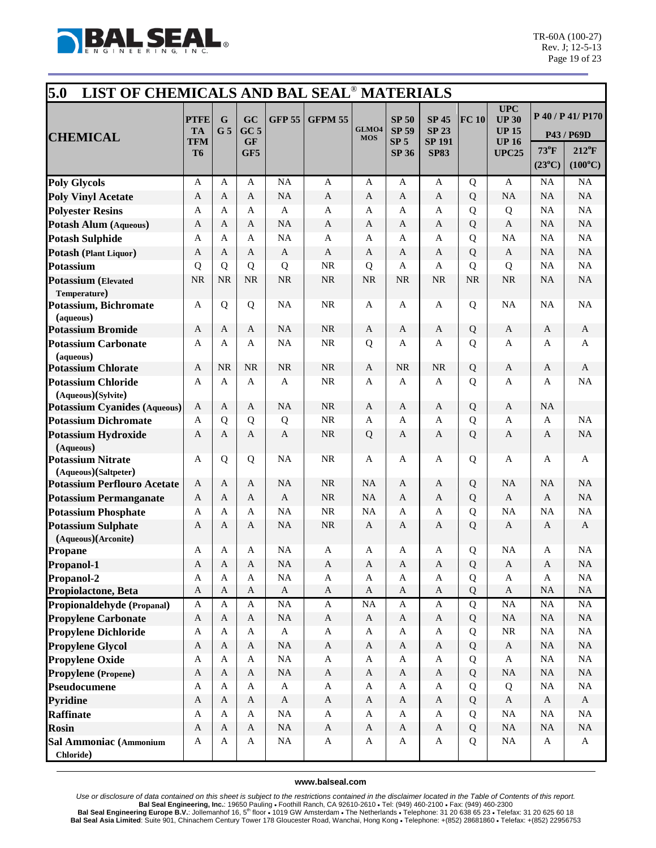

| 5.0<br>LIST OF CHEMICALS AND BAL SEAL <sup>®</sup> MATERIALS |                                       |                     |                                           |                           |                                           |                                        |                                                                 |                                                              |             |                                                                     |                          |                                                   |
|--------------------------------------------------------------|---------------------------------------|---------------------|-------------------------------------------|---------------------------|-------------------------------------------|----------------------------------------|-----------------------------------------------------------------|--------------------------------------------------------------|-------------|---------------------------------------------------------------------|--------------------------|---------------------------------------------------|
| <b>CHEMICAL</b>                                              | <b>PTFE</b><br><b>TA</b><br>TFM<br>T6 | G<br>G <sub>5</sub> | GC<br>GC <sub>5</sub><br><b>GF</b><br>GF5 | <b>GFP 55</b>             | <b>GFPM 55</b>                            | GLMO4<br><b>MOS</b>                    | <b>SP 50</b><br><b>SP 59</b><br>SP <sub>5</sub><br><b>SP 36</b> | <b>SP 45</b><br><b>SP 23</b><br><b>SP 191</b><br><b>SP83</b> | FC 10       | UPC<br><b>UP 30</b><br><b>UP 15</b><br><b>UP 16</b><br><b>UPC25</b> | $73^{\circ}$ F           | P 40 / P 41/ P170<br>P43 / P69D<br>$212^{\circ}F$ |
|                                                              |                                       |                     |                                           |                           |                                           |                                        |                                                                 |                                                              |             |                                                                     | $(23^{\circ}C)$          | $(100^{\circ}C)$                                  |
| <b>Poly Glycols</b>                                          | A                                     | A                   | A                                         | <b>NA</b>                 | A                                         | A                                      | A                                                               | A                                                            | Q           | A                                                                   | NA                       | NA                                                |
| <b>Poly Vinyl Acetate</b>                                    | A                                     | A                   | A                                         | <b>NA</b>                 | $\mathbf{A}$                              | A                                      | A                                                               | A                                                            | Q           | <b>NA</b>                                                           | NA                       | NA                                                |
| <b>Polyester Resins</b>                                      | A                                     | A                   | A                                         | A                         | $\mathbf{A}$                              | A                                      | A                                                               | A                                                            | Q           | Q                                                                   | <b>NA</b>                | NA                                                |
| <b>Potash Alum (Aqueous)</b>                                 | A                                     | A                   | $\mathbf{A}$                              | <b>NA</b>                 | $\mathbf{A}$                              | A                                      | A                                                               | A                                                            | Q           | $\mathbf{A}$                                                        | <b>NA</b>                | NA                                                |
| <b>Potash Sulphide</b>                                       | A                                     | A                   | A                                         | <b>NA</b>                 | $\mathbf{A}$                              | A                                      | A                                                               | A                                                            | Q           | <b>NA</b>                                                           | <b>NA</b>                | NA                                                |
| Potash (Plant Liquor)                                        | $\mathbf{A}$                          | A                   | A                                         | $\mathbf{A}$              | $\mathbf{A}$                              | A                                      | A                                                               | A                                                            | Q           | $\mathbf{A}$                                                        | <b>NA</b>                | NA                                                |
| Potassium                                                    | Q                                     | Q                   | Q                                         | Q                         | <b>NR</b>                                 | Q                                      | A                                                               | A                                                            | Q           | Q                                                                   | NA                       | NA                                                |
| <b>Potassium</b> (Elevated                                   | <b>NR</b>                             | <b>NR</b>           | <b>NR</b>                                 | <b>NR</b>                 | <b>NR</b>                                 | <b>NR</b>                              | <b>NR</b>                                                       | <b>NR</b>                                                    | <b>NR</b>   | <b>NR</b>                                                           | <b>NA</b>                | <b>NA</b>                                         |
| Temperature)                                                 |                                       |                     |                                           |                           |                                           |                                        |                                                                 |                                                              |             |                                                                     |                          |                                                   |
| Potassium, Bichromate                                        | $\mathbf{A}$                          | Q                   | Q                                         | <b>NA</b>                 | <b>NR</b>                                 | A                                      | A                                                               | $\mathbf{A}$                                                 | Q           | <b>NA</b>                                                           | <b>NA</b>                | $\rm NA$                                          |
| (aqueous)                                                    |                                       |                     |                                           |                           |                                           |                                        |                                                                 |                                                              |             |                                                                     |                          |                                                   |
| <b>Potassium Bromide</b>                                     | $\mathbf{A}$                          | A                   | $\mathbf{A}$                              | <b>NA</b>                 | <b>NR</b>                                 | A                                      | A                                                               | $\mathbf{A}$                                                 | Q           | $\mathbf{A}$                                                        | A                        | $\mathbf{A}$                                      |
| <b>Potassium Carbonate</b>                                   | $\mathbf{A}$                          | A                   | A                                         | <b>NA</b>                 | <b>NR</b>                                 | Q                                      | A                                                               | A                                                            | Q           | A                                                                   | A                        | A                                                 |
| (aqueous)                                                    |                                       |                     |                                           |                           |                                           |                                        |                                                                 |                                                              |             |                                                                     |                          |                                                   |
| <b>Potassium Chlorate</b>                                    | A                                     | <b>NR</b>           | <b>NR</b>                                 | <b>NR</b>                 | <b>NR</b>                                 | A                                      | <b>NR</b>                                                       | NR                                                           | Q           | $\mathbf{A}$                                                        | A                        | A                                                 |
| <b>Potassium Chloride</b>                                    | $\mathbf{A}$                          | A                   | $\mathbf{A}$                              | A                         | <b>NR</b>                                 | A                                      | A                                                               | A                                                            | Q           | $\mathbf{A}$                                                        | A                        | NA                                                |
| (Aqueous)(Sylvite)<br><b>Potassium Cyanides (Aqueous)</b>    | $\mathbf{A}$                          | A                   | A                                         | <b>NA</b>                 | <b>NR</b>                                 | A                                      | A                                                               | A                                                            | Q           | $\mathbf{A}$                                                        | NA                       |                                                   |
| <b>Potassium Dichromate</b>                                  | A                                     | Q                   | Q                                         | Q                         | <b>NR</b>                                 | A                                      | A                                                               | A                                                            | Q           | A                                                                   | A                        | NA                                                |
| <b>Potassium Hydroxide</b>                                   | A                                     | A                   | A                                         | A                         | <b>NR</b>                                 | Q                                      | A                                                               | A                                                            | $\mathbf Q$ | A                                                                   | A                        | <b>NA</b>                                         |
| (Aqueous)                                                    |                                       |                     |                                           |                           |                                           |                                        |                                                                 |                                                              |             |                                                                     |                          |                                                   |
| <b>Potassium Nitrate</b>                                     | $\mathbf{A}$                          | Q                   | Q                                         | <b>NA</b>                 | <b>NR</b>                                 | A                                      | A                                                               | A                                                            | Q           | A                                                                   | A                        | A                                                 |
| (Aqueous)(Saltpeter)                                         |                                       |                     |                                           |                           |                                           |                                        |                                                                 |                                                              |             |                                                                     |                          |                                                   |
| <b>Potassium Perflouro Acetate</b>                           | A                                     | A                   | A                                         | <b>NA</b>                 | <b>NR</b>                                 | NA                                     | A                                                               | A                                                            | Q           | <b>NA</b>                                                           | NA                       | NA                                                |
| <b>Potassium Permanganate</b>                                | A                                     | A                   | $\mathbf{A}$                              | $\mathbf{A}$              | <b>NR</b>                                 | NA                                     | A                                                               | A                                                            | Q           | $\mathbf{A}$                                                        | $\mathbf{A}$             | NA                                                |
| <b>Potassium Phosphate</b>                                   | A                                     | A                   | A                                         | <b>NA</b>                 | NR                                        | NA                                     | A                                                               | A                                                            | Q           | <b>NA</b>                                                           | NA                       | NA                                                |
| <b>Potassium Sulphate</b>                                    | A                                     | А                   | A                                         | <b>NA</b>                 | <b>NR</b>                                 | A                                      | A                                                               | A                                                            | Q           | A                                                                   | A                        | A                                                 |
| (Aqueous)(Arconite)                                          |                                       |                     |                                           |                           |                                           |                                        |                                                                 |                                                              |             |                                                                     |                          |                                                   |
| Propane                                                      | A                                     | A                   | A                                         | <b>NA</b>                 | A                                         | A                                      | A                                                               | A                                                            | Q           | <b>NA</b>                                                           | A                        | <b>NA</b>                                         |
| Propanol-1                                                   | A                                     | A                   | $\boldsymbol{\mathsf{A}}$                 | <b>NA</b>                 | $\mathbf{A}$                              | $\boldsymbol{A}$                       | A                                                               | A                                                            | Q           | $\boldsymbol{\mathsf{A}}$                                           | A                        | $\rm NA$                                          |
| Propanol-2                                                   | A                                     | A                   | $\mathbf{A}$                              | <b>NA</b>                 | A                                         | A                                      | A                                                               | A                                                            | Q<br>Q      | A                                                                   | $\mathbf{A}$<br>$\rm NA$ | <b>NA</b><br>$\rm NA$                             |
| Propiolactone, Beta                                          | $\boldsymbol{A}$                      | $\mathbf{A}$<br>A   | $\mathbf{A}$<br>$\mathbf{A}$              | $\mathbf A$<br><b>NA</b>  | $\boldsymbol{\mathsf{A}}$                 | $\boldsymbol{\mathsf{A}}$<br><b>NA</b> | $\boldsymbol{A}$                                                | $\mathbf{A}$                                                 | Q           | $\mathbf{A}$<br>NA                                                  | $\rm NA$                 | $\rm NA$                                          |
| Propionaldehyde (Propanal)                                   | A<br>$\mathbf{A}$                     | $\mathbf{A}$        | $\mathbf{A}$                              | <b>NA</b>                 | $\mathbf{A}$<br>$\boldsymbol{\mathsf{A}}$ | $\mathbf{A}$                           | A<br>$\mathbf{A}$                                               | A<br>$\mathbf{A}$                                            | Q           | <b>NA</b>                                                           | $\rm NA$                 | $\rm NA$                                          |
| <b>Propylene Carbonate</b>                                   | $\mathbf A$                           | A                   | $\mathbf{A}$                              | $\boldsymbol{\mathsf{A}}$ | $\mathbf{A}$                              | $\mathbf A$                            | A                                                               | $\mathbf{A}$                                                 | Q           | $\rm NR$                                                            | $\rm NA$                 | $\rm NA$                                          |
| <b>Propylene Dichloride</b>                                  | $\mathbf{A}$                          | $\mathbf{A}$        | $\mathbf{A}$                              | <b>NA</b>                 | $\mathbf A$                               | $\boldsymbol{\mathsf{A}}$              | $\mathbf A$                                                     | $\mathbf{A}$                                                 |             | $\mathbf A$                                                         | $\rm NA$                 | $\rm NA$                                          |
| <b>Propylene Glycol</b>                                      | A                                     | A                   | $\mathbf{A}$                              | <b>NA</b>                 | $\mathbf{A}$                              | A                                      | A                                                               | A                                                            | Q<br>Q      | $\mathbf{A}$                                                        | $\rm NA$                 | $\rm NA$                                          |
| <b>Propylene Oxide</b><br>Propylene (Propene)                | $\boldsymbol{A}$                      | $\mathbf{A}$        | $\mathbf{A}$                              | <b>NA</b>                 | $\boldsymbol{\mathsf{A}}$                 | $\mathbf A$                            | $\boldsymbol{A}$                                                | $\mathbf{A}$                                                 | Q           | NA                                                                  | $\rm NA$                 | $\rm NA$                                          |
| Pseudocumene                                                 | A                                     | A                   | $\mathbf{A}$                              | $\mathbf{A}$              | $\mathbf{A}$                              | A                                      | $\mathbf A$                                                     | A                                                            | Q           | Q                                                                   | NA                       | $\rm NA$                                          |
| <b>Pyridine</b>                                              | $\boldsymbol{A}$                      | $\mathbf{A}$        | $\mathbf{A}$                              | $\mathbf{A}$              | $\mathbf{A}$                              | $\mathbf{A}$                           | $\boldsymbol{A}$                                                | $\mathbf{A}$                                                 | Q           | $\mathbf{A}$                                                        | $\mathbf{A}$             | $\mathbf{A}$                                      |
| <b>Raffinate</b>                                             | A                                     | A                   | A                                         | NA                        | $\mathbf{A}$                              | A                                      | A                                                               | A                                                            | Q           | <b>NA</b>                                                           | NA                       | $\rm NA$                                          |
| <b>Rosin</b>                                                 | $\mathbf{A}$                          | A                   | A                                         | NA                        | $\boldsymbol{\mathsf{A}}$                 | $\mathbf{A}$                           | $\mathbf{A}$                                                    | $\mathbf{A}$                                                 | Q           | NA                                                                  | <b>NA</b>                | $\rm NA$                                          |
| Sal Ammoniac (Ammonium                                       | A                                     | A                   | $\mathbf{A}$                              | NA                        | $\mathbf{A}$                              | $\mathbf A$                            | A                                                               | $\mathbf A$                                                  | Q           | $\rm NA$                                                            | $\mathbf{A}$             | $\mathbf{A}$                                      |
| Chloride)                                                    |                                       |                     |                                           |                           |                                           |                                        |                                                                 |                                                              |             |                                                                     |                          |                                                   |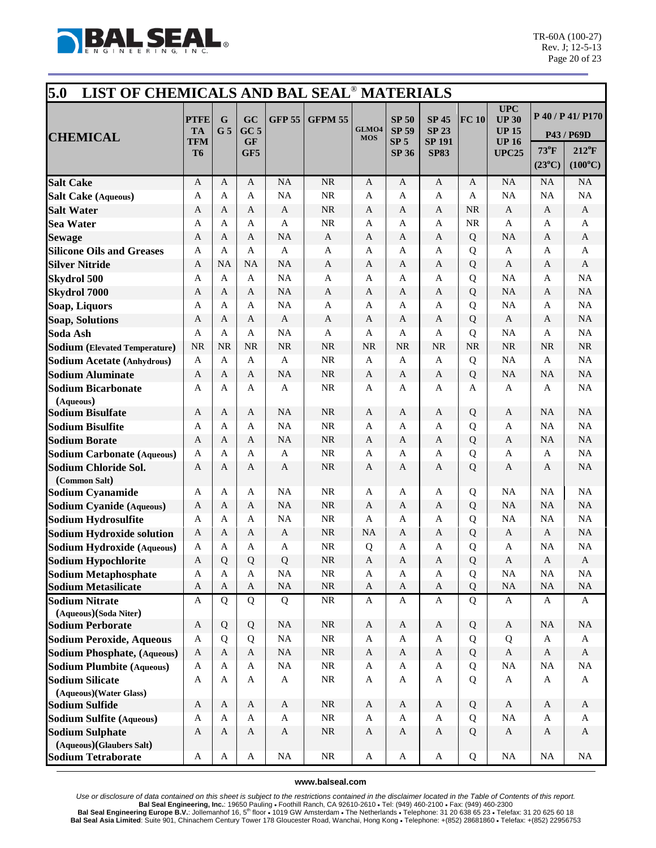

| 5.0<br>LIST OF CHEMICALS AND BAL SEAL <sup>®</sup> MATERIALS |                                              |                               |                                           |               |                |                     |                                                                 |                                                              |                |                                                                            |                                   |                                                                       |
|--------------------------------------------------------------|----------------------------------------------|-------------------------------|-------------------------------------------|---------------|----------------|---------------------|-----------------------------------------------------------------|--------------------------------------------------------------|----------------|----------------------------------------------------------------------------|-----------------------------------|-----------------------------------------------------------------------|
| <b>CHEMICAL</b>                                              | <b>PTFE</b><br><b>TA</b><br>TFM<br><b>T6</b> | $\mathbf G$<br>G <sub>5</sub> | GC<br>GC <sub>5</sub><br><b>GF</b><br>GF5 | <b>GFP 55</b> | <b>GFPM 55</b> | GLMO4<br><b>MOS</b> | <b>SP 50</b><br><b>SP 59</b><br>SP <sub>5</sub><br><b>SP 36</b> | <b>SP 45</b><br><b>SP 23</b><br><b>SP 191</b><br><b>SP83</b> | FC 10          | <b>UPC</b><br><b>UP 30</b><br><b>UP 15</b><br><b>UP 16</b><br><b>UPC25</b> | $73^{\circ}$ F<br>$(23^{\circ}C)$ | P 40 / P 41/ P170<br>P43 / P69D<br>$212^{\circ}F$<br>$(100^{\circ}C)$ |
| <b>Salt Cake</b>                                             | $\mathbf{A}$                                 | A                             | $\mathbf{A}$                              | <b>NA</b>     | NR             | $\mathbf{A}$        | A                                                               | $\mathbf{A}$                                                 | A              | NA                                                                         | NA                                | NA                                                                    |
| <b>Salt Cake (Aqueous)</b>                                   | $\mathbf{A}$                                 | A                             | A                                         | <b>NA</b>     | <b>NR</b>      | A                   | A                                                               | A                                                            | A              | NA                                                                         | NA                                | NA                                                                    |
| <b>Salt Water</b>                                            | A                                            | A                             | A                                         | A             | <b>NR</b>      | A                   | A                                                               | A                                                            | <b>NR</b>      | A                                                                          | A                                 | A                                                                     |
| <b>Sea Water</b>                                             | $\mathbf{A}$                                 | A                             | A                                         | $\mathbf{A}$  | <b>NR</b>      | A                   | A                                                               | A                                                            | NR             | A                                                                          | A                                 | A                                                                     |
| <b>Sewage</b>                                                | A                                            | A                             | $\mathbf{A}$                              | <b>NA</b>     | $\mathbf{A}$   | A                   | A                                                               | A                                                            | Q              | <b>NA</b>                                                                  | A                                 | $\mathbf{A}$                                                          |
| <b>Silicone Oils and Greases</b>                             | $\mathbf{A}$                                 | A                             | $\mathbf{A}$                              | $\mathbf{A}$  | $\mathbf{A}$   | $\mathbf{A}$        | A                                                               | A                                                            | Q              | $\mathbf{A}$                                                               | A                                 | A                                                                     |
| <b>Silver Nitride</b>                                        | A                                            | <b>NA</b>                     | <b>NA</b>                                 | <b>NA</b>     | $\mathbf{A}$   | A                   | A                                                               | A                                                            | Q              | A                                                                          | A                                 | A                                                                     |
| <b>Skydrol 500</b>                                           | $\mathbf{A}$                                 | A                             | A                                         | <b>NA</b>     | $\mathbf{A}$   | A                   | A                                                               | A                                                            | Q              | NA                                                                         | A                                 | NA                                                                    |
| <b>Skydrol 7000</b>                                          | $\mathbf{A}$                                 | A                             | A                                         | <b>NA</b>     | $\mathbf{A}$   | A                   | A                                                               | A                                                            | Q              | <b>NA</b>                                                                  | A                                 | NA                                                                    |
| Soap, Liquors                                                | $\mathbf{A}$                                 | A                             | A                                         | <b>NA</b>     | A              | $\mathbf{A}$        | A                                                               | A                                                            | Q              | <b>NA</b>                                                                  | A                                 | NA                                                                    |
| <b>Soap, Solutions</b>                                       | A                                            | A                             | A                                         | $\mathbf{A}$  | $\mathbf{A}$   | A                   | A                                                               | A                                                            | Q              | $\mathbf{A}$                                                               | A                                 | NA                                                                    |
| Soda Ash                                                     | $\mathbf{A}$                                 | $\mathbf{A}$                  | A                                         | <b>NA</b>     | A              | A                   | A                                                               | A                                                            | Q              | <b>NA</b>                                                                  | A                                 | NA                                                                    |
| <b>Sodium</b> (Elevated Temperature)                         | <b>NR</b>                                    | <b>NR</b>                     | <b>NR</b>                                 | <b>NR</b>     | <b>NR</b>      | <b>NR</b>           | <b>NR</b>                                                       | <b>NR</b>                                                    | NR             | <b>NR</b>                                                                  | <b>NR</b>                         | NR                                                                    |
| <b>Sodium Acetate (Anhydrous)</b>                            | $\mathbf{A}$                                 | $\mathbf{A}$                  | $\mathbf{A}$                              | $\mathbf{A}$  | <b>NR</b>      | A                   | $\mathbf{A}$                                                    | A                                                            | Q              | NA                                                                         | $\mathbf{A}$                      | NA                                                                    |
| <b>Sodium Aluminate</b>                                      | A                                            | A                             | A                                         | <b>NA</b>     | <b>NR</b>      | A                   | A                                                               | A                                                            | Q              | <b>NA</b>                                                                  | <b>NA</b>                         | <b>NA</b>                                                             |
| <b>Sodium Bicarbonate</b>                                    | A                                            | A                             | A                                         | A             | NR             | A                   | A                                                               | A                                                            | A              | A                                                                          | A                                 | NA                                                                    |
| (Aqueous)<br><b>Sodium Bisulfate</b>                         | $\mathbf{A}$                                 | A                             | A                                         | <b>NA</b>     | <b>NR</b>      | A                   | A                                                               | A                                                            | Q              | A                                                                          | <b>NA</b>                         | NA                                                                    |
| <b>Sodium Bisulfite</b>                                      | A                                            | A                             | A                                         | <b>NA</b>     | NR             | A                   | A                                                               | A                                                            | Q              | A                                                                          | <b>NA</b>                         | NA                                                                    |
| <b>Sodium Borate</b>                                         | $\mathbf{A}$                                 | A                             | A                                         | <b>NA</b>     | <b>NR</b>      | A                   | A                                                               | $\mathbf{A}$                                                 | Q              | $\mathbf{A}$                                                               | <b>NA</b>                         | NA                                                                    |
| <b>Sodium Carbonate (Aqueous)</b>                            | $\mathbf{A}$                                 | A                             | A                                         | $\mathbf{A}$  | <b>NR</b>      | A                   | A                                                               | A                                                            | Q              | A                                                                          | A                                 | NA                                                                    |
| Sodium Chloride Sol.                                         | A                                            | A                             | A                                         | A             | <b>NR</b>      | A                   | A                                                               | A                                                            | Q              | A                                                                          | A                                 | NA                                                                    |
| (Common Salt)                                                |                                              |                               |                                           |               |                |                     |                                                                 |                                                              |                |                                                                            |                                   |                                                                       |
| <b>Sodium Cyanamide</b>                                      | $\mathbf{A}$                                 | A                             | A                                         | <b>NA</b>     | NR             | A                   | A                                                               | A                                                            | Q              | <b>NA</b>                                                                  | <b>NA</b>                         | NA                                                                    |
| <b>Sodium Cyanide (Aqueous)</b>                              | A                                            | A                             | $\mathbf{A}$                              | <b>NA</b>     | $\rm NR$       | $\mathbf{A}$        | A                                                               | $\mathbf{A}$                                                 | Q              | <b>NA</b>                                                                  | <b>NA</b>                         | NA                                                                    |
| Sodium Hydrosulfite                                          | $\mathbf{A}$                                 | A                             | A                                         | <b>NA</b>     | NR             | A                   | A                                                               | A                                                            | Q              | NA                                                                         | <b>NA</b>                         | NA                                                                    |
| <b>Sodium Hydroxide solution</b>                             | A                                            | A                             | A                                         | $\mathbf{A}$  | <b>NR</b>      | <b>NA</b>           | A                                                               | A                                                            | Q              | $\mathbf{A}$                                                               | A                                 | NA                                                                    |
| Sodium Hydroxide (Aqueous)                                   | $\mathbf{A}$                                 | A                             | A                                         | A             | <b>NR</b>      | Q                   | A                                                               | A                                                            | Q              | $\mathbf{A}$                                                               | <b>NA</b>                         | NA                                                                    |
| <b>Sodium Hypochlorite</b>                                   | A                                            | 0                             | Q                                         | Q             | <b>NR</b>      | A                   | A                                                               | A                                                            | ${\bf Q}$      | A                                                                          | A                                 | A                                                                     |
| <b>Sodium Metaphosphate</b>                                  | A                                            | A                             | A                                         | NA            | $\rm NR$       | A                   | A                                                               | A                                                            | Q              | NA                                                                         | <b>NA</b>                         | NA                                                                    |
| <b>Sodium Metasilicate</b>                                   | $\mathbf{A}$                                 | $\mathbf{A}$                  | $\mathbf{A}$                              | <b>NA</b>     | <b>NR</b>      | $\mathbf{A}$        | $\mathbf{A}$                                                    | $\mathbf{A}$                                                 | Q              | <b>NA</b>                                                                  | NA                                | NA                                                                    |
| <b>Sodium Nitrate</b>                                        | $\boldsymbol{\mathsf{A}}$                    | Q                             | Q                                         | Q             | $\rm NR$       | $\mathbf{A}$        | A                                                               | A                                                            | $\overline{Q}$ | $\mathbf{A}$                                                               | A                                 | $\mathbf{A}$                                                          |
| (Aqueous)(Soda Niter)                                        |                                              |                               |                                           |               |                |                     |                                                                 |                                                              |                |                                                                            |                                   |                                                                       |
| <b>Sodium Perborate</b>                                      | $\mathbf{A}$                                 | $\mathbf Q$                   | Q                                         | NA            | $\rm NR$       | $\mathbf{A}$        | $\mathbf{A}$                                                    | $\mathbf A$                                                  | Q              | $\mathbf{A}$                                                               | NA                                | $\rm NA$                                                              |
| <b>Sodium Peroxide, Aqueous</b>                              | $\mathbf{A}$                                 | Q                             | Q                                         | NA            | $\rm NR$       | A                   | A                                                               | A                                                            | Q              | Q                                                                          | $\mathbf{A}$                      | $\mathbf{A}$                                                          |
| <b>Sodium Phosphate, (Aqueous)</b>                           | $\mathbf{A}$                                 | $\mathbf{A}$                  | $\mathbf{A}$                              | <b>NA</b>     | $\rm NR$       | $\mathbf{A}$        | $\mathbf{A}$                                                    | $\mathbf{A}$                                                 | Q              | $\mathbf{A}$                                                               | $\mathbf{A}$                      | $\mathbf{A}$                                                          |
| <b>Sodium Plumbite (Aqueous)</b>                             | $\mathbf{A}$                                 | $\mathbf{A}$                  | $\mathbf{A}$                              | NA            | $\rm NR$       | A                   | A                                                               | A                                                            | Q              | <b>NA</b>                                                                  | <b>NA</b>                         | NA                                                                    |
| <b>Sodium Silicate</b>                                       | $\mathbf{A}$                                 | A                             | $\mathbf{A}$                              | A             | <b>NR</b>      | $\mathbf A$         | A                                                               | A                                                            | Q              | A                                                                          | $\mathbf{A}$                      | $\mathbf{A}$                                                          |
| (Aqueous)(Water Glass)<br><b>Sodium Sulfide</b>              | $\mathbf{A}$                                 | $\mathbf{A}$                  | $\mathbf{A}$                              | $\mathbf{A}$  | $\rm NR$       | $\mathbf{A}$        | $\mathbf{A}$                                                    | $\mathbf{A}$                                                 | Q              | $\mathbf{A}$                                                               | A                                 | $\mathbf{A}$                                                          |
|                                                              | A                                            | A                             | $\mathbf{A}$                              | $\mathbf{A}$  | $\rm NR$       | A                   | A                                                               | A                                                            | Q              | NA                                                                         | A                                 | A                                                                     |
| <b>Sodium Sulfite (Aqueous)</b>                              | $\mathbf{A}$                                 | $\mathbf{A}$                  | $\mathbf{A}$                              |               | $\rm NR$       | $\mathbf{A}$        | $\mathbf{A}$                                                    | $\mathbf{A}$                                                 |                |                                                                            | A                                 |                                                                       |
| <b>Sodium Sulphate</b><br>(Aqueous)(Glaubers Salt)           |                                              |                               |                                           | $\mathbf{A}$  |                |                     |                                                                 |                                                              | Q              | $\mathbf{A}$                                                               |                                   | A                                                                     |
| <b>Sodium Tetraborate</b>                                    | A                                            | $\mathbf{A}$                  | $\mathbf{A}$                              | NA            | NR             | A                   | $\mathbf{A}$                                                    | A                                                            | Q              | NA                                                                         | NA                                | NA                                                                    |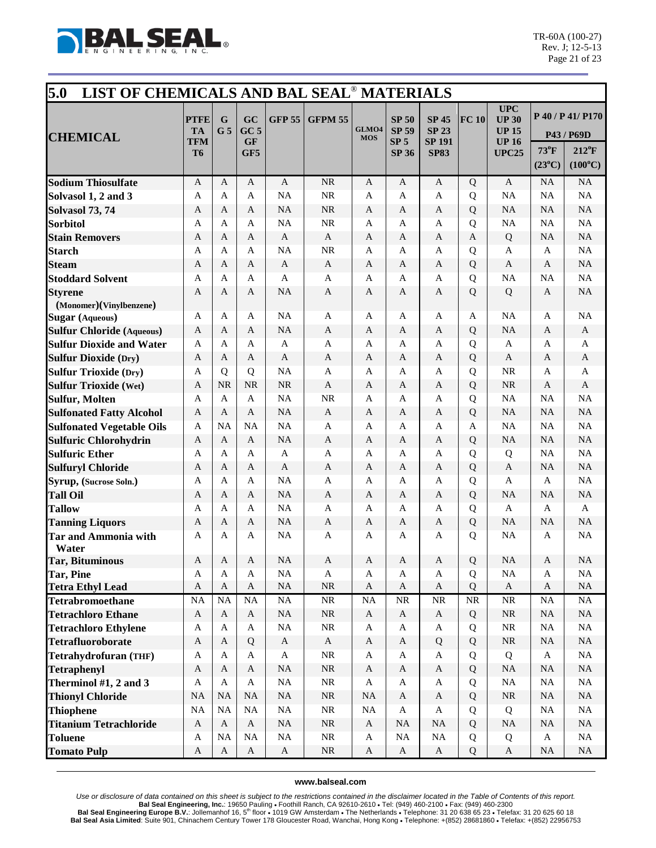

| 5.0<br>LIST OF CHEMICALS AND BAL SEAL <sup>®</sup> MATERIALS |                                              |                               |                                           |                           |                              |                     |                                                                 |                                                              |                        |                                                                            |                           |                                                   |
|--------------------------------------------------------------|----------------------------------------------|-------------------------------|-------------------------------------------|---------------------------|------------------------------|---------------------|-----------------------------------------------------------------|--------------------------------------------------------------|------------------------|----------------------------------------------------------------------------|---------------------------|---------------------------------------------------|
| <b>CHEMICAL</b>                                              | <b>PTFE</b><br><b>TA</b><br>TFM<br><b>T6</b> | $\mathbf G$<br>G <sub>5</sub> | GC<br>GC <sub>5</sub><br><b>GF</b><br>GF5 | <b>GFP 55</b>             | <b>GFPM 55</b>               | GLMO4<br><b>MOS</b> | <b>SP 50</b><br><b>SP 59</b><br>SP <sub>5</sub><br><b>SP 36</b> | <b>SP 45</b><br><b>SP 23</b><br><b>SP 191</b><br><b>SP83</b> | FC 10                  | <b>UPC</b><br><b>UP 30</b><br><b>UP 15</b><br><b>UP 16</b><br><b>UPC25</b> | 73°F                      | P 40 / P 41/ P170<br>P43 / P69D<br>$212^{\circ}F$ |
|                                                              |                                              |                               |                                           |                           |                              |                     |                                                                 |                                                              |                        |                                                                            | $(23^{\circ}C)$           | $(100^{\circ}C)$                                  |
| <b>Sodium Thiosulfate</b>                                    | $\mathbf{A}$                                 | A                             | A                                         | $\mathbf{A}$              | NR                           | A                   | A                                                               | $\mathbf{A}$                                                 | Q                      | $\mathbf{A}$                                                               | <b>NA</b>                 | NA                                                |
| Solvasol 1, 2 and 3                                          | A                                            | A                             | A                                         | <b>NA</b>                 | NR                           | A                   | A                                                               | A                                                            | Q                      | <b>NA</b>                                                                  | <b>NA</b>                 | NA                                                |
| <b>Solvasol 73, 74</b>                                       | A                                            | A                             | A                                         | <b>NA</b>                 | <b>NR</b>                    | A                   | A                                                               | A                                                            | Q                      | <b>NA</b>                                                                  | <b>NA</b>                 | NA                                                |
| <b>Sorbitol</b>                                              | A                                            | A                             | A                                         | <b>NA</b>                 | NR                           | A                   | A                                                               | A                                                            | Q                      | <b>NA</b>                                                                  | <b>NA</b>                 | NA                                                |
| <b>Stain Removers</b>                                        | A                                            | A                             | A                                         | A                         | $\mathbf{A}$                 | A                   | A                                                               | A                                                            | $\mathbf{A}$           | Q                                                                          | <b>NA</b>                 | NA                                                |
| <b>Starch</b>                                                | $\mathbf{A}$                                 | A                             | A                                         | <b>NA</b>                 | <b>NR</b>                    | A                   | A                                                               | $\mathbf{A}$                                                 | Q                      | A                                                                          | A                         | NA                                                |
| <b>Steam</b>                                                 | A                                            | A                             | A                                         | A                         | A                            | A                   | A                                                               | A                                                            | Q                      | A                                                                          | A                         | NA                                                |
| <b>Stoddard Solvent</b>                                      | A                                            | A                             | A                                         | A                         | A                            | A                   | A                                                               | A                                                            | Q                      | <b>NA</b>                                                                  | <b>NA</b>                 | NA                                                |
| <b>Styrene</b>                                               | A                                            | A                             | A                                         | <b>NA</b>                 | A                            | A                   | A                                                               | A                                                            | Q                      | Q                                                                          | A                         | NA                                                |
| (Monomer)(Vinylbenzene)                                      |                                              |                               |                                           |                           |                              |                     |                                                                 |                                                              |                        |                                                                            |                           |                                                   |
| <b>Sugar</b> (Aqueous)                                       | A                                            | A                             | A                                         | <b>NA</b>                 | A                            | A                   | A                                                               | A                                                            | A                      | <b>NA</b>                                                                  | A                         | <b>NA</b>                                         |
| <b>Sulfur Chloride (Aqueous)</b>                             | A                                            | A                             | A                                         | <b>NA</b>                 | A                            | A                   | A                                                               | A                                                            | Q                      | <b>NA</b>                                                                  | A                         | $\mathbf{A}$                                      |
| <b>Sulfur Dioxide and Water</b>                              | A                                            | A                             | A                                         | $\mathbf{A}$              | A                            | A                   | A                                                               | A                                                            | Q                      | A                                                                          | A                         | A                                                 |
| <b>Sulfur Dioxide (Dry)</b>                                  | A                                            | A                             | A                                         | A                         | $\mathbf{A}$                 | A                   | A                                                               | A                                                            | Q                      | $\mathbf{A}$                                                               | A                         | A                                                 |
| <b>Sulfur Trioxide (Dry)</b>                                 | A                                            | Q                             | Q                                         | <b>NA</b>                 | A                            | A                   | A                                                               | A                                                            | Q                      | <b>NR</b>                                                                  | A                         | A                                                 |
| <b>Sulfur Trioxide (Wet)</b>                                 | A                                            | <b>NR</b>                     | <b>NR</b>                                 | <b>NR</b>                 | A                            | A                   | A                                                               | A                                                            | Q                      | <b>NR</b>                                                                  | A                         | A                                                 |
| <b>Sulfur, Molten</b>                                        | A                                            | A                             | $\mathsf{A}$                              | <b>NA</b>                 | <b>NR</b>                    | A                   | A                                                               | $\mathbf{A}$                                                 | Q                      | <b>NA</b>                                                                  | NA                        | NA                                                |
| <b>Sulfonated Fatty Alcohol</b>                              | A                                            | A                             | A                                         | <b>NA</b>                 | A                            | A                   | A                                                               | A                                                            | Q                      | <b>NA</b>                                                                  | <b>NA</b>                 | NA                                                |
| <b>Sulfonated Vegetable Oils</b>                             | A                                            | <b>NA</b>                     | <b>NA</b>                                 | <b>NA</b>                 | $\mathbf{A}$                 | A                   | A                                                               | A                                                            | A                      | NA                                                                         | <b>NA</b>                 | NA                                                |
| <b>Sulfuric Chlorohydrin</b>                                 | A                                            | A                             | A                                         | <b>NA</b>                 | A                            | A                   | A                                                               | A                                                            | Q                      | <b>NA</b>                                                                  | <b>NA</b>                 | NA                                                |
| <b>Sulfuric Ether</b>                                        | $\mathbf{A}$                                 | A                             | $\mathbf{A}$                              | $\mathbf{A}$              | A                            | A                   | A                                                               | $\mathbf{A}$                                                 | Q                      | Q                                                                          | NA                        | NA                                                |
| <b>Sulfuryl Chloride</b>                                     | A                                            | A                             | A                                         | A                         | $\mathbf{A}$                 | A                   | A                                                               | A                                                            | Q                      | $\mathbf{A}$                                                               | <b>NA</b>                 | NA                                                |
| Syrup, (Sucrose Soln.)                                       | A                                            | A                             | A                                         | <b>NA</b>                 | A                            | A                   | A                                                               | A                                                            | Q                      | A                                                                          | A                         | NA                                                |
| <b>Tall Oil</b>                                              | A                                            | A                             | A                                         | <b>NA</b>                 | A                            | A                   | A                                                               | A                                                            | Q                      | <b>NA</b>                                                                  | <b>NA</b>                 | NA                                                |
| <b>Tallow</b>                                                | A                                            | A                             | $\overline{A}$                            | <b>NA</b><br><b>NA</b>    | $\mathbf{A}$<br>$\mathbf{A}$ | A                   | A                                                               | A                                                            | Q                      | $\mathbf{A}$<br><b>NA</b>                                                  | $\mathbf{A}$<br><b>NA</b> | $\mathbf{A}$<br>NA                                |
| <b>Tanning Liquors</b>                                       | A                                            | A                             | A                                         | <b>NA</b>                 |                              | A                   | A                                                               | A                                                            | Q                      | <b>NA</b>                                                                  |                           | NA                                                |
| <b>Tar and Ammonia with</b><br>Water                         | A                                            | A                             | A                                         |                           | A                            | A                   | A                                                               | A                                                            | Q                      |                                                                            | A                         |                                                   |
| <b>Tar, Bituminous</b>                                       | A                                            | A                             | $\boldsymbol{A}$                          | <b>NA</b>                 | A                            | A                   | A                                                               | A                                                            | ${\bf Q}$              | <b>NA</b>                                                                  | A                         | <b>NA</b>                                         |
| Tar, Pine                                                    | A                                            | A                             | $\mathbf{A}$                              | $\rm NA$                  | $\mathbf{A}$                 | A                   | A                                                               | A                                                            | Q                      | $_{\rm NA}$                                                                | A                         | NA                                                |
| <b>Tetra Ethyl Lead</b>                                      | $\mathbf{A}$                                 | $\mathbf{A}$                  | $\mathbf{A}$                              | <b>NA</b>                 | $\rm NR$                     | $\mathbf{A}$        | $\mathbf{A}$                                                    | $\mathbf{A}$                                                 | Q                      | $\mathbf{A}$                                                               | $\mathbf{A}$              | NA                                                |
| <b>Tetrabromoethane</b>                                      | NA                                           | NA                            | NA                                        | NA                        | NR                           | NA                  | $\rm NR$                                                        | $\rm NR$                                                     | $\overline{\text{NR}}$ | $\rm NR$                                                                   | $\rm NA$                  | $\rm NA$                                          |
| <b>Tetrachloro Ethane</b>                                    | $\mathbf{A}$                                 | $\mathbf{A}$                  | $\mathbf{A}$                              | NA                        | $\rm NR$                     | $\mathbf A$         | $\mathbf A$                                                     | $\mathbf{A}$                                                 | Q                      | $\rm NR$                                                                   | <b>NA</b>                 | NA                                                |
| <b>Tetrachloro Ethylene</b>                                  | $\mathbf A$                                  | $\mathbf{A}$                  | $\mathbf{A}$                              | $\rm NA$                  | $\rm NR$                     | $\mathbf{A}$        | $\mathbf{A}$                                                    | $\mathbf{A}$                                                 | Q                      | $\rm NR$                                                                   | $_{\rm NA}$               | $\rm NA$                                          |
| Tetrafluoroborate                                            | $\mathbf{A}$                                 | $\mathbf{A}$                  | Q                                         | $\mathbf{A}$              | $\mathbf A$                  | A                   | A                                                               | Q                                                            | Q                      | $\rm NR$                                                                   | <b>NA</b>                 | NA                                                |
| <b>Tetrahydrofuran (THF)</b>                                 | A                                            | A                             | $\mathbf{A}$                              | $\boldsymbol{\mathsf{A}}$ | $\rm NR$                     | $\mathbf{A}$        | $\mathbf A$                                                     | $\mathbf{A}$                                                 | Q                      | Q                                                                          | $\mathbf{A}$              | NA                                                |
| <b>Tetraphenyl</b>                                           | $\mathbf{A}$                                 | $\mathbf{A}$                  | $\mathbf{A}$                              | NA                        | $\rm NR$                     | A                   | A                                                               | $\mathbf{A}$                                                 | Q                      | NA                                                                         | <b>NA</b>                 | $\rm NA$                                          |
| Therminol #1, 2 and 3                                        | A                                            | $\mathbf{A}$                  | $\mathbf{A}$                              | <b>NA</b>                 | $\rm NR$                     | $\mathbf{A}$        | $\mathbf{A}$                                                    | $\mathbf{A}$                                                 | Q                      | $_{\rm NA}$                                                                | $_{\rm NA}$               | NA                                                |
| <b>Thionyl Chloride</b>                                      | <b>NA</b>                                    | NA                            | NA                                        | NA                        | $\rm NR$                     | $\rm NA$            | $\mathbf{A}$                                                    | $\mathbf{A}$                                                 | Q                      | $\rm NR$                                                                   | <b>NA</b>                 | NA                                                |
| <b>Thiophene</b>                                             | <b>NA</b>                                    | <b>NA</b>                     | NA                                        | <b>NA</b>                 | $\rm NR$                     | $\rm NA$            | $\mathbf{A}$                                                    | $\mathbf{A}$                                                 | Q                      | Q                                                                          | $_{\rm NA}$               | $\rm NA$                                          |
| <b>Titanium Tetrachloride</b>                                | $\mathbf A$                                  | $\mathbf{A}$                  | $\mathbf A$                               | NA                        | $\rm NR$                     | $\mathbf{A}$        | $\rm NA$                                                        | <b>NA</b>                                                    | Q                      | $\rm NA$                                                                   | <b>NA</b>                 | $\rm NA$                                          |
| <b>Toluene</b>                                               | A                                            | <b>NA</b>                     | $\rm NA$                                  | $\rm NA$                  | $\rm NR$                     | $\mathbf{A}$        | $_{\rm NA}$                                                     | <b>NA</b>                                                    | Q                      | Q                                                                          | $\bf{A}$                  | NA                                                |
| <b>Tomato Pulp</b>                                           | $\boldsymbol{A}$                             | $\mathbf{A}$                  | A                                         | $\mathbf{A}$              | $\rm NR$                     | A                   | $\mathbf{A}$                                                    | $\mathbf{A}$                                                 | Q                      | $\mathbf A$                                                                | $\rm NA$                  | $\rm NA$                                          |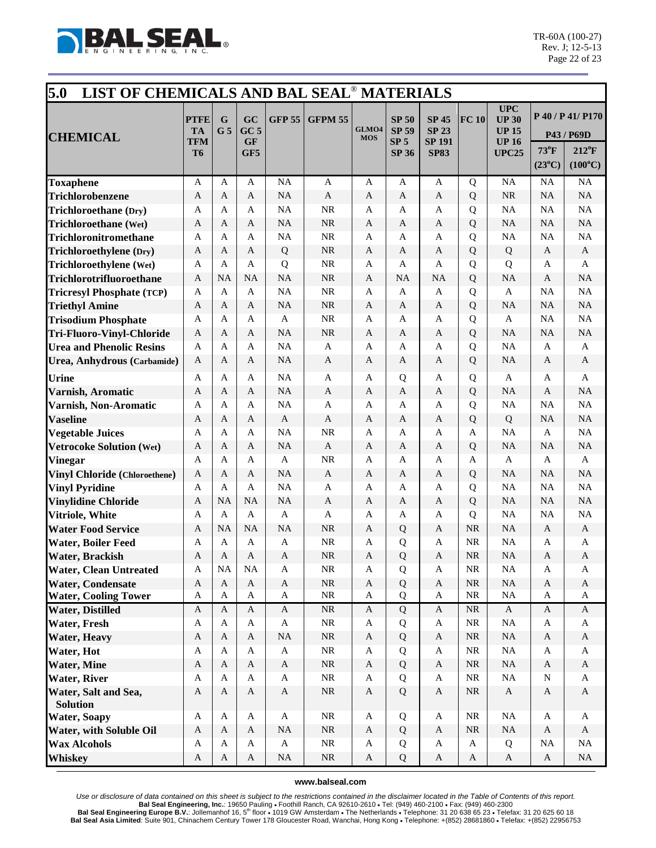

| 5.0<br>LIST OF CHEMICALS AND BAL SEAL <sup>®</sup> MATERIALS |                                        |                               |                                    |               |                |                     |                                                 |                                               |              |                                                            |                 |                                                   |
|--------------------------------------------------------------|----------------------------------------|-------------------------------|------------------------------------|---------------|----------------|---------------------|-------------------------------------------------|-----------------------------------------------|--------------|------------------------------------------------------------|-----------------|---------------------------------------------------|
| <b>CHEMICAL</b>                                              | <b>PTFE</b><br><b>TA</b><br><b>TFM</b> | $\mathbf G$<br>G <sub>5</sub> | GC<br>GC <sub>5</sub><br><b>GF</b> | <b>GFP 55</b> | <b>GFPM 55</b> | GLMO4<br><b>MOS</b> | <b>SP 50</b><br><b>SP 59</b><br>SP <sub>5</sub> | <b>SP 45</b><br><b>SP 23</b><br><b>SP 191</b> | FC 10        | <b>UPC</b><br><b>UP 30</b><br><b>UP 15</b><br><b>UP 16</b> | $73^{\circ}$ F  | P 40 / P 41/ P170<br>P43 / P69D<br>$212^{\circ}F$ |
|                                                              | <b>T6</b>                              |                               | GF5                                |               |                |                     | <b>SP 36</b>                                    | <b>SP83</b>                                   |              | <b>UPC25</b>                                               | $(23^{\circ}C)$ | $(100^{\circ}C)$                                  |
| <b>Toxaphene</b>                                             | A                                      | A                             | $\mathbf{A}$                       | <b>NA</b>     | $\mathbf{A}$   | A                   | A                                               | $\mathbf{A}$                                  | Q            | <b>NA</b>                                                  | <b>NA</b>       | NA                                                |
| Trichlorobenzene                                             | $\mathbf{A}$                           | A                             | A                                  | <b>NA</b>     | $\mathbf{A}$   | A                   | A                                               | A                                             | Q            | <b>NR</b>                                                  | <b>NA</b>       | NA                                                |
| <b>Trichloroethane</b> (Dry)                                 | A                                      | A                             | A                                  | <b>NA</b>     | <b>NR</b>      | A                   | A                                               | A                                             | Q            | <b>NA</b>                                                  | <b>NA</b>       | NA                                                |
| Trichloroethane (Wet)                                        | A                                      | A                             | A                                  | <b>NA</b>     | <b>NR</b>      | A                   | A                                               | A                                             | Q            | <b>NA</b>                                                  | <b>NA</b>       | NA                                                |
| Trichloronitromethane                                        | A                                      | A                             | A                                  | <b>NA</b>     | <b>NR</b>      | A                   | A                                               | A                                             | Q            | <b>NA</b>                                                  | <b>NA</b>       | NA                                                |
| Trichloroethylene (Dry)                                      | A                                      | A                             | A                                  | ${\bf Q}$     | <b>NR</b>      | A                   | A                                               | $\mathbf{A}$                                  | Q            | Q                                                          | A               | $\mathbf{A}$                                      |
| Trichloroethylene (Wet)                                      | A                                      | A                             | A                                  | Q             | <b>NR</b>      | A                   | A                                               | A                                             | Q            | Q                                                          | A               | $\mathbf{A}$                                      |
| Trichlorotrifluoroethane                                     | A                                      | <b>NA</b>                     | <b>NA</b>                          | <b>NA</b>     | <b>NR</b>      | A                   | <b>NA</b>                                       | <b>NA</b>                                     | Q            | NA                                                         | A               | NA                                                |
| <b>Tricresyl Phosphate (TCP)</b>                             | A                                      | A                             | $\mathbf{A}$                       | <b>NA</b>     | <b>NR</b>      | A                   | A                                               | A                                             | Q            | A                                                          | NA              | NA                                                |
| <b>Triethyl Amine</b>                                        | A                                      | A                             | A                                  | <b>NA</b>     | <b>NR</b>      | A                   | A                                               | A                                             | Q            | <b>NA</b>                                                  | <b>NA</b>       | NA                                                |
| <b>Trisodium Phosphate</b>                                   | A                                      | A                             | A                                  | $\mathbf{A}$  | <b>NR</b>      | A                   | A                                               | A                                             | Q            | $\mathbf{A}$                                               | <b>NA</b>       | NA                                                |
| Tri-Fluoro-Vinyl-Chloride                                    | A                                      | A                             | A                                  | <b>NA</b>     | <b>NR</b>      | A                   | A                                               | A                                             | Q            | <b>NA</b>                                                  | NA              | NA                                                |
| <b>Urea and Phenolic Resins</b>                              | A                                      | $\overline{A}$                | A                                  | <b>NA</b>     | A              | A                   | A                                               | A                                             | Q            | <b>NA</b>                                                  | A               | A                                                 |
| Urea, Anhydrous (Carbamide)                                  | A                                      | A                             | A                                  | <b>NA</b>     | A              | A                   | A                                               | A                                             | Q            | <b>NA</b>                                                  | A               | A                                                 |
| <b>Urine</b>                                                 | A                                      | A                             | A                                  | <b>NA</b>     | $\mathbf{A}$   | A                   | Q                                               | A                                             | Q            | $\mathbf{A}$                                               | A               | $\mathbf{A}$                                      |
| Varnish, Aromatic                                            | A                                      | A                             | A                                  | <b>NA</b>     | A              | A                   | $\mathbf{A}$                                    | A                                             | Q            | <b>NA</b>                                                  | A               | NA                                                |
| Varnish, Non-Aromatic                                        | A                                      | A                             | $\mathbf{A}$                       | <b>NA</b>     | A              | A                   | $\mathbf{A}$                                    | $\mathbf{A}$                                  | Q            | <b>NA</b>                                                  | <b>NA</b>       | NA                                                |
| <b>Vaseline</b>                                              | A                                      | A                             | A                                  | A             | $\mathbf{A}$   | A                   | A                                               | A                                             | Q            | Q                                                          | <b>NA</b>       | NA                                                |
| <b>Vegetable Juices</b>                                      | A                                      | A                             | A                                  | <b>NA</b>     | <b>NR</b>      | A                   | A                                               | A                                             | A            | NA                                                         | A               | NA                                                |
| <b>Vetrocoke Solution (Wet)</b>                              | $\mathbf{A}$                           | A                             | $\mathbf{A}$                       | <b>NA</b>     | $\mathbf{A}$   | A                   | A                                               | A                                             | Q            | <b>NA</b>                                                  | <b>NA</b>       | NA                                                |
| <b>Vinegar</b>                                               | A                                      | A                             | A                                  | $\mathbf{A}$  | <b>NR</b>      | A                   | $\mathbf{A}$                                    | A                                             | $\mathbf{A}$ | $\mathbf{A}$                                               | A               | A                                                 |
| <b>Vinyl Chloride (Chloroethene)</b>                         | A                                      | A                             | A                                  | <b>NA</b>     | $\mathbf{A}$   | A                   | A                                               | A                                             | Q            | <b>NA</b>                                                  | <b>NA</b>       | NA                                                |
| <b>Vinyl Pyridine</b>                                        | A                                      | A                             | A                                  | <b>NA</b>     | A              | A                   | A                                               | A                                             | Q            | NA                                                         | <b>NA</b>       | NA                                                |
| <b>Vinylidine Chloride</b>                                   | A                                      | <b>NA</b>                     | <b>NA</b>                          | <b>NA</b>     | $\mathbf{A}$   | A                   | A                                               | A                                             | Q            | <b>NA</b>                                                  | <b>NA</b>       | NA                                                |
| Vitriole, White                                              | A                                      | A                             | $\mathbf{A}$                       | $\mathbf{A}$  | $\mathbf{A}$   | A                   | A                                               | A                                             | Q            | <b>NA</b>                                                  | <b>NA</b>       | NA                                                |
| <b>Water Food Service</b>                                    | A                                      | <b>NA</b>                     | <b>NA</b>                          | <b>NA</b>     | <b>NR</b>      | A                   | Q                                               | A                                             | <b>NR</b>    | <b>NA</b>                                                  | A               | $\mathbf{A}$                                      |
| <b>Water, Boiler Feed</b>                                    | A                                      | A                             | A                                  | A             | <b>NR</b>      | A                   | Q                                               | A                                             | <b>NR</b>    | <b>NA</b>                                                  | A               | A                                                 |
| <b>Water, Brackish</b>                                       | A                                      | A                             | A                                  | $\mathbf{A}$  | <b>NR</b>      | $\mathbf{A}$        | Q                                               | A                                             | <b>NR</b>    | <b>NA</b>                                                  | A               | A                                                 |
| <b>Water, Clean Untreated</b>                                | A                                      | NA                            | NA                                 | $\mathbf{A}$  | $\rm NR$       | $\mathbf{A}$        | Q                                               | $\mathbf{A}$                                  | $\rm NR$     | $_{\rm NA}$                                                | A               | A                                                 |
| <b>Water, Condensate</b>                                     | $\mathbf{A}$                           | $\mathbf{A}$                  | $\mathbf A$                        | $\mathbf{A}$  | $\rm NR$       | $\mathbf{A}$        | $\mathbf Q$                                     | $\mathbf{A}$                                  | NR           | $\rm NA$                                                   | $\mathbf{A}$    | $\mathbf{A}$                                      |
| <b>Water, Cooling Tower</b>                                  | $\mathbf{A}$                           | $\mathbf{A}$                  | $\mathbf{A}$                       | $\mathbf{A}$  | NR             | $\mathbf{A}$        | Q                                               | $\mathbf{A}$                                  | <b>NR</b>    | NA                                                         | A               | A                                                 |
| <b>Water, Distilled</b>                                      | $\mathbf{A}$                           | $\mathbf{A}$                  | $\mathbf{A}$                       | $\mathbf{A}$  | $\rm NR$       | $\mathbf{A}$        | $\overline{Q}$                                  | $\mathbf{A}$                                  | NR           | $\mathbf{A}$                                               | $\mathbf{A}$    | $\mathbf{A}$                                      |
| <b>Water, Fresh</b>                                          | $\mathbf{A}$                           | $\mathbf{A}$                  | $\mathbf{A}$                       | $\mathbf{A}$  | $\rm NR$       | $\mathbf{A}$        | Q                                               | $\mathbf{A}$                                  | $\rm NR$     | NA                                                         | A               | $\mathbf{A}$                                      |
| <b>Water, Heavy</b>                                          | $\mathbf{A}$                           | $\mathbf{A}$                  | $\mathbf{A}$                       | <b>NA</b>     | $\rm NR$       | $\mathbf{A}$        | Q                                               | $\mathbf{A}$                                  | <b>NR</b>    | $\rm NA$                                                   | A               | $\mathbf{A}$                                      |
| Water, Hot                                                   | $\mathbf{A}$                           | A                             | A                                  | $\mathbf{A}$  | $\rm NR$       | A                   | Q                                               | $\mathbf{A}$                                  | <b>NR</b>    | NA                                                         | A               | A                                                 |
| <b>Water, Mine</b>                                           | $\mathbf{A}$                           | $\mathbf{A}$                  | A                                  | $\mathbf{A}$  | $\rm NR$       | $\mathbf{A}$        | $\mathbf Q$                                     | $\mathbf{A}$                                  | <b>NR</b>    | $\rm NA$                                                   | $\mathbf{A}$    | $\mathbf A$                                       |
| <b>Water, River</b>                                          | $\mathbf{A}$                           | A                             | $\mathbf{A}$                       | $\mathbf{A}$  | $\rm NR$       | $\mathbf{A}$        | Q                                               | $\mathbf{A}$                                  | $\rm NR$     | $_{\rm NA}$                                                | $\mathbf N$     | A                                                 |
| Water, Salt and Sea,<br><b>Solution</b>                      | $\mathbf{A}$                           | A                             | $\mathbf{A}$                       | $\mathbf{A}$  | NR             | $\mathbf{A}$        | $\mathbf Q$                                     | $\mathbf{A}$                                  | <b>NR</b>    | $\mathbf{A}$                                               | $\mathbf{A}$    | $\mathbf{A}$                                      |
| <b>Water, Soapy</b>                                          | $\mathbf{A}$                           | $\mathbf{A}$                  | $\mathbf{A}$                       | $\mathbf{A}$  | $\rm NR$       | $\mathbf{A}$        | Q                                               | $\mathbf{A}$                                  | $\rm NR$     | $_{\rm NA}$                                                | A               | $\mathbf{A}$                                      |
| <b>Water, with Soluble Oil</b>                               | $\mathbf{A}$                           | $\mathbf{A}$                  | $\mathbf{A}$                       | $\rm NA$      | $\rm NR$       | $\mathbf{A}$        | Q                                               | $\mathbf{A}$                                  | $\rm NR$     | $\rm NA$                                                   | $\mathbf{A}$    | $\mathbf{A}$                                      |
| <b>Wax Alcohols</b>                                          | $\mathbf{A}$                           | A                             | $\mathbf{A}$                       | $\mathbf{A}$  | $\rm NR$       | A                   | Q                                               | $\mathbf{A}$                                  | A            | Q                                                          | NA              | NA                                                |
| <b>Whiskey</b>                                               | $\boldsymbol{\mathsf{A}}$              | $\mathbf{A}$                  | $\mathbf{A}$                       | NA            | $\rm NR$       | $\mathbf{A}$        | Q                                               | $\mathbf{A}$                                  | $\mathbf{A}$ | $\mathbf{A}$                                               | $\mathbf{A}$    | NA                                                |